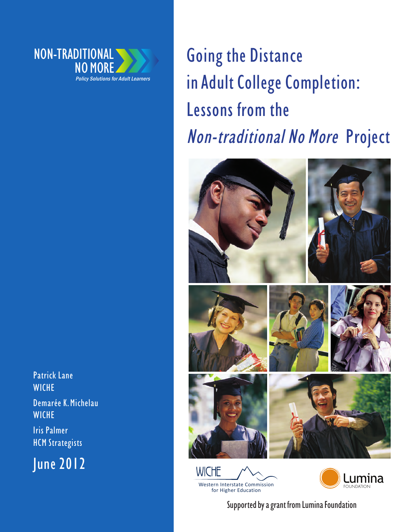

Patrick Lane **WICHE** Demarée K.Michelau **WICHE** 

Iris Palmer HCM Strategists

June 2012

Going the Distance inAdult College Completion: Lessons from the Non-traditional No More Project



**WICHE** Western Interstate Commission for Higher Education



Supported by a grant from Lumina Foundation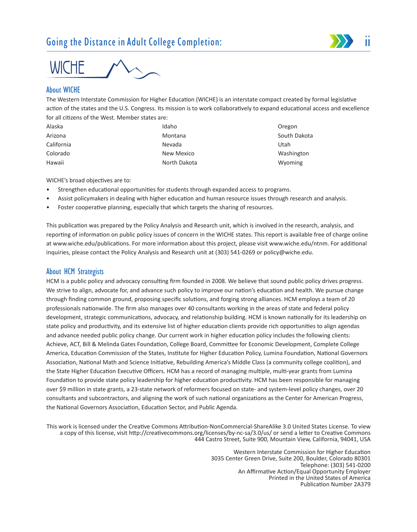



### About WICHE

The Western Interstate Commission for Higher Education (WICHE) is an interstate compact created by formal legislative action of the states and the U.S. Congress. Its mission is to work collaboratively to expand educational access and excellence for all citizens of the West. Member states are:

| Alaska     | Idaho        | Oregon    |
|------------|--------------|-----------|
| Arizona    | Montana      | South Dal |
| California | Nevada       | Utah      |
| Colorado   | New Mexico   | Washingt  |
| Hawaii     | North Dakota | Wyoming   |

South Dakota Colorado New Mashington

WICHE's broad objectives are to:

- Strengthen educational opportunities for students through expanded access to programs.
- Assist policymakers in dealing with higher education and human resource issues through research and analysis.
- Foster cooperative planning, especially that which targets the sharing of resources.

This publication was prepared by the Policy Analysis and Research unit, which is involved in the research, analysis, and reporting of information on public policy issues of concern in the WICHE states. This report is available free of charge online at www.wiche.edu/publications. For more information about this project, please visit www.wiche.edu/ntnm. For additional inquiries, please contact the Policy Analysis and Research unit at (303) 541-0269 or policy@wiche.edu.

### About HCM Strategists

HCM is a public policy and advocacy consulting firm founded in 2008. We believe that sound public policy drives progress. We strive to align, advocate for, and advance such policy to improve our nation's education and health. We pursue change through finding common ground, proposing specific solutions, and forging strong alliances. HCM employs a team of 20 professionals nationwide. The firm also manages over 40 consultants working in the areas of state and federal policy development, strategic communications, advocacy, and relationship building. HCM is known nationally for its leadership on state policy and productivity, and its extensive list of higher education clients provide rich opportunities to align agendas and advance needed public policy change. Our current work in higher education policy includes the following clients: Achieve, ACT, Bill & Melinda Gates Foundation, College Board, Committee for Economic Development, Complete College America, Education Commission of the States, Institute for Higher Education Policy, Lumina Foundation, National Governors Association, National Math and Science Initiative, Rebuilding America's Middle Class (a community college coalition), and the State Higher Education Executive Officers. HCM has a record of managing multiple, multi-year grants from Lumina Foundation to provide state policy leadership for higher education productivity. HCM has been responsible for managing over \$9 million in state grants, a 23-state network of reformers focused on state- and system-level policy changes, over 20 consultants and subcontractors, and aligning the work of such national organizations as the Center for American Progress, the National Governors Association, Education Sector, and Public Agenda.

This work is licensed under the Creative Commons Attribution-NonCommercial-ShareAlike 3.0 United States License. To view a copy of this license, visit http://creativecommons.org/licenses/by-nc-sa/3.0/us/ or send a letter to Creative Commons 444 Castro Street, Suite 900, Mountain View, California, 94041, USA

> Western Interstate Commission for Higher Education 3035 Center Green Drive, Suite 200, Boulder, Colorado 80301 Telephone: (303) 541-0200 An Affirmative Action/Equal Opportunity Employer Printed in the United States of America Publication Number 2A379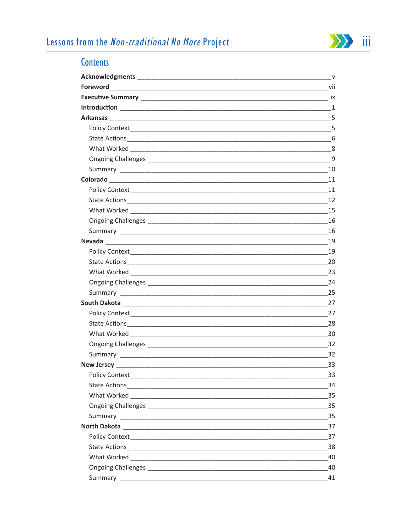

# Contents

|              | 5                          |
|--------------|----------------------------|
|              |                            |
|              |                            |
|              |                            |
|              |                            |
|              |                            |
|              |                            |
|              |                            |
|              |                            |
|              | 15                         |
|              |                            |
|              |                            |
|              | 19                         |
|              |                            |
|              | 20                         |
|              | 23                         |
|              | 24                         |
|              | 25                         |
|              | 27                         |
|              |                            |
|              | $\frac{28}{2}$             |
|              | 30                         |
|              |                            |
|              | $\overline{\phantom{a}32}$ |
| New Jersey _ | 33                         |
|              | 33                         |
|              | 34                         |
|              | 35                         |
|              |                            |
|              | 35                         |
|              | 37                         |
|              |                            |
|              | 38                         |
|              | 40                         |
|              | 40                         |
|              | 41                         |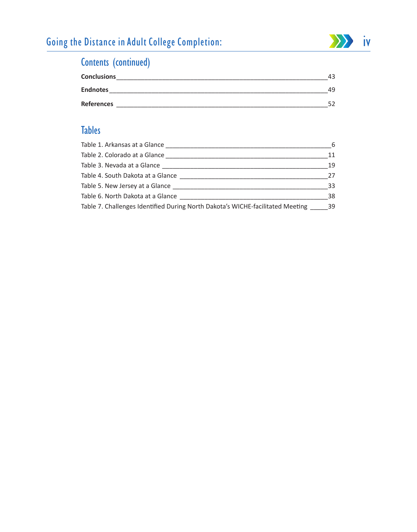

# Contents (continued)

| <b>Conclusions</b> |    |
|--------------------|----|
| <b>Endnotes</b>    | 49 |
| <b>References</b>  |    |

# Tables

| Table 1. Arkansas at a Glance                                                  | -6 |
|--------------------------------------------------------------------------------|----|
| Table 2. Colorado at a Glance                                                  | 11 |
| Table 3. Nevada at a Glance                                                    | 19 |
| Table 4. South Dakota at a Glance                                              | 27 |
| Table 5. New Jersey at a Glance                                                | 33 |
| Table 6. North Dakota at a Glance                                              | 38 |
| Table 7. Challenges Identified During North Dakota's WICHE-facilitated Meeting | 39 |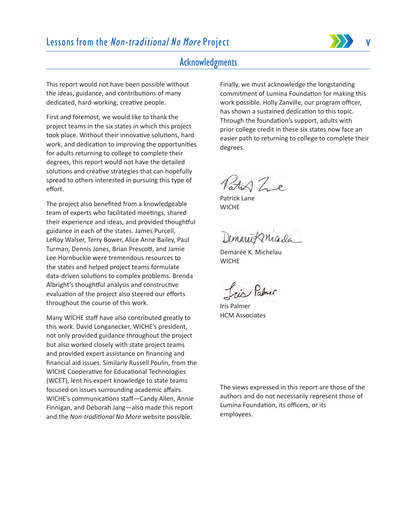

# Acknowledgments

This report would not have been possible without the ideas, guidance, and contributions of many dedicated, hard-working, creative people.

First and foremost, we would like to thank the project teams in the six states in which this project took place. Without their innovative solutions, hard work, and dedication to improving the opportunities for adults returning to college to complete their degrees, this report would not have the detailed solutions and creative strategies that can hopefully spread to others interested in pursuing this type of effort.

The project also benefited from a knowledgeable team of experts who facilitated meetings, shared their experience and ideas, and provided thoughtful guidance in each of the states. James Purcell, LeRoy Walser, Terry Bower, Alice Anne Bailey, Paul Turman, Dennis Jones, Brian Prescott, and Jamie Lee Hornbuckle were tremendous resources to the states and helped project teams formulate data-driven solutions to complex problems. Brenda Albright's thoughtful analysis and constructive evaluation of the project also steered our efforts throughout the course of this work.

Many WICHE staff have also contributed greatly to this work. David Longanecker, WICHE's president, not only provided guidance throughout the project but also worked closely with state project teams and provided expert assistance on financing and financial aid issues. Similarly Russell Poulin, from the WICHE Cooperative for Educational Technologies (WCET), lent his expert knowledge to state teams focused on issues surrounding academic affairs. WICHE's communications staff—Candy Allen, Annie Finnigan, and Deborah Jang—also made this report and the *Non-traditional No More* website possible.

Finally, we must acknowledge the longstanding commitment of Lumina Foundation for making this work possible. Holly Zanville, our program officer, has shown a sustained dedication to this topic. Through the foundation's support, adults with prior college credit in these six states now face an easier path to returning to college to complete their degrees.

atus Ze

Patrick Lane **WICHE** 

Demario mada

Demarée K. Michelau **WICHE** 

Luis Palmer

Iris Palmer HCM Associates

The views expressed in this report are those of the authors and do not necessarily represent those of Lumina Foundation, its officers, or its employees.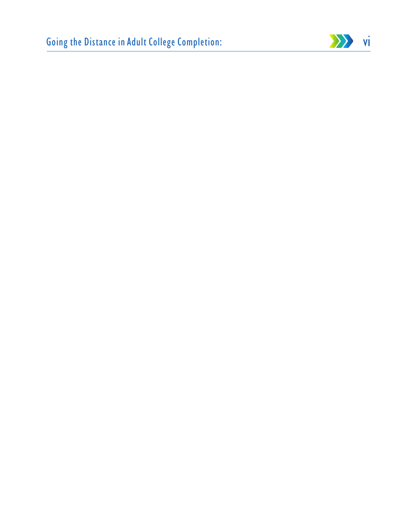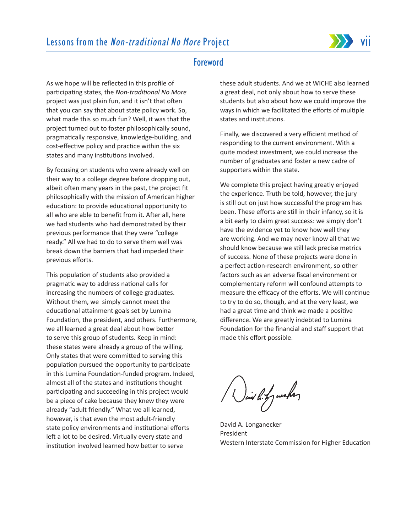

# Foreword

As we hope will be reflected in this profile of participating states, the *Non-traditional No More* project was just plain fun, and it isn't that often that you can say that about state policy work. So, what made this so much fun? Well, it was that the project turned out to foster philosophically sound, pragmatically responsive, knowledge-building, and cost-effective policy and practice within the six states and many institutions involved.

By focusing on students who were already well on their way to a college degree before dropping out, albeit often many years in the past, the project fit philosophically with the mission of American higher education: to provide educational opportunity to all who are able to benefit from it. After all, here we had students who had demonstrated by their previous performance that they were "college ready." All we had to do to serve them well was break down the barriers that had impeded their previous efforts.

This population of students also provided a pragmatic way to address national calls for increasing the numbers of college graduates. Without them, we simply cannot meet the educational attainment goals set by Lumina Foundation, the president, and others. Furthermore, we all learned a great deal about how better to serve this group of students. Keep in mind: these states were already a group of the willing. Only states that were committed to serving this population pursued the opportunity to participate in this Lumina Foundation-funded program. Indeed, almost all of the states and institutions thought participating and succeeding in this project would be a piece of cake because they knew they were already "adult friendly." What we all learned, however, is that even the most adult-friendly state policy environments and institutional efforts left a lot to be desired. Virtually every state and institution involved learned how better to serve

these adult students. And we at WICHE also learned a great deal, not only about how to serve these students but also about how we could improve the ways in which we facilitated the efforts of multiple states and institutions.

Finally, we discovered a very efficient method of responding to the current environment. With a quite modest investment, we could increase the number of graduates and foster a new cadre of supporters within the state.

We complete this project having greatly enjoyed the experience. Truth be told, however, the jury is still out on just how successful the program has been. These efforts are still in their infancy, so it is a bit early to claim great success: we simply don't have the evidence yet to know how well they are working. And we may never know all that we should know because we still lack precise metrics of success. None of these projects were done in a perfect action-research environment, so other factors such as an adverse fiscal environment or complementary reform will confound attempts to measure the efficacy of the efforts. We will continue to try to do so, though, and at the very least, we had a great time and think we made a positive difference. We are greatly indebted to Lumina Foundation for the financial and staff support that made this effort possible.

Dais bity weeken

David A. Longanecker President Western Interstate Commission for Higher Education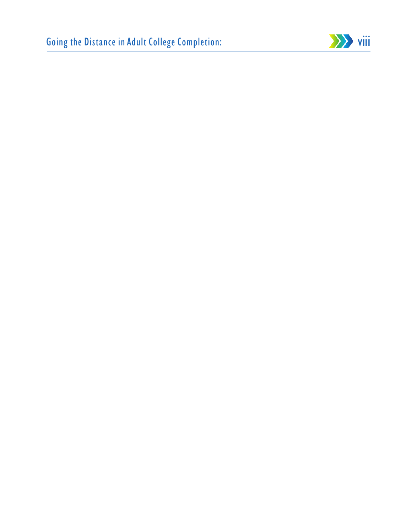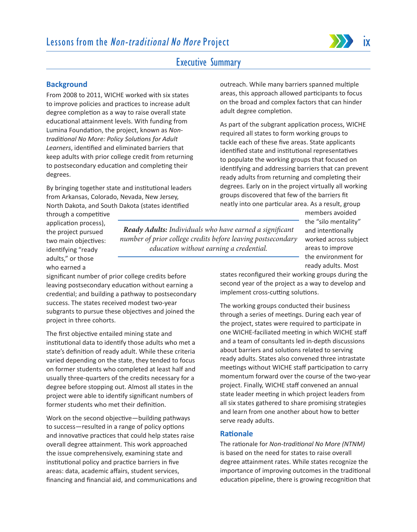

# Executive Summary

*Ready Adults: Individuals who have earned a significant number of prior college credits before leaving postsecondary education without earning a credential.*

### **Background**

From 2008 to 2011, WICHE worked with six states to improve policies and practices to increase adult degree completion as a way to raise overall state educational attainment levels. With funding from Lumina Foundation, the project, known as *Nontraditional No More: Policy Solutions for Adult Learners*, identified and eliminated barriers that keep adults with prior college credit from returning to postsecondary education and completing their degrees.

By bringing together state and institutional leaders from Arkansas, Colorado, Nevada, New Jersey, North Dakota, and South Dakota (states identified

through a competitive application process), the project pursued two main objectives: identifying "ready adults," or those who earned a

significant number of prior college credits before leaving postsecondary education without earning a credential; and building a pathway to postsecondary success. The states received modest two-year subgrants to pursue these objectives and joined the project in three cohorts.

The first objective entailed mining state and institutional data to identify those adults who met a state's definition of ready adult. While these criteria varied depending on the state, they tended to focus on former students who completed at least half and usually three-quarters of the credits necessary for a degree before stopping out. Almost all states in the project were able to identify significant numbers of former students who met their definition.

Work on the second objective—building pathways to success—resulted in a range of policy options and innovative practices that could help states raise overall degree attainment. This work approached the issue comprehensively, examining state and institutional policy and practice barriers in five areas: data, academic affairs, student services, financing and financial aid, and communications and outreach. While many barriers spanned multiple areas, this approach allowed participants to focus on the broad and complex factors that can hinder adult degree completion.

As part of the subgrant application process, WICHE required all states to form working groups to tackle each of these five areas. State applicants identified state and institutional representatives to populate the working groups that focused on identifying and addressing barriers that can prevent ready adults from returning and completing their degrees. Early on in the project virtually all working groups discovered that few of the barriers fit neatly into one particular area. As a result, group

> members avoided the "silo mentality" and intentionally worked across subject areas to improve the environment for ready adults. Most

states reconfigured their working groups during the second year of the project as a way to develop and implement cross-cutting solutions.

The working groups conducted their business through a series of meetings. During each year of the project, states were required to participate in one WICHE-faciliated meeting in which WICHE staff and a team of consultants led in-depth discussions about barriers and solutions related to serving ready adults. States also convened three intrastate meetings without WICHE staff participation to carry momentum forward over the course of the two-year project. Finally, WICHE staff convened an annual state leader meeting in which project leaders from all six states gathered to share promising strategies and learn from one another about how to better serve ready adults.

### **Rationale**

The rationale for *Non-traditional No More (NTNM)*  is based on the need for states to raise overall degree attainment rates. While states recognize the importance of improving outcomes in the traditional education pipeline, there is growing recognition that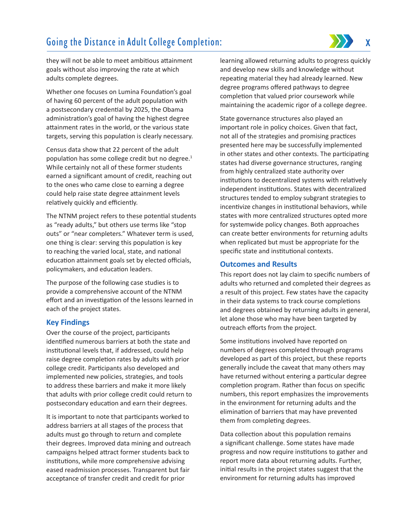# Going the Distance in Adult College Completion: XXXXXXXXX

they will not be able to meet ambitious attainment goals without also improving the rate at which adults complete degrees.

Whether one focuses on Lumina Foundation's goal of having 60 percent of the adult population with a postsecondary credential by 2025, the Obama administration's goal of having the highest degree attainment rates in the world, or the various state targets, serving this population is clearly necessary.

Census data show that 22 percent of the adult population has some college credit but no degree. $<sup>1</sup>$ </sup> While certainly not all of these former students earned a significant amount of credit, reaching out to the ones who came close to earning a degree could help raise state degree attainment levels relatively quickly and efficiently.

The NTNM project refers to these potential students as "ready adults," but others use terms like "stop outs" or "near completers." Whatever term is used, one thing is clear: serving this population is key to reaching the varied local, state, and national education attainment goals set by elected officials, policymakers, and education leaders.

The purpose of the following case studies is to provide a comprehensive account of the NTNM effort and an investigation of the lessons learned in each of the project states.

### **Key Findings**

Over the course of the project, participants identified numerous barriers at both the state and institutional levels that, if addressed, could help raise degree completion rates by adults with prior college credit. Participants also developed and implemented new policies, strategies, and tools to address these barriers and make it more likely that adults with prior college credit could return to postsecondary education and earn their degrees.

It is important to note that participants worked to address barriers at all stages of the process that adults must go through to return and complete their degrees. Improved data mining and outreach campaigns helped attract former students back to institutions, while more comprehensive advising eased readmission processes. Transparent but fair acceptance of transfer credit and credit for prior

learning allowed returning adults to progress quickly and develop new skills and knowledge without repeating material they had already learned. New degree programs offered pathways to degree completion that valued prior coursework while maintaining the academic rigor of a college degree.

State governance structures also played an important role in policy choices. Given that fact, not all of the strategies and promising practices presented here may be successfully implemented in other states and other contexts. The participating states had diverse governance structures, ranging from highly centralized state authority over institutions to decentralized systems with relatively independent institutions. States with decentralized structures tended to employ subgrant strategies to incentivize changes in institutional behaviors, while states with more centralized structures opted more for systemwide policy changes. Both approaches can create better environments for returning adults when replicated but must be appropriate for the specific state and institutional contexts.

### **Outcomes and Results**

This report does not lay claim to specific numbers of adults who returned and completed their degrees as a result of this project. Few states have the capacity in their data systems to track course completions and degrees obtained by returning adults in general, let alone those who may have been targeted by outreach efforts from the project.

Some institutions involved have reported on numbers of degrees completed through programs developed as part of this project, but these reports generally include the caveat that many others may have returned without entering a particular degree completion program. Rather than focus on specific numbers, this report emphasizes the improvements in the environment for returning adults and the elimination of barriers that may have prevented them from completing degrees.

Data collection about this population remains a significant challenge. Some states have made progress and now require institutions to gather and report more data about returning adults. Further, initial results in the project states suggest that the environment for returning adults has improved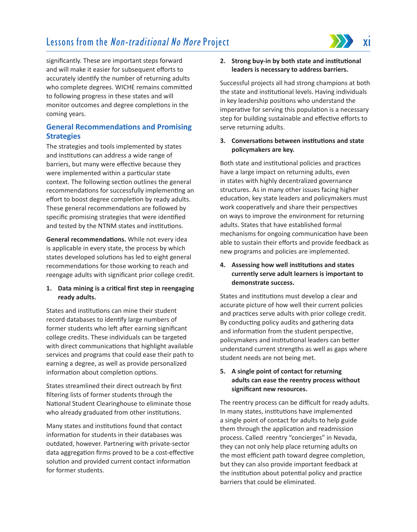# Lessons from the *Non-traditional No More* Project **Xing and Xing Constanting Constanting Constanting Constanting Constanting Constanting Constanting Constanting Constanting Constanting Constanting Constanting Constanting**

significantly. These are important steps forward and will make it easier for subsequent efforts to accurately identify the number of returning adults who complete degrees. WICHE remains committed to following progress in these states and will monitor outcomes and degree completions in the coming years.

# **General Recommendations and Promising Strategies**

The strategies and tools implemented by states and institutions can address a wide range of barriers, but many were effective because they were implemented within a particular state context. The following section outlines the general recommendations for successfully implementing an effort to boost degree completion by ready adults. These general recommendations are followed by specific promising strategies that were identified and tested by the NTNM states and institutions.

**General recommendations.** While not every idea is applicable in every state, the process by which states developed solutions has led to eight general recommendations for those working to reach and reengage adults with significant prior college credit.

# **1. Data mining is a critical first step in reengaging ready adults.**

States and institutions can mine their student record databases to identify large numbers of former students who left after earning significant college credits. These individuals can be targeted with direct communications that highlight available services and programs that could ease their path to earning a degree, as well as provide personalized information about completion options.

States streamlined their direct outreach by first filtering lists of former students through the National Student Clearinghouse to eliminate those who already graduated from other institutions.

Many states and institutions found that contact information for students in their databases was outdated, however. Partnering with private-sector data aggregation firms proved to be a cost-effective solution and provided current contact information for former students.

### **2. Strong buy-in by both state and institutional leaders is necessary to address barriers.**

Successful projects all had strong champions at both the state and institutional levels. Having individuals in key leadership positions who understand the imperative for serving this population is a necessary step for building sustainable and effective efforts to serve returning adults.

### **3. Conversations between institutions and state policymakers are key.**

Both state and institutional policies and practices have a large impact on returning adults, even in states with highly decentralized governance structures. As in many other issues facing higher education, key state leaders and policymakers must work cooperatively and share their perspectives on ways to improve the environment for returning adults. States that have established formal mechanisms for ongoing communication have been able to sustain their efforts and provide feedback as new programs and policies are implemented.

# **4. Assessing how well institutions and states currently serve adult learners is important to demonstrate success.**

States and institutions must develop a clear and accurate picture of how well their current policies and practices serve adults with prior college credit. By conducting policy audits and gathering data and information from the student perspective, policymakers and institutional leaders can better understand current strengths as well as gaps where student needs are not being met.

# **5. A single point of contact for returning adults can ease the reentry process without significant new resources.**

The reentry process can be difficult for ready adults. In many states, institutions have implemented a single point of contact for adults to help guide them through the application and readmission process. Called reentry "concierges" in Nevada, they can not only help place returning adults on the most efficient path toward degree completion, but they can also provide important feedback at the institution about potential policy and practice barriers that could be eliminated.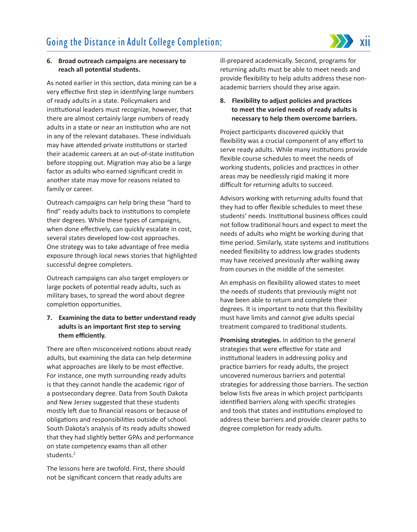### **6. Broad outreach campaigns are necessary to reach all potential students.**

As noted earlier in this section, data mining can be a very effective first step in identifying large numbers of ready adults in a state. Policymakers and institutional leaders must recognize, however, that there are almost certainly large numbers of ready adults in a state or near an institution who are not in any of the relevant databases. These individuals may have attended private institutions or started their academic careers at an out-of-state institution before stopping out. Migration may also be a large factor as adults who earned significant credit in another state may move for reasons related to family or career.

Outreach campaigns can help bring these "hard to find" ready adults back to institutions to complete their degrees. While these types of campaigns, when done effectively, can quickly escalate in cost, several states developed low-cost approaches. One strategy was to take advantage of free media exposure through local news stories that highlighted successful degree completers.

Outreach campaigns can also target employers or large pockets of potential ready adults, such as military bases, to spread the word about degree completion opportunities.

### **7. Examining the data to better understand ready adults is an important first step to serving them efficiently.**

There are often misconceived notions about ready adults, but examining the data can help determine what approaches are likely to be most effective. For instance, one myth surrounding ready adults is that they cannot handle the academic rigor of a postsecondary degree. Data from South Dakota and New Jersey suggested that these students mostly left due to financial reasons or because of obligations and responsibilities outside of school. South Dakota's analysis of its ready adults showed that they had slightly better GPAs and performance on state competency exams than all other students.<sup>2</sup>

The lessons here are twofold. First, there should not be significant concern that ready adults are

ill-prepared academically. Second, programs for returning adults must be able to meet needs and provide flexibility to help adults address these nonacademic barriers should they arise again.

# **8. Flexibility to adjust policies and practices to meet the varied needs of ready adults is necessary to help them overcome barriers.**

Project participants discovered quickly that flexibility was a crucial component of any effort to serve ready adults. While many institutions provide flexible course schedules to meet the needs of working students, policies and practices in other areas may be needlessly rigid making it more difficult for returning adults to succeed.

Advisors working with returning adults found that they had to offer flexible schedules to meet these students' needs. Institutional business offices could not follow traditional hours and expect to meet the needs of adults who might be working during that time period. Similarly, state systems and institutions needed flexibility to address low grades students may have received previously after walking away from courses in the middle of the semester.

An emphasis on flexibility allowed states to meet the needs of students that previously might not have been able to return and complete their degrees. It is important to note that this flexibility must have limits and cannot give adults special treatment compared to traditional students.

**Promising strategies.** In addition to the general strategies that were effective for state and institutional leaders in addressing policy and practice barriers for ready adults, the project uncovered numerous barriers and potential strategies for addressing those barriers. The section below lists five areas in which project participants identified barriers along with specific strategies and tools that states and institutions employed to address these barriers and provide clearer paths to degree completion for ready adults.

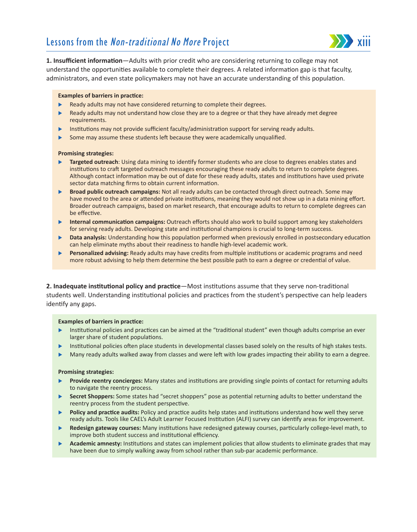

**1. Insufficient information**—Adults with prior credit who are considering returning to college may not understand the opportunities available to complete their degrees. A related information gap is that faculty, administrators, and even state policymakers may not have an accurate understanding of this population.

#### **Examples of barriers in practice:**

- $\triangleright$  Ready adults may not have considered returning to complete their degrees.
- Ready adults may not understand how close they are to a degree or that they have already met degree requirements.
- Institutions may not provide sufficient faculty/administration support for serving ready adults.
- Some may assume these students left because they were academically unqualified.

#### **Promising strategies:**

- Targeted outreach: Using data mining to identify former students who are close to degrees enables states and institutions to craft targeted outreach messages encouraging these ready adults to return to complete degrees. Although contact information may be out of date for these ready adults, states and institutions have used private sector data matching firms to obtain current information.
- Broad public outreach campaigns: Not all ready adults can be contacted through direct outreach. Some may have moved to the area or attended private institutions, meaning they would not show up in a data mining effort. Broader outreach campaigns, based on market research, that encourage adults to return to complete degrees can be effective.
- **Internal communication campaigns:** Outreach efforts should also work to build support among key stakeholders for serving ready adults. Developing state and institutional champions is crucial to long-term success.
- Data analysis: Understanding how this population performed when previously enrolled in postsecondary education can help eliminate myths about their readiness to handle high-level academic work.
- Personalized advising: Ready adults may have credits from multiple institutions or academic programs and need more robust advising to help them determine the best possible path to earn a degree or credential of value.

**2. Inadequate institutional policy and practice**—Most institutions assume that they serve non-traditional students well. Understanding institutional policies and practices from the student's perspective can help leaders identify any gaps.

#### **Examples of barriers in practice:**

- Institutional policies and practices can be aimed at the "traditional student" even though adults comprise an ever larger share of student populations.
- Institutional policies often place students in developmental classes based solely on the results of high stakes tests.
- Many ready adults walked away from classes and were left with low grades impacting their ability to earn a degree.

#### **Promising strategies:**

- Provide reentry concierges: Many states and institutions are providing single points of contact for returning adults to navigate the reentry process.
- Secret Shoppers: Some states had "secret shoppers" pose as potential returning adults to better understand the reentry process from the student perspective.
- Policy and practice audits: Policy and practice audits help states and institutions understand how well they serve ready adults. Tools like CAEL's Adult Learner Focused Institution (ALFI) survey can identify areas for improvement.
- Redesign gateway courses: Many institutions have redesigned gateway courses, particularly college-level math, to improve both student success and institutional efficiency.
- Academic amnesty: Institutions and states can implement policies that allow students to eliminate grades that may have been due to simply walking away from school rather than sub-par academic performance.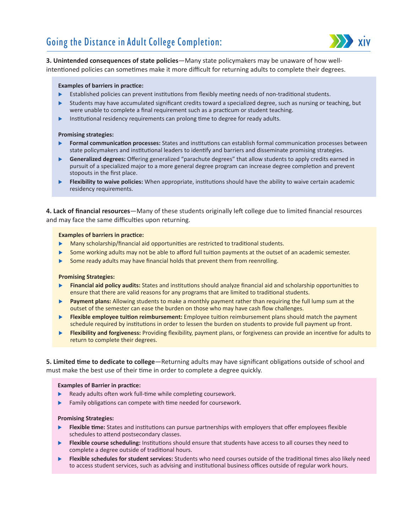

**3. Unintended consequences of state policies**—Many state policymakers may be unaware of how wellintentioned policies can sometimes make it more difficult for returning adults to complete their degrees.

#### **Examples of barriers in practice:**

- $\triangleright$  Established policies can prevent institutions from flexibly meeting needs of non-traditional students.
- $\triangleright$  Students may have accumulated significant credits toward a specialized degree, such as nursing or teaching, but were unable to complete a final requirement such as a practicum or student teaching.
- Institutional residency requirements can prolong time to degree for ready adults.

#### **Promising strategies:**

- Formal communication processes: States and institutions can establish formal communication processes between state policymakers and institutional leaders to identify and barriers and disseminate promising strategies.
- Generalized degrees: Offering generalized "parachute degrees" that allow students to apply credits earned in pursuit of a specialized major to a more general degree program can increase degree completion and prevent stopouts in the first place.
- Flexibility to waive policies: When appropriate, institutions should have the ability to waive certain academic residency requirements.

**4. Lack of financial resources**—Many of these students originally left college due to limited financial resources and may face the same difficulties upon returning.

#### **Examples of barriers in practice:**

- $\blacktriangleright$  Many scholarship/financial aid opportunities are restricted to traditional students.
- Some working adults may not be able to afford full tuition payments at the outset of an academic semester.
- $\triangleright$  Some ready adults may have financial holds that prevent them from reenrolling.

#### **Promising Strategies:**

- **Financial aid policy audits:** States and institutions should analyze financial aid and scholarship opportunities to ensure that there are valid reasons for any programs that are limited to traditional students.
- **Payment plans:** Allowing students to make a monthly payment rather than requiring the full lump sum at the outset of the semester can ease the burden on those who may have cash flow challenges.
- **Elexible employee tuition reimbursement:** Employee tuition reimbursement plans should match the payment schedule required by institutions in order to lessen the burden on students to provide full payment up front.
- **Flexibility and forgiveness:** Providing flexibility, payment plans, or forgiveness can provide an incentive for adults to return to complete their degrees.

**5. Limited time to dedicate to college**—Returning adults may have significant obligations outside of school and must make the best use of their time in order to complete a degree quickly.

#### **Examples of Barrier in practice:**

- $\blacktriangleright$  Ready adults often work full-time while completing coursework.
- $\blacktriangleright$  Family obligations can compete with time needed for coursework.

#### **Promising Strategies:**

- Flexible time: States and institutions can pursue partnerships with employers that offer employees flexible schedules to attend postsecondary classes.
- Flexible course scheduling: Institutions should ensure that students have access to all courses they need to complete a degree outside of traditional hours.
- Flexible schedules for student services: Students who need courses outside of the traditional times also likely need to access student services, such as advising and institutional business offices outside of regular work hours.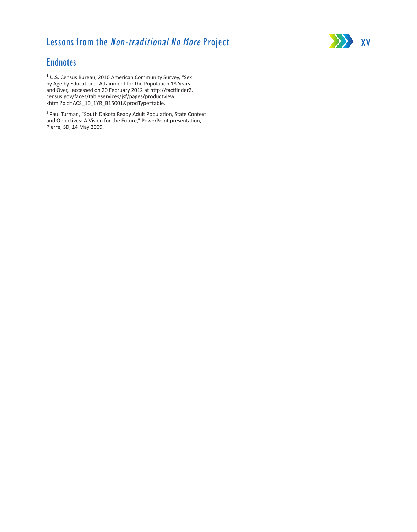

# **Endnotes**

 $1$  U.S. Census Bureau, 2010 American Community Survey, "Sex by Age by Educational Attainment for the Population 18 Years and Over," accessed on 20 February 2012 at http://factfinder2. census.gov/faces/tableservices/jsf/pages/productview. xhtml?pid=ACS\_10\_1YR\_B15001&prodType=table.

<sup>2</sup> Paul Turman, "South Dakota Ready Adult Population, State Context and Objectives: A Vision for the Future," PowerPoint presentation, Pierre, SD, 14 May 2009.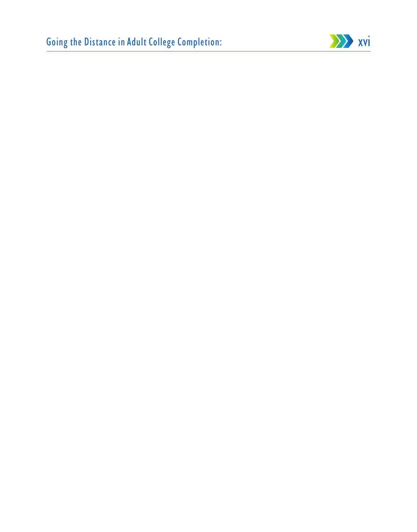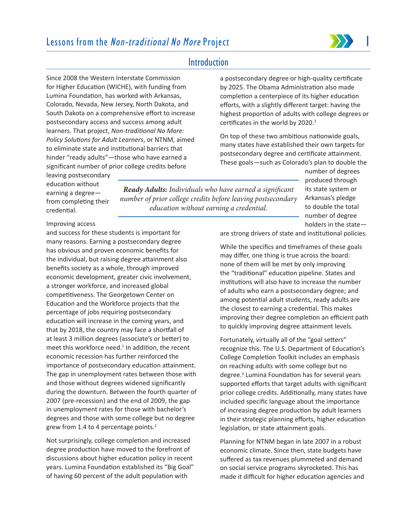number of degrees produced through its state system or Arkansas's pledge to double the total number of degree holders in the state—

# Introduction

Since 2008 the Western Interstate Commission for Higher Education (WICHE), with funding from Lumina Foundation, has worked with Arkansas, Colorado, Nevada, New Jersey, North Dakota, and South Dakota on a comprehensive effort to increase postsecondary access and success among adult learners. That project, *Non-traditional No More: Policy Solutions for Adult Learners*, or NTNM, aimed to eliminate state and institutional barriers that hinder "ready adults"—those who have earned a significant number of prior college credits before

a postsecondary degree or high-quality certificate by 2025. The Obama Administration also made completion a centerpiece of its higher education efforts, with a slightly different target: having the highest proportion of adults with college degrees or certificates in the world by 2020.3

On top of these two ambitious nationwide goals, many states have established their own targets for postsecondary degree and certificate attainment. These goals—such as Colorado's plan to double the

leaving postsecondary education without earning a degree from completing their credential.

*Ready Adults: Individuals who have earned a significant number of prior college credits before leaving postsecondary education without earning a credential.*

Improving access

and success for these students is important for many reasons. Earning a postsecondary degree has obvious and proven economic benefits for the individual, but raising degree attainment also benefits society as a whole, through improved economic development, greater civic involvement, a stronger workforce, and increased global competitiveness. The Georgetown Center on Education and the Workforce projects that the percentage of jobs requiring postsecondary education will increase in the coming years, and that by 2018, the country may face a shortfall of at least 3 million degrees (associate's or better) to meet this workforce need. $1$  In addition, the recent economic recession has further reinforced the importance of postsecondary education attainment. The gap in unemployment rates between those with and those without degrees widened significantly during the downturn. Between the fourth quarter of 2007 (pre-recession) and the end of 2009, the gap in unemployment rates for those with bachelor's degrees and those with some college but no degree grew from 1.4 to 4 percentage points.<sup>2</sup>

Not surprisingly, college completion and increased degree production have moved to the forefront of discussions about higher education policy in recent years. Lumina Foundation established its "Big Goal" of having 60 percent of the adult population with

are strong drivers of state and institutional policies.

While the specifics and timeframes of these goals may differ, one thing is true across the board: none of them will be met by only improving the "traditional" education pipeline. States and institutions will also have to increase the number of adults who earn a postsecondary degree; and among potential adult students, ready adults are the closest to earning a credential. This makes improving their degree completion an efficient path to quickly improving degree attainment levels.

Fortunately, virtually all of the "goal setters" recognize this. The U.S. Department of Education's College Completion Toolkit includes an emphasis on reaching adults with some college but no degree.<sup>3</sup> Lumina Foundation has for several years supported efforts that target adults with significant prior college credits. Additionally, many states have included specific language about the importance of increasing degree production by adult learners in their strategic planning efforts, higher education legislation, or state attainment goals.

Planning for NTNM began in late 2007 in a robust economic climate. Since then, state budgets have suffered as tax revenues plummeted and demand on social service programs skyrocketed. This has made it difficult for higher education agencies and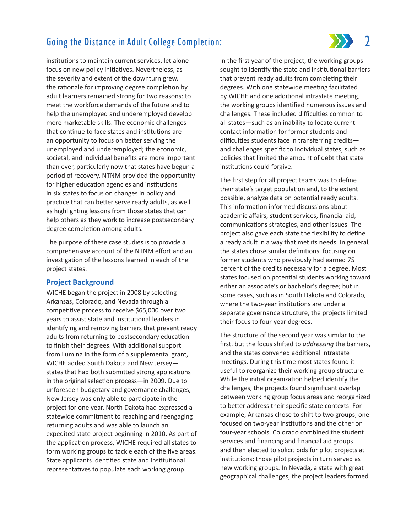# Going the Distance in Adult College Completion:

institutions to maintain current services, let alone focus on new policy initiatives. Nevertheless, as the severity and extent of the downturn grew, the rationale for improving degree completion by adult learners remained strong for two reasons: to meet the workforce demands of the future and to help the unemployed and underemployed develop more marketable skills. The economic challenges that continue to face states and institutions are an opportunity to focus on better serving the unemployed and underemployed; the economic, societal, and individual benefits are more important than ever, particularly now that states have begun a period of recovery. NTNM provided the opportunity for higher education agencies and institutions in six states to focus on changes in policy and practice that can better serve ready adults, as well as highlighting lessons from those states that can help others as they work to increase postsecondary degree completion among adults.

The purpose of these case studies is to provide a comprehensive account of the NTNM effort and an investigation of the lessons learned in each of the project states.

# **Project Background**

WICHE began the project in 2008 by selecting Arkansas, Colorado, and Nevada through a competitive process to receive \$65,000 over two years to assist state and institutional leaders in identifying and removing barriers that prevent ready adults from returning to postsecondary education to finish their degrees. With additional support from Lumina in the form of a supplemental grant, WICHE added South Dakota and New Jersey states that had both submitted strong applications in the original selection process—in 2009. Due to unforeseen budgetary and governance challenges, New Jersey was only able to participate in the project for one year. North Dakota had expressed a statewide commitment to reaching and reengaging returning adults and was able to launch an expedited state project beginning in 2010. As part of the application process, WICHE required all states to form working groups to tackle each of the five areas. State applicants identified state and institutional representatives to populate each working group.

In the first year of the project, the working groups sought to identify the state and institutional barriers that prevent ready adults from completing their degrees. With one statewide meeting facilitated by WICHE and one additional intrastate meeting, the working groups identified numerous issues and challenges. These included difficulties common to all states—such as an inability to locate current contact information for former students and difficulties students face in transferring credits and challenges specific to individual states, such as policies that limited the amount of debt that state institutions could forgive.

The first step for all project teams was to define their state's target population and, to the extent possible, analyze data on potential ready adults. This information informed discussions about academic affairs, student services, financial aid, communications strategies, and other issues. The project also gave each state the flexibility to define a ready adult in a way that met its needs. In general, the states chose similar definitions, focusing on former students who previously had earned 75 percent of the credits necessary for a degree. Most states focused on potential students working toward either an associate's or bachelor's degree; but in some cases, such as in South Dakota and Colorado, where the two-year institutions are under a separate governance structure, the projects limited their focus to four-year degrees.

The structure of the second year was similar to the first, but the focus shifted to *addressing* the barriers, and the states convened additional intrastate meetings. During this time most states found it useful to reorganize their working group structure. While the initial organization helped identify the challenges, the projects found significant overlap between working group focus areas and reorganized to better address their specific state contexts. For example, Arkansas chose to shift to two groups, one focused on two-year institutions and the other on four-year schools. Colorado combined the student services and financing and financial aid groups and then elected to solicit bids for pilot projects at institutions; those pilot projects in turn served as new working groups. In Nevada, a state with great geographical challenges, the project leaders formed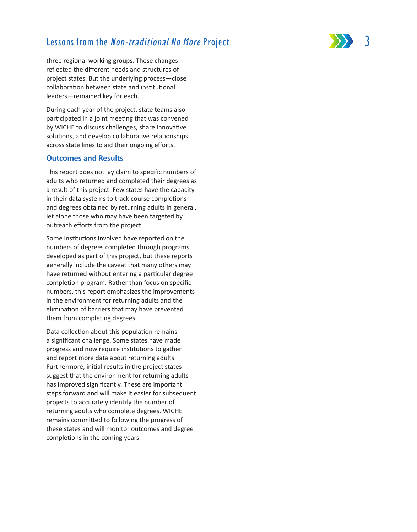three regional working groups. These changes reflected the different needs and structures of project states. But the underlying process—close collaboration between state and institutional leaders—remained key for each.

During each year of the project, state teams also participated in a joint meeting that was convened by WICHE to discuss challenges, share innovative solutions, and develop collaborative relationships across state lines to aid their ongoing efforts.

### **Outcomes and Results**

This report does not lay claim to specific numbers of adults who returned and completed their degrees as a result of this project. Few states have the capacity in their data systems to track course completions and degrees obtained by returning adults in general, let alone those who may have been targeted by outreach efforts from the project.

Some institutions involved have reported on the numbers of degrees completed through programs developed as part of this project, but these reports generally include the caveat that many others may have returned without entering a particular degree completion program. Rather than focus on specific numbers, this report emphasizes the improvements in the environment for returning adults and the elimination of barriers that may have prevented them from completing degrees.

Data collection about this population remains a significant challenge. Some states have made progress and now require institutions to gather and report more data about returning adults. Furthermore, initial results in the project states suggest that the environment for returning adults has improved significantly. These are important steps forward and will make it easier for subsequent projects to accurately identify the number of returning adults who complete degrees. WICHE remains committed to following the progress of these states and will monitor outcomes and degree completions in the coming years.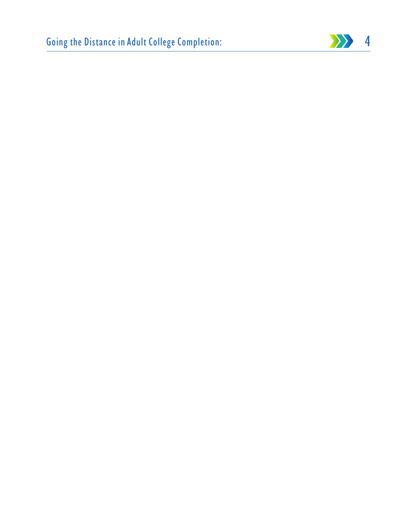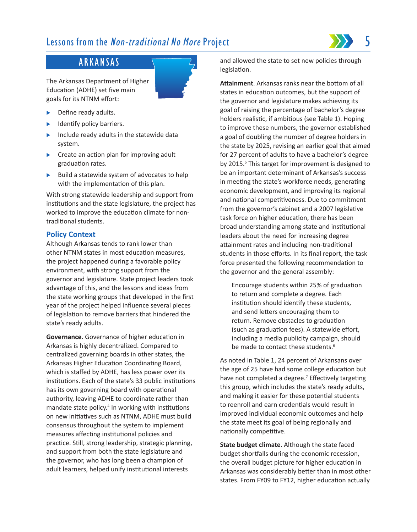# Lessons from the *Non-traditional No More* Project 5



# Arkansas

The Arkansas Department of Higher Education (ADHE) set five main goals for its NTNM effort:



- $\blacktriangleright$  Define ready adults.
- $\blacktriangleright$  Identify policy barriers.
- Include ready adults in the statewide data system.
- Create an action plan for improving adult graduation rates.
- $\blacktriangleright$  Build a statewide system of advocates to help with the implementation of this plan.

With strong statewide leadership and support from institutions and the state legislature, the project has worked to improve the education climate for nontraditional students.

# **Policy Context**

Although Arkansas tends to rank lower than other NTNM states in most education measures, the project happened during a favorable policy environment, with strong support from the governor and legislature. State project leaders took advantage of this, and the lessons and ideas from the state working groups that developed in the first year of the project helped influence several pieces of legislation to remove barriers that hindered the state's ready adults.

**Governance**. Governance of higher education in Arkansas is highly decentralized. Compared to centralized governing boards in other states, the Arkansas Higher Education Coordinating Board, which is staffed by ADHE, has less power over its institutions. Each of the state's 33 public institutions has its own governing board with operational authority, leaving ADHE to coordinate rather than mandate state policy.<sup>4</sup> In working with institutions on new initiatives such as NTNM, ADHE must build consensus throughout the system to implement measures affecting institutional policies and practice. Still, strong leadership, strategic planning, and support from both the state legislature and the governor, who has long been a champion of adult learners, helped unify institutional interests

and allowed the state to set new policies through legislation.

**Attainment**. Arkansas ranks near the bottom of all states in education outcomes, but the support of the governor and legislature makes achieving its goal of raising the percentage of bachelor's degree holders realistic, if ambitious (see Table 1). Hoping to improve these numbers, the governor established a goal of doubling the number of degree holders in the state by 2025, revising an earlier goal that aimed for 27 percent of adults to have a bachelor's degree by 2015.<sup>5</sup> This target for improvement is designed to be an important determinant of Arkansas's success in meeting the state's workforce needs, generating economic development, and improving its regional and national competitiveness. Due to commitment from the governor's cabinet and a 2007 legislative task force on higher education, there has been broad understanding among state and institutional leaders about the need for increasing degree attainment rates and including non-traditional students in those efforts. In its final report, the task force presented the following recommendation to the governor and the general assembly:

Encourage students within 25% of graduation to return and complete a degree. Each institution should identify these students, and send letters encouraging them to return. Remove obstacles to graduation (such as graduation fees). A statewide effort, including a media publicity campaign, should be made to contact these students.<sup>6</sup>

As noted in Table 1, 24 percent of Arkansans over the age of 25 have had some college education but have not completed a degree.<sup>7</sup> Effectively targeting this group, which includes the state's ready adults, and making it easier for these potential students to reenroll and earn credentials would result in improved individual economic outcomes and help the state meet its goal of being regionally and nationally competitive.

**State budget climate**. Although the state faced budget shortfalls during the economic recession, the overall budget picture for higher education in Arkansas was considerably better than in most other states. From FY09 to FY12, higher education actually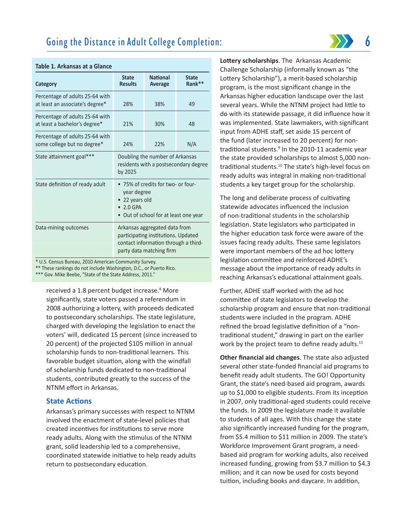| Table 1. Arkansas at a Glance                                      |                                                                                                                                 |                            |                        |  |
|--------------------------------------------------------------------|---------------------------------------------------------------------------------------------------------------------------------|----------------------------|------------------------|--|
| Category                                                           | <b>State</b><br><b>Results</b>                                                                                                  | <b>National</b><br>Average | <b>State</b><br>Rank** |  |
| Percentage of adults 25-64 with<br>at least an associate's degree* | 28%                                                                                                                             | 38%                        | 49                     |  |
| Percentage of adults 25-64 with<br>at least a bachelor's degree*   | 21%                                                                                                                             | 30%                        | 48                     |  |
| Percentage of adults 25-64 with<br>some college but no degree*     | 24%                                                                                                                             | 22%                        | N/A                    |  |
| State attainment goal***                                           | Doubling the number of Arkansas<br>residents with a postsecondary degree<br>by 2025                                             |                            |                        |  |
| State definition of ready adult                                    | • 75% of credits for two- or four-<br>year degree<br>22 years old<br>$\bullet$ 2.0 GPA<br>• Out of school for at least one year |                            |                        |  |
| Data-mining outcomes                                               | Arkansas aggregated data from<br>participating institutions. Updated                                                            |                            |                        |  |

contact information through a third-

party data matching firm

#### **Table 1. Arkansas at a Glance**

\* U.S. Census Bureau, 2010 American Community Survey.

\*\* These rankings do not include Washington, D.C., or Puerto Rico.

\*\*\* Gov. Mike Beebe, "State of the State Address, 2011."

received a 1.8 percent budget increase.<sup>8</sup> More significantly, state voters passed a referendum in 2008 authorizing a lottery, with proceeds dedicated to postsecondary scholarships. The state legislature, charged with developing the legislation to enact the voters' will, dedicated 15 percent (since increased to 20 percent) of the projected \$105 million in annual scholarship funds to non-traditional learners. This favorable budget situation, along with the windfall of scholarship funds dedicated to non-traditional students, contributed greatly to the success of the NTNM effort in Arkansas.

### **State Actions**

Arkansas's primary successes with respect to NTNM involved the enactment of state-level policies that created incentives for institutions to serve more ready adults. Along with the stimulus of the NTNM grant, solid leadership led to a comprehensive, coordinated statewide initiative to help ready adults return to postsecondary education.

tery scholarships. The Arkansas Academic allenge Scholarship (informally known as "the tery Scholarship"), a merit-based scholarship gram, is the most significant change in the ansas higher education landscape over the last eral years. While the NTNM project had little to with its statewide passage, it did influence how it s implemented. State lawmakers, with significant ut from ADHE staff, set aside 15 percent of fund (later increased to 20 percent) for nontraditional students.<sup>9</sup> In the 2010-11 academic year state provided scholarships to almost 5,000 nonditional students.<sup>10</sup> The state's high-level focus on dy adults was integral in making non-traditional dents a key target group for the scholarship.

I long and deliberate process of cultivating tewide advocates influenced the inclusion non-traditional students in the scholarship islation. State legislators who participated in higher education task force were aware of the issues facing ready adults. These same legislators were important members of the ad hoc lottery legislation committee and reinforced ADHE's message about the importance of ready adults in reaching Arkansas's educational attainment goals.

Further, ADHE staff worked with the ad hoc committee of state legislators to develop the scholarship program and ensure that non-traditional students were included in the program. ADHE refined the broad legislative definition of a "nontraditional student," drawing in part on the earlier work by the project team to define ready adults.<sup>11</sup>

**Other financial aid changes**. The state also adjusted several other state-funded financial aid programs to benefit ready adult students. The GO! Opportunity Grant, the state's need-based aid program, awards up to \$1,000 to eligible students. From its inception in 2007, only traditional-aged students could receive the funds. In 2009 the legislature made it available to students of all ages. With this change the state also significantly increased funding for the program, from \$5.4 million to \$11 million in 2009. The state's Workforce Improvement Grant program, a needbased aid program for working adults, also received increased funding, growing from \$3.7 million to \$4.3 million; and it can now be used for costs beyond tuition, including books and daycare. In addition,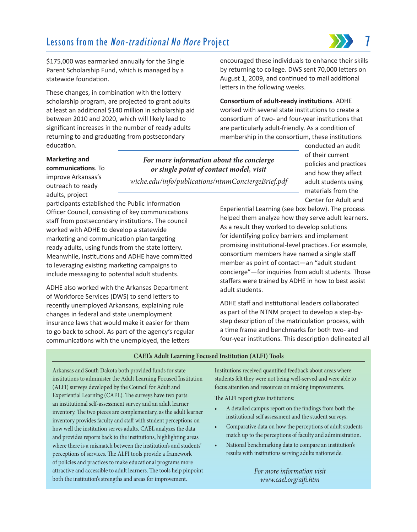\$175,000 was earmarked annually for the Single Parent Scholarship Fund, which is managed by a statewide foundation.

These changes, in combination with the lottery scholarship program, are projected to grant adults at least an additional \$140 million in scholarship aid between 2010 and 2020, which will likely lead to significant increases in the number of ready adults returning to and graduating from postsecondary education.

**Marketing and communications**. To improve Arkansas's outreach to ready

encouraged these individuals to enhance their skills by returning to college. DWS sent 70,000 letters on August 1, 2009, and continued to mail additional letters in the following weeks.

**Consortium of adult-ready institutions**. ADHE worked with several state institutions to create a consortium of two- and four-year institutions that are particularly adult-friendly. As a condition of membership in the consortium, these institutions

> conducted an audit of their current policies and practices and how they affect adult students using materials from the Center for Adult and

Experiential Learning (see box below). The process helped them analyze how they serve adult learners. As a result they worked to develop solutions for identifying policy barriers and implement promising institutional-level practices. For example, consortium members have named a single staff member as point of contact—an "adult student concierge"—for inquiries from adult students. Those staffers were trained by ADHE in how to best assist adult students.

ADHE staff and institutional leaders collaborated as part of the NTNM project to develop a step-bystep description of the matriculation process, with a time frame and benchmarks for both two- and four-year institutions. This description delineated all

**CAEL's Adult Learning Focused Institution (ALFI) Tools**

Arkansas and South Dakota both provided funds for state institutions to administer the Adult Learning Focused Institution (ALFI) surveys developed by the Council for Adult and Experiential Learning (CAEL). The surveys have two parts: an institutional self-assessment survey and an adult learner inventory. The two pieces are complementary, as the adult learner inventory provides faculty and staff with student perceptions on how well the institution serves adults. CAEL analyzes the data and provides reports back to the institutions, highlighting areas where there is a mismatch between the institution's and students' perceptions of services. The ALFI tools provide a framework of policies and practices to make educational programs more attractive and accessible to adult learners. The tools help pinpoint both the institution's strengths and areas for improvement.

Institutions received quantified feedback about areas where students felt they were not being well-served and were able to focus attention and resources on making improvements.

The ALFI report gives institutions:

- A detailed campus report on the findings from both the institutional self assessment and the student surveys.
- Comparative data on how the perceptions of adult students match up to the perceptions of faculty and administration.
- National benchmarking data to compare an institution's results with institutions serving adults nationwide.

*For more information visit www.cael.org/alfi.htm*

# *For more information about the concierge or single point of contact model, visit*

*wiche.edu/info/publications/ntnmConciergeBrief.pdf*

adults, project participants established the Public Information Officer Council, consisting of key communications staff from postsecondary institutions. The council worked with ADHE to develop a statewide marketing and communication plan targeting ready adults, using funds from the state lottery. Meanwhile, institutions and ADHE have committed to leveraging existing marketing campaigns to include messaging to potential adult students.

ADHE also worked with the Arkansas Department of Workforce Services (DWS) to send letters to recently unemployed Arkansans, explaining rule changes in federal and state unemployment insurance laws that would make it easier for them to go back to school. As part of the agency's regular communications with the unemployed, the letters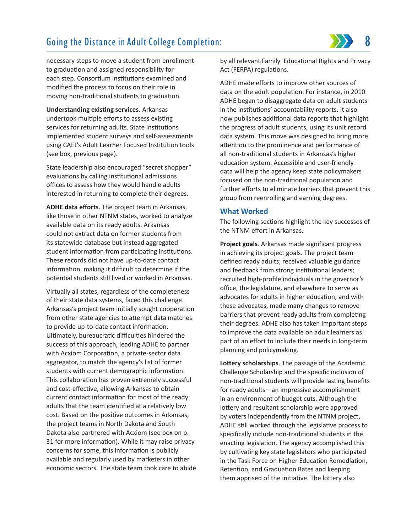# Going the Distance in Adult College Completion: 8

necessary steps to move a student from enrollment to graduation and assigned responsibility for each step. Consortium institutions examined and modified the process to focus on their role in moving non-traditional students to graduation.

**Understanding existing services.** Arkansas undertook multiple efforts to assess existing services for returning adults. State institutions implemented student surveys and self-assessments using CAEL's Adult Learner Focused Institution tools (see box, previous page).

State leadership also encouraged "secret shopper" evaluations by calling institutional admissions offices to assess how they would handle adults interested in returning to complete their degrees.

**ADHE data efforts**. The project team in Arkansas, like those in other NTNM states, worked to analyze available data on its ready adults. Arkansas could not extract data on former students from its statewide database but instead aggregated student information from participating institutions. These records did not have up-to-date contact information, making it difficult to determine if the potential students still lived or worked in Arkansas.

Virtually all states, regardless of the completeness of their state data systems, faced this challenge. Arkansas's project team initially sought cooperation from other state agencies to attempt data matches to provide up-to-date contact information. Ultimately, bureaucratic difficulties hindered the success of this approach, leading ADHE to partner with Acxiom Corporation, a private-sector data aggregator, to match the agency's list of former students with current demographic information. This collaboration has proven extremely successful and cost-effective, allowing Arkansas to obtain current contact information for most of the ready adults that the team identified at a relatively low cost. Based on the positive outcomes in Arkansas, the project teams in North Dakota and South Dakota also partnered with Acxiom (see box on p. 31 for more information). While it may raise privacy concerns for some, this information is publicly available and regularly used by marketers in other economic sectors. The state team took care to abide

by all relevant Family Educational Rights and Privacy Act (FERPA) regulations.

ADHE made efforts to improve other sources of data on the adult population. For instance, in 2010 ADHE began to disaggregate data on adult students in the institutions' accountability reports. It also now publishes additional data reports that highlight the progress of adult students, using its unit record data system. This move was designed to bring more attention to the prominence and performance of all non-traditional students in Arkansas's higher education system. Accessible and user-friendly data will help the agency keep state policymakers focused on the non-traditional population and further efforts to eliminate barriers that prevent this group from reenrolling and earning degrees.

# **What Worked**

The following sections highlight the key successes of the NTNM effort in Arkansas.

**Project goals**. Arkansas made significant progress in achieving its project goals. The project team defined ready adults; received valuable guidance and feedback from strong institutional leaders; recruited high-profile individuals in the governor's office, the legislature, and elsewhere to serve as advocates for adults in higher education; and with these advocates, made many changes to remove barriers that prevent ready adults from completing their degrees. ADHE also has taken important steps to improve the data available on adult learners as part of an effort to include their needs in long-term planning and policymaking.

**Lottery scholarships**. The passage of the Academic Challenge Scholarship and the specific inclusion of non-traditional students will provide lasting benefits for ready adults—an impressive accomplishment in an environment of budget cuts. Although the lottery and resultant scholarship were approved by voters independently from the NTNM project, ADHE still worked through the legislative process to specifically include non-traditional students in the enacting legislation. The agency accomplished this by cultivating key state legislators who participated in the Task Force on Higher Education Remediation, Retention, and Graduation Rates and keeping them apprised of the initiative. The lottery also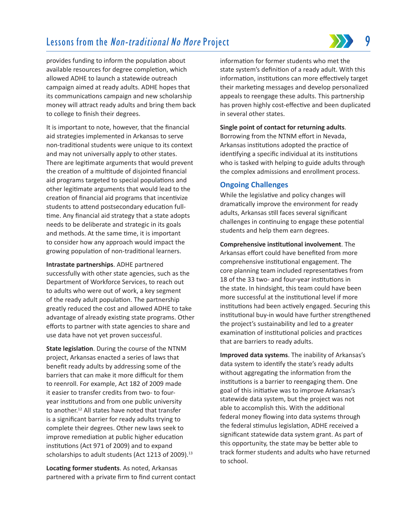# Lessons from the *Non-traditional No More* Project 9

provides funding to inform the population about available resources for degree completion, which allowed ADHE to launch a statewide outreach campaign aimed at ready adults. ADHE hopes that its communications campaign and new scholarship money will attract ready adults and bring them back to college to finish their degrees.

It is important to note, however, that the financial aid strategies implemented in Arkansas to serve non-traditional students were unique to its context and may not universally apply to other states. There are legitimate arguments that would prevent the creation of a multitude of disjointed financial aid programs targeted to special populations and other legitimate arguments that would lead to the creation of financial aid programs that incentivize students to attend postsecondary education fulltime. Any financial aid strategy that a state adopts needs to be deliberate and strategic in its goals and methods. At the same time, it is important to consider how any approach would impact the growing population of non-traditional learners.

**Intrastate partnerships**. ADHE partnered successfully with other state agencies, such as the Department of Workforce Services, to reach out to adults who were out of work, a key segment of the ready adult population. The partnership greatly reduced the cost and allowed ADHE to take advantage of already existing state programs. Other efforts to partner with state agencies to share and use data have not yet proven successful.

**State legislation**. During the course of the NTNM project, Arkansas enacted a series of laws that benefit ready adults by addressing some of the barriers that can make it more difficult for them to reenroll. For example, Act 182 of 2009 made it easier to transfer credits from two- to fouryear institutions and from one public university to another.<sup>12</sup> All states have noted that transfer is a significant barrier for ready adults trying to complete their degrees. Other new laws seek to improve remediation at public higher education institutions (Act 971 of 2009) and to expand scholarships to adult students (Act 1213 of 2009).<sup>13</sup>

**Locating former students**. As noted, Arkansas partnered with a private firm to find current contact

information for former students who met the state system's definition of a ready adult. With this information, institutions can more effectively target their marketing messages and develop personalized appeals to reengage these adults. This partnership has proven highly cost-effective and been duplicated in several other states.

#### **Single point of contact for returning adults**.

Borrowing from the NTNM effort in Nevada, Arkansas institutions adopted the practice of identifying a specific individual at its institutions who is tasked with helping to guide adults through the complex admissions and enrollment process.

### **Ongoing Challenges**

While the legislative and policy changes will dramatically improve the environment for ready adults, Arkansas still faces several significant challenges in continuing to engage these potential students and help them earn degrees.

**Comprehensive institutional involvement**. The Arkansas effort could have benefited from more comprehensive institutional engagement. The core planning team included representatives from 18 of the 33 two- and four-year institutions in the state. In hindsight, this team could have been more successful at the institutional level if more institutions had been actively engaged. Securing this institutional buy-in would have further strengthened the project's sustainability and led to a greater examination of institutional policies and practices that are barriers to ready adults.

**Improved data systems**. The inability of Arkansas's data system to identify the state's ready adults without aggregating the information from the institutions is a barrier to reengaging them. One goal of this initiative was to improve Arkansas's statewide data system, but the project was not able to accomplish this. With the additional federal money flowing into data systems through the federal stimulus legislation, ADHE received a significant statewide data system grant. As part of this opportunity, the state may be better able to track former students and adults who have returned to school.

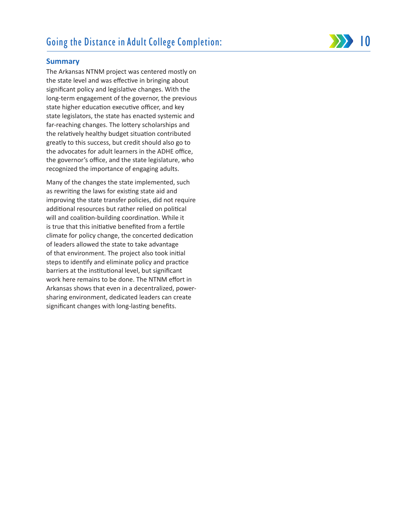# **Summary**

The Arkansas NTNM project was centered mostly on the state level and was effective in bringing about significant policy and legislative changes. With the long-term engagement of the governor, the previous state higher education executive officer, and key state legislators, the state has enacted systemic and far-reaching changes. The lottery scholarships and the relatively healthy budget situation contributed greatly to this success, but credit should also go to the advocates for adult learners in the ADHE office, the governor's office, and the state legislature, who recognized the importance of engaging adults.

Many of the changes the state implemented, such as rewriting the laws for existing state aid and improving the state transfer policies, did not require additional resources but rather relied on political will and coalition-building coordination. While it is true that this initiative benefited from a fertile climate for policy change, the concerted dedication of leaders allowed the state to take advantage of that environment. The project also took initial steps to identify and eliminate policy and practice barriers at the institutional level, but significant work here remains to be done. The NTNM effort in Arkansas shows that even in a decentralized, powersharing environment, dedicated leaders can create significant changes with long-lasting benefits.

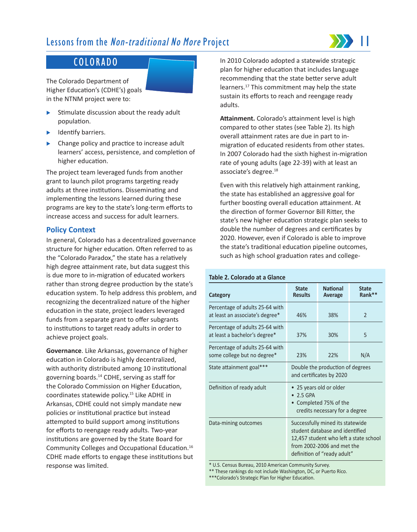# Colorado

The Colorado Department of Higher Education's (CDHE's) goals in the NTNM project were to:

- Stimulate discussion about the ready adult population.
- Identify barriers.
- Change policy and practice to increase adult learners' access, persistence, and completion of higher education.

The project team leveraged funds from another grant to launch pilot programs targeting ready adults at three institutions. Disseminating and implementing the lessons learned during these programs are key to the state's long-term efforts to increase access and success for adult learners.

# **Policy Context**

In general, Colorado has a decentralized governance structure for higher education. Often referred to as the "Colorado Paradox," the state has a relatively high degree attainment rate, but data suggest this is due more to in-migration of educated workers rather than strong degree production by the state's education system. To help address this problem, and recognizing the decentralized nature of the higher education in the state, project leaders leveraged funds from a separate grant to offer subgrants to institutions to target ready adults in order to achieve project goals.

**Governance**. Like Arkansas, governance of higher education in Colorado is highly decentralized, with authority distributed among 10 institutional governing boards.14 CDHE, serving as staff for the Colorado Commission on Higher Education, coordinates statewide policy.15 Like ADHE in Arkansas, CDHE could not simply mandate new policies or institutional practice but instead attempted to build support among institutions for efforts to reengage ready adults. Two-year institutions are governed by the State Board for Community Colleges and Occupational Education.16 CDHE made efforts to engage these institutions but response was limited.

In 2010 Colorado adopted a statewide strategic plan for higher education that includes language recommending that the state better serve adult learners.17 This commitment may help the state sustain its efforts to reach and reengage ready adults.

**Attainment.** Colorado's attainment level is high compared to other states (see Table 2). Its high overall attainment rates are due in part to inmigration of educated residents from other states. In 2007 Colorado had the sixth highest in-migration rate of young adults (age 22-39) with at least an associate's degree.<sup>18</sup>

Even with this relatively high attainment ranking, the state has established an aggressive goal for further boosting overall education attainment. At the direction of former Governor Bill Ritter, the state's new higher education strategic plan seeks to double the number of degrees and certificates by 2020. However, even if Colorado is able to improve the state's traditional education pipeline outcomes, such as high school graduation rates and college-

#### **Table 2. Colorado at a Glance**

| Category                                                           | <b>State</b><br><b>Results</b>                                                                                                                                             | <b>National</b><br>Average | <b>State</b><br>Rank <sup>**</sup> |
|--------------------------------------------------------------------|----------------------------------------------------------------------------------------------------------------------------------------------------------------------------|----------------------------|------------------------------------|
| Percentage of adults 25-64 with<br>at least an associate's degree* | 46%                                                                                                                                                                        | 38%                        | $\mathfrak{p}$                     |
| Percentage of adults 25-64 with<br>at least a bachelor's degree*   | 37%                                                                                                                                                                        | 30%                        | 5                                  |
| Percentage of adults 25-64 with<br>some college but no degree*     | 23%                                                                                                                                                                        | 22%                        | N/A                                |
| State attainment goal***                                           | Double the production of degrees<br>and certificates by 2020                                                                                                               |                            |                                    |
| Definition of ready adult                                          | 25 years old or older<br>2.5 GPA<br>Completed 75% of the<br>credits necessary for a degree                                                                                 |                            |                                    |
| Data-mining outcomes                                               | Successfully mined its statewide<br>student database and identified<br>12,457 student who left a state school<br>from 2002-2006 and met the<br>definition of "ready adult" |                            |                                    |

\* U.S. Census Bureau, 2010 American Community Survey.

\*\* These rankings do not include Washington, DC, or Puerto Rico.

\*\*\*Colorado's Strategic Plan for Higher Education.

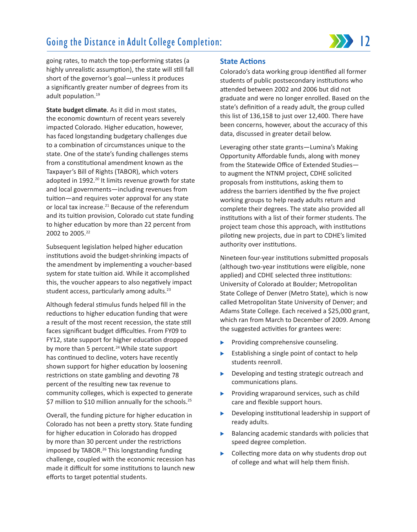# Going the Distance in Adult College Completion: 122 (2)

going rates, to match the top-performing states (a highly unrealistic assumption), the state will still fall short of the governor's goal—unless it produces a significantly greater number of degrees from its adult population.<sup>19</sup>

**State budget climate**. As it did in most states, the economic downturn of recent years severely impacted Colorado. Higher education, however, has faced longstanding budgetary challenges due to a combination of circumstances unique to the state. One of the state's funding challenges stems from a constitutional amendment known as the Taxpayer's Bill of Rights (TABOR), which voters adopted in 1992.<sup>20</sup> It limits revenue growth for state and local governments—including revenues from tuition—and requires voter approval for any state or local tax increase.<sup>21</sup> Because of the referendum and its tuition provision, Colorado cut state funding to higher education by more than 22 percent from 2002 to 2005.<sup>22</sup>

Subsequent legislation helped higher education institutions avoid the budget-shrinking impacts of the amendment by implementing a voucher-based system for state tuition aid. While it accomplished this, the voucher appears to also negatively impact student access, particularly among adults.<sup>23</sup>

Although federal stimulus funds helped fill in the reductions to higher education funding that were a result of the most recent recession, the state still faces significant budget difficulties. From FY09 to FY12, state support for higher education dropped by more than 5 percent.<sup>24</sup> While state support has continued to decline, voters have recently shown support for higher education by loosening restrictions on state gambling and devoting 78 percent of the resulting new tax revenue to community colleges, which is expected to generate \$7 million to \$10 million annually for the schools.<sup>25</sup>

Overall, the funding picture for higher education in Colorado has not been a pretty story. State funding for higher education in Colorado has dropped by more than 30 percent under the restrictions imposed by TABOR.<sup>26</sup> This longstanding funding challenge, coupled with the economic recession has made it difficult for some institutions to launch new efforts to target potential students.

# **State Actions**

Colorado's data working group identified all former students of public postsecondary institutions who attended between 2002 and 2006 but did not graduate and were no longer enrolled. Based on the state's definition of a ready adult, the group culled this list of 136,158 to just over 12,400. There have been concerns, however, about the accuracy of this data, discussed in greater detail below.

Leveraging other state grants—Lumina's Making Opportunity Affordable funds, along with money from the Statewide Office of Extended Studies to augment the NTNM project, CDHE solicited proposals from institutions, asking them to address the barriers identified by the five project working groups to help ready adults return and complete their degrees. The state also provided all institutions with a list of their former students. The project team chose this approach, with institutions piloting new projects, due in part to CDHE's limited authority over institutions.

Nineteen four-year institutions submitted proposals (although two-year institutions were eligible, none applied) and CDHE selected three institutions: University of Colorado at Boulder; Metropolitan State College of Denver (Metro State), which is now called Metropolitan State University of Denver; and Adams State College. Each received a \$25,000 grant, which ran from March to December of 2009. Among the suggested activities for grantees were:

- $\blacktriangleright$  Providing comprehensive counseling.
- $\blacktriangleright$  Establishing a single point of contact to help students reenroll.
- $\blacktriangleright$  Developing and testing strategic outreach and communications plans.
- $\blacktriangleright$  Providing wraparound services, such as child care and flexible support hours.
- $\triangleright$  Developing institutional leadership in support of ready adults.
- Balancing academic standards with policies that speed degree completion.
- $\triangleright$  Collecting more data on why students drop out of college and what will help them finish.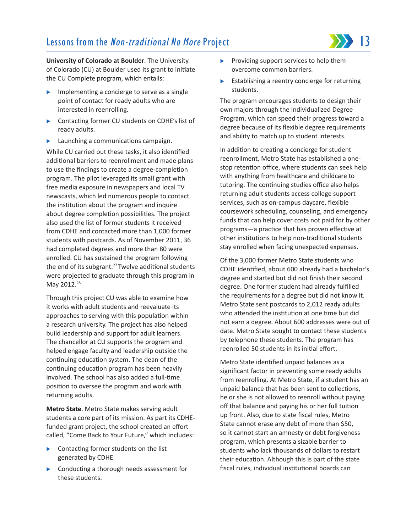**University of Colorado at Boulder**. The University of Colorado (CU) at Boulder used its grant to initiate the CU Complete program, which entails:

- Implementing a concierge to serve as a single point of contact for ready adults who are interested in reenrolling.
- $\triangleright$  Contacting former CU students on CDHE's list of ready adults.
- $\blacktriangleright$  Launching a communications campaign.

While CU carried out these tasks, it also identified additional barriers to reenrollment and made plans to use the findings to create a degree-completion program. The pilot leveraged its small grant with free media exposure in newspapers and local TV newscasts, which led numerous people to contact the institution about the program and inquire about degree completion possibilities. The project also used the list of former students it received from CDHE and contacted more than 1,000 former students with postcards. As of November 2011, 36 had completed degrees and more than 80 were enrolled. CU has sustained the program following the end of its subgrant.<sup>27</sup> Twelve additional students were projected to graduate through this program in May 2012.<sup>28</sup>

Through this project CU was able to examine how it works with adult students and reevaluate its approaches to serving with this population within a research university. The project has also helped build leadership and support for adult learners. The chancellor at CU supports the program and helped engage faculty and leadership outside the continuing education system. The dean of the continuing education program has been heavily involved. The school has also added a full-time position to oversee the program and work with returning adults.

**Metro State**. Metro State makes serving adult students a core part of its mission. As part its CDHEfunded grant project, the school created an effort called, "Come Back to Your Future," which includes:

- $\triangleright$  Contacting former students on the list generated by CDHE.
- $\triangleright$  Conducting a thorough needs assessment for these students.
- $\blacktriangleright$  Providing support services to help them overcome common barriers.
- $\blacktriangleright$  Establishing a reentry concierge for returning students.

The program encourages students to design their own majors through the Individualized Degree Program, which can speed their progress toward a degree because of its flexible degree requirements and ability to match up to student interests.

In addition to creating a concierge for student reenrollment, Metro State has established a onestop retention office, where students can seek help with anything from healthcare and childcare to tutoring. The continuing studies office also helps returning adult students access college support services, such as on-campus daycare, flexible coursework scheduling, counseling, and emergency funds that can help cover costs not paid for by other programs—a practice that has proven effective at other institutions to help non-traditional students stay enrolled when facing unexpected expenses.

Of the 3,000 former Metro State students who CDHE identified, about 600 already had a bachelor's degree and started but did not finish their second degree. One former student had already fulfilled the requirements for a degree but did not know it. Metro State sent postcards to 2,012 ready adults who attended the institution at one time but did not earn a degree. About 600 addresses were out of date. Metro State sought to contact these students by telephone these students. The program has reenrolled 50 students in its initial effort.

Metro State identified unpaid balances as a significant factor in preventing some ready adults from reenrolling. At Metro State, if a student has an unpaid balance that has been sent to collections, he or she is not allowed to reenroll without paying off that balance and paying his or her full tuition up front. Also, due to state fiscal rules, Metro State cannot erase any debt of more than \$50, so it cannot start an amnesty or debt forgiveness program, which presents a sizable barrier to students who lack thousands of dollars to restart their education. Although this is part of the state fiscal rules, individual institutional boards can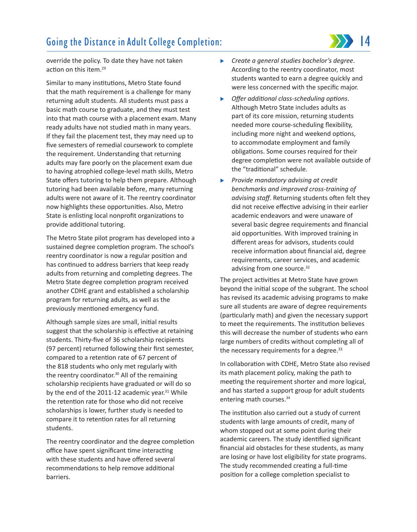# Going the Distance in Adult College Completion: 14 (2008) 14 (2008) 14 (30)

override the policy. To date they have not taken action on this item.29

Similar to many institutions, Metro State found that the math requirement is a challenge for many returning adult students. All students must pass a basic math course to graduate, and they must test into that math course with a placement exam. Many ready adults have not studied math in many years. If they fail the placement test, they may need up to five semesters of remedial coursework to complete the requirement. Understanding that returning adults may fare poorly on the placement exam due to having atrophied college-level math skills, Metro State offers tutoring to help them prepare. Although tutoring had been available before, many returning adults were not aware of it. The reentry coordinator now highlights these opportunities. Also, Metro State is enlisting local nonprofit organizations to provide additional tutoring.

The Metro State pilot program has developed into a sustained degree completion program. The school's reentry coordinator is now a regular position and has continued to address barriers that keep ready adults from returning and completing degrees. The Metro State degree completion program received another CDHE grant and established a scholarship program for returning adults, as well as the previously mentioned emergency fund.

Although sample sizes are small, initial results suggest that the scholarship is effective at retaining students. Thirty-five of 36 scholarship recipients (97 percent) returned following their first semester, compared to a retention rate of 67 percent of the 818 students who only met regularly with the reentry coordinator.<sup>30</sup> All of the remaining scholarship recipients have graduated or will do so by the end of the 2011-12 academic year. $31$  While the retention rate for those who did not receive scholarships is lower, further study is needed to compare it to retention rates for all returning students.

The reentry coordinator and the degree completion office have spent significant time interacting with these students and have offered several recommendations to help remove additional barriers.

- ▶ Create a general studies bachelor's degree. According to the reentry coordinator, most students wanted to earn a degree quickly and were less concerned with the specific major.
- ▶ *Offer additional class-scheduling options.* Although Metro State includes adults as part of its core mission, returning students needed more course-scheduling flexibility, including more night and weekend options, to accommodate employment and family obligations. Some courses required for their degree completion were not available outside of the "traditional" schedule.
- **Provide mandatory advising at credit** *benchmarks and improved cross-training of advising staff*. Returning students often felt they did not receive effective advising in their earlier academic endeavors and were unaware of several basic degree requirements and financial aid opportunities. With improved training in different areas for advisors, students could receive information about financial aid, degree requirements, career services, and academic advising from one source.<sup>32</sup>

The project activities at Metro State have grown beyond the initial scope of the subgrant. The school has revised its academic advising programs to make sure all students are aware of degree requirements (particularly math) and given the necessary support to meet the requirements. The institution believes this will decrease the number of students who earn large numbers of credits without completing all of the necessary requirements for a degree.<sup>33</sup>

In collaboration with CDHE, Metro State also revised its math placement policy, making the path to meeting the requirement shorter and more logical, and has started a support group for adult students entering math courses.<sup>34</sup>

The institution also carried out a study of current students with large amounts of credit, many of whom stopped out at some point during their academic careers. The study identified significant financial aid obstacles for these students, as many are losing or have lost eligibility for state programs. The study recommended creating a full-time position for a college completion specialist to

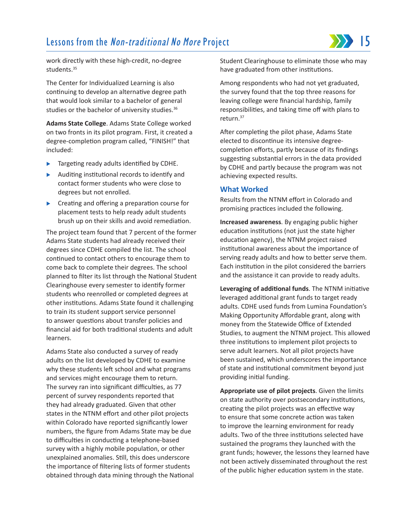work directly with these high-credit, no-degree students.35

The Center for Individualized Learning is also continuing to develop an alternative degree path that would look similar to a bachelor of general studies or the bachelor of university studies.<sup>36</sup>

**Adams State College**. Adams State College worked on two fronts in its pilot program. First, it created a degree-completion program called, "FINISH!" that included:

- Targeting ready adults identified by CDHE.
- $\blacktriangleright$  Auditing institutional records to identify and contact former students who were close to degrees but not enrolled.
- $\triangleright$  Creating and offering a preparation course for placement tests to help ready adult students brush up on their skills and avoid remediation.

The project team found that 7 percent of the former Adams State students had already received their degrees since CDHE compiled the list. The school continued to contact others to encourage them to come back to complete their degrees. The school planned to filter its list through the National Student Clearinghouse every semester to identify former students who reenrolled or completed degrees at other institutions. Adams State found it challenging to train its student support service personnel to answer questions about transfer policies and financial aid for both traditional students and adult learners.

Adams State also conducted a survey of ready adults on the list developed by CDHE to examine why these students left school and what programs and services might encourage them to return. The survey ran into significant difficulties, as 77 percent of survey respondents reported that they had already graduated. Given that other states in the NTNM effort and other pilot projects within Colorado have reported significantly lower numbers, the figure from Adams State may be due to difficulties in conducting a telephone-based survey with a highly mobile population, or other unexplained anomalies. Still, this does underscore the importance of filtering lists of former students obtained through data mining through the National Student Clearinghouse to eliminate those who may have graduated from other institutions.

Among respondents who had not yet graduated, the survey found that the top three reasons for leaving college were financial hardship, family responsibilities, and taking time off with plans to return.37

After completing the pilot phase, Adams State elected to discontinue its intensive degreecompletion efforts, partly because of its findings suggesting substantial errors in the data provided by CDHE and partly because the program was not achieving expected results.

### **What Worked**

Results from the NTNM effort in Colorado and promising practices included the following.

**Increased awareness**. By engaging public higher education institutions (not just the state higher education agency), the NTNM project raised institutional awareness about the importance of serving ready adults and how to better serve them. Each institution in the pilot considered the barriers and the assistance it can provide to ready adults.

**Leveraging of additional funds**. The NTNM initiative leveraged additional grant funds to target ready adults. CDHE used funds from Lumina Foundation's Making Opportunity Affordable grant, along with money from the Statewide Office of Extended Studies, to augment the NTNM project. This allowed three institutions to implement pilot projects to serve adult learners. Not all pilot projects have been sustained, which underscores the importance of state and institutional commitment beyond just providing initial funding.

**Appropriate use of pilot projects**. Given the limits on state authority over postsecondary institutions, creating the pilot projects was an effective way to ensure that some concrete action was taken to improve the learning environment for ready adults. Two of the three institutions selected have sustained the programs they launched with the grant funds; however, the lessons they learned have not been actively disseminated throughout the rest of the public higher education system in the state.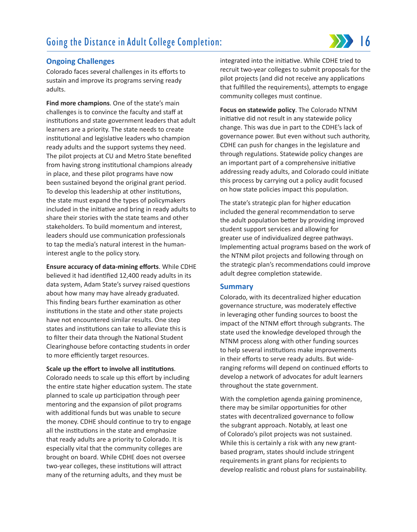# **Ongoing Challenges**

Colorado faces several challenges in its efforts to sustain and improve its programs serving ready adults.

**Find more champions**. One of the state's main challenges is to convince the faculty and staff at institutions and state government leaders that adult learners are a priority. The state needs to create institutional and legislative leaders who champion ready adults and the support systems they need. The pilot projects at CU and Metro State benefited from having strong institutional champions already in place, and these pilot programs have now been sustained beyond the original grant period. To develop this leadership at other institutions, the state must expand the types of policymakers included in the initiative and bring in ready adults to share their stories with the state teams and other stakeholders. To build momentum and interest, leaders should use communication professionals to tap the media's natural interest in the humaninterest angle to the policy story.

**Ensure accuracy of data-mining efforts**. While CDHE believed it had identified 12,400 ready adults in its data system, Adam State's survey raised questions about how many may have already graduated. This finding bears further examination as other institutions in the state and other state projects have not encountered similar results. One step states and institutions can take to alleviate this is to filter their data through the National Student Clearinghouse before contacting students in order to more efficiently target resources.

**Scale up the effort to involve all institutions**.

Colorado needs to scale up this effort by including the entire state higher education system. The state planned to scale up participation through peer mentoring and the expansion of pilot programs with additional funds but was unable to secure the money. CDHE should continue to try to engage all the institutions in the state and emphasize that ready adults are a priority to Colorado. It is especially vital that the community colleges are brought on board. While CDHE does not oversee two-year colleges, these institutions will attract many of the returning adults, and they must be

integrated into the initiative. While CDHE tried to recruit two-year colleges to submit proposals for the pilot projects (and did not receive any applications that fulfilled the requirements), attempts to engage community colleges must continue.

**Focus on statewide policy**. The Colorado NTNM initiative did not result in any statewide policy change. This was due in part to the CDHE's lack of governance power. But even without such authority, CDHE can push for changes in the legislature and through regulations. Statewide policy changes are an important part of a comprehensive initiative addressing ready adults, and Colorado could initiate this process by carrying out a policy audit focused on how state policies impact this population.

The state's strategic plan for higher education included the general recommendation to serve the adult population better by providing improved student support services and allowing for greater use of individualized degree pathways. Implementing actual programs based on the work of the NTNM pilot projects and following through on the strategic plan's recommendations could improve adult degree completion statewide.

#### **Summary**

Colorado, with its decentralized higher education governance structure, was moderately effective in leveraging other funding sources to boost the impact of the NTNM effort through subgrants. The state used the knowledge developed through the NTNM process along with other funding sources to help several institutions make improvements in their efforts to serve ready adults. But wideranging reforms will depend on continued efforts to develop a network of advocates for adult learners throughout the state government.

With the completion agenda gaining prominence, there may be similar opportunities for other states with decentralized governance to follow the subgrant approach. Notably, at least one of Colorado's pilot projects was not sustained. While this is certainly a risk with any new grantbased program, states should include stringent requirements in grant plans for recipients to develop realistic and robust plans for sustainability.

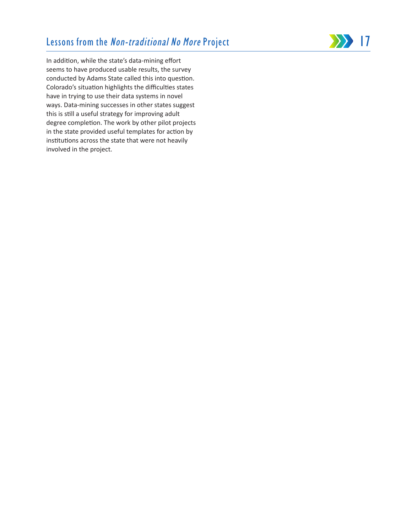In addition, while the state's data-mining effort seems to have produced usable results, the survey conducted by Adams State called this into question. Colorado's situation highlights the difficulties states have in trying to use their data systems in novel ways. Data-mining successes in other states suggest this is still a useful strategy for improving adult degree completion. The work by other pilot projects in the state provided useful templates for action by institutions across the state that were not heavily involved in the project.

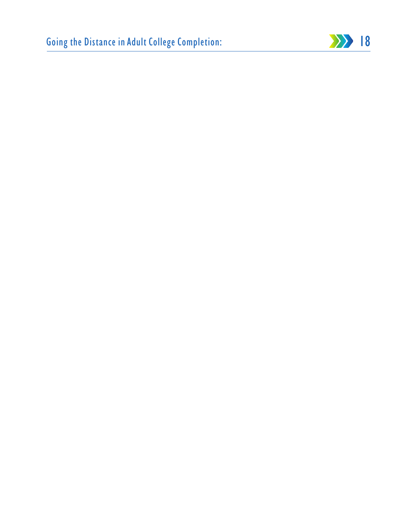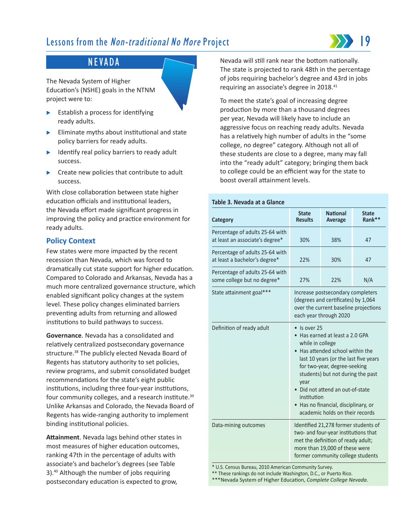# Lessons from the *Non-traditional No More* Project 1977 (9)



The Nevada System of Higher Education's (NSHE) goals in the NTNM project were to:



- Establish a process for identifying ready adults.
- $\blacktriangleright$  Eliminate myths about institutional and state policy barriers for ready adults.
- Identify real policy barriers to ready adult success.
- Create new policies that contribute to adult success.

With close collaboration between state higher education officials and institutional leaders, the Nevada effort made significant progress in improving the policy and practice environment for ready adults.

# **Policy Context**

Few states were more impacted by the recent recession than Nevada, which was forced to dramatically cut state support for higher education. Compared to Colorado and Arkansas, Nevada has a much more centralized governance structure, which enabled significant policy changes at the system level. These policy changes eliminated barriers preventing adults from returning and allowed institutions to build pathways to success.

**Governance**. Nevada has a consolidated and relatively centralized postsecondary governance structure.38 The publicly elected Nevada Board of Regents has statutory authority to set policies, review programs, and submit consolidated budget recommendations for the state's eight public institutions, including three four-year institutions, four community colleges, and a research institute.<sup>39</sup> Unlike Arkansas and Colorado, the Nevada Board of Regents has wide-ranging authority to implement binding institutional policies.

**Attainment**. Nevada lags behind other states in most measures of higher education outcomes, ranking 47th in the percentage of adults with associate's and bachelor's degrees (see Table 3).40 Although the number of jobs requiring postsecondary education is expected to grow,

Nevada will still rank near the bottom nationally. The state is projected to rank 48th in the percentage of jobs requiring bachelor's degree and 43rd in jobs requiring an associate's degree in 2018.<sup>41</sup>

To meet the state's goal of increasing degree production by more than a thousand degrees per year, Nevada will likely have to include an aggressive focus on reaching ready adults. Nevada has a relatively high number of adults in the "some college, no degree" category. Although not all of these students are close to a degree, many may fall into the "ready adult" category; bringing them back to college could be an efficient way for the state to boost overall attainment levels.

### **Table 3. Nevada at a Glance**

| Category                                                           | <b>State</b><br><b>Results</b>                                                                                                                                                                                                                                                                                                                                         | <b>National</b><br>Average | <b>State</b><br>Rank** |
|--------------------------------------------------------------------|------------------------------------------------------------------------------------------------------------------------------------------------------------------------------------------------------------------------------------------------------------------------------------------------------------------------------------------------------------------------|----------------------------|------------------------|
| Percentage of adults 25-64 with<br>at least an associate's degree* | 30%                                                                                                                                                                                                                                                                                                                                                                    | 38%                        | 47                     |
| Percentage of adults 25-64 with<br>at least a bachelor's degree*   | 22%                                                                                                                                                                                                                                                                                                                                                                    | 30%                        | 47                     |
| Percentage of adults 25-64 with<br>some college but no degree*     | 27%                                                                                                                                                                                                                                                                                                                                                                    | 22%                        | N/A                    |
| State attainment goal***                                           | Increase postsecondary completers<br>(degrees and certificates) by 1,064<br>over the current baseline projections<br>each year through 2020                                                                                                                                                                                                                            |                            |                        |
| Definition of ready adult                                          | Is over 25<br>$\bullet$<br>• Has earned at least a 2.0 GPA<br>while in college<br>• Has attended school within the<br>last 10 years (or the last five years<br>for two-year, degree-seeking<br>students) but not during the past<br>year<br>• Did not attend an out-of-state<br>institution<br>• Has no financial, disciplinary, or<br>academic holds on their records |                            |                        |
| Data-mining outcomes                                               | Identified 21,278 former students of<br>two- and four-year institutions that<br>met the definition of ready adult;<br>more than 19,000 of these were<br>former community college students                                                                                                                                                                              |                            |                        |

\* U.S. Census Bureau, 2010 American Community Survey.

\*\* These rankings do not include Washington, D.C., or Puerto Rico.

\*\*\*Nevada System of Higher Education, *Complete College Nevada.*

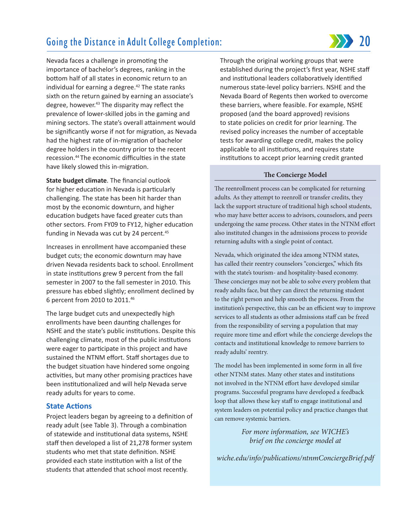# Going the Distance in Adult College Completion: 20 20

Nevada faces a challenge in promoting the importance of bachelor's degrees, ranking in the bottom half of all states in economic return to an individual for earning a degree. $42$  The state ranks sixth on the return gained by earning an associate's degree, however.43 The disparity may reflect the prevalence of lower-skilled jobs in the gaming and mining sectors. The state's overall attainment would be significantly worse if not for migration, as Nevada had the highest rate of in-migration of bachelor degree holders in the country prior to the recent recession.44 The economic difficulties in the state have likely slowed this in-migration.

**State budget climate**. The financial outlook for higher education in Nevada is particularly challenging. The state has been hit harder than most by the economic downturn, and higher education budgets have faced greater cuts than other sectors. From FY09 to FY12, higher education funding in Nevada was cut by 24 percent.<sup>45</sup>

Increases in enrollment have accompanied these budget cuts; the economic downturn may have driven Nevada residents back to school. Enrollment in state institutions grew 9 percent from the fall semester in 2007 to the fall semester in 2010. This pressure has ebbed slightly; enrollment declined by 6 percent from 2010 to 2011.46

The large budget cuts and unexpectedly high enrollments have been daunting challenges for NSHE and the state's public institutions. Despite this challenging climate, most of the public institutions were eager to participate in this project and have sustained the NTNM effort. Staff shortages due to the budget situation have hindered some ongoing activities, but many other promising practices have been institutionalized and will help Nevada serve ready adults for years to come.

### **State Actions**

Project leaders began by agreeing to a definition of ready adult (see Table 3). Through a combination of statewide and institutional data systems, NSHE staff then developed a list of 21,278 former system students who met that state definition. NSHE provided each state institution with a list of the students that attended that school most recently.

Through the original working groups that were established during the project's first year, NSHE staff and institutional leaders collaboratively identified numerous state-level policy barriers. NSHE and the Nevada Board of Regents then worked to overcome these barriers, where feasible. For example, NSHE proposed (and the board approved) revisions to state policies on credit for prior learning. The revised policy increases the number of acceptable tests for awarding college credit, makes the policy applicable to all institutions, and requires state institutions to accept prior learning credit granted

#### **The Concierge Model**

The reenrollment process can be complicated for returning adults. As they attempt to reenroll or transfer credits, they lack the support structure of traditional high school students, who may have better access to advisors, counselors, and peers undergoing the same process. Other states in the NTNM effort also instituted changes in the admissions process to provide returning adults with a single point of contact.

Nevada, which originated the idea among NTNM states, has called their reentry counselors "concierges," which fits with the state's tourism- and hospitality-based economy. These concierges may not be able to solve every problem that ready adults face, but they can direct the returning student to the right person and help smooth the process. From the institution's perspective, this can be an efficient way to improve services to all students as other admissions staff can be freed from the responsibility of serving a population that may require more time and effort while the concierge develops the contacts and institutional knowledge to remove barriers to ready adults' reentry.

The model has been implemented in some form in all five other NTNM states. Many other states and institutions not involved in the NTNM effort have developed similar programs. Successful programs have developed a feedback loop that allows these key staff to engage institutional and system leaders on potential policy and practice changes that can remove systemic barriers.

> *For more information, see WICHE's brief on the concierge model at*

*wiche.edu/info/publications/ntnmConciergeBrief.pdf*

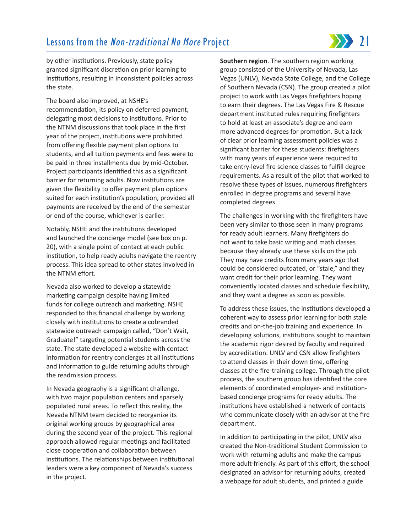by other institutions. Previously, state policy granted significant discretion on prior learning to institutions, resulting in inconsistent policies across the state.

The board also improved, at NSHE's recommendation, its policy on deferred payment, delegating most decisions to institutions. Prior to the NTNM discussions that took place in the first year of the project, institutions were prohibited from offering flexible payment plan options to students, and all tuition payments and fees were to be paid in three installments due by mid-October. Project participants identified this as a significant barrier for returning adults. Now institutions are given the flexibility to offer payment plan options suited for each institution's population, provided all payments are received by the end of the semester or end of the course, whichever is earlier.

Notably, NSHE and the institutions developed and launched the concierge model (see box on p. 20), with a single point of contact at each public institution, to help ready adults navigate the reentry process. This idea spread to other states involved in the NTNM effort.

Nevada also worked to develop a statewide marketing campaign despite having limited funds for college outreach and marketing. NSHE responded to this financial challenge by working closely with institutions to create a cobranded statewide outreach campaign called, "Don't Wait, Graduate!" targeting potential students across the state. The state developed a website with contact information for reentry concierges at all institutions and information to guide returning adults through the readmission process.

In Nevada geography is a significant challenge, with two major population centers and sparsely populated rural areas. To reflect this reality, the Nevada NTNM team decided to reorganize its original working groups by geographical area during the second year of the project. This regional approach allowed regular meetings and facilitated close cooperation and collaboration between institutions. The relationships between institutional leaders were a key component of Nevada's success in the project.

**Southern region**. The southern region working group consisted of the University of Nevada, Las Vegas (UNLV), Nevada State College, and the College of Southern Nevada (CSN). The group created a pilot project to work with Las Vegas firefighters hoping to earn their degrees. The Las Vegas Fire & Rescue department instituted rules requiring firefighters to hold at least an associate's degree and earn more advanced degrees for promotion. But a lack of clear prior learning assessment policies was a significant barrier for these students: firefighters with many years of experience were required to take entry-level fire science classes to fulfill degree requirements. As a result of the pilot that worked to resolve these types of issues, numerous firefighters enrolled in degree programs and several have completed degrees.

The challenges in working with the firefighters have been very similar to those seen in many programs for ready adult learners. Many firefighters do not want to take basic writing and math classes because they already use these skills on the job. They may have credits from many years ago that could be considered outdated, or "stale," and they want credit for their prior learning. They want conveniently located classes and schedule flexibility, and they want a degree as soon as possible.

To address these issues, the institutions developed a coherent way to assess prior learning for both stale credits and on-the-job training and experience. In developing solutions, institutions sought to maintain the academic rigor desired by faculty and required by accreditation. UNLV and CSN allow firefighters to attend classes in their down time, offering classes at the fire-training college. Through the pilot process, the southern group has identified the core elements of coordinated employer- and institutionbased concierge programs for ready adults. The institutions have established a network of contacts who communicate closely with an advisor at the fire department.

In addition to participating in the pilot, UNLV also created the Non-traditional Student Commission to work with returning adults and make the campus more adult-friendly. As part of this effort, the school designated an advisor for returning adults, created a webpage for adult students, and printed a guide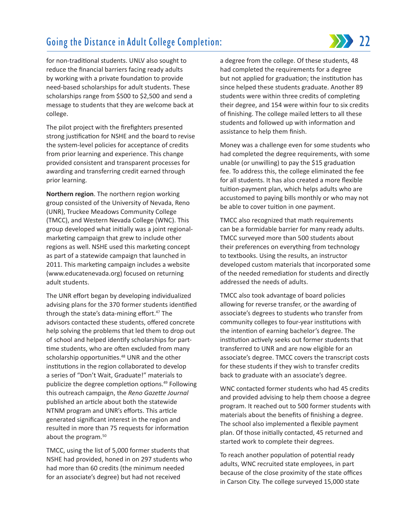# Going the Distance in Adult College Completion: 222 22

for non-traditional students. UNLV also sought to reduce the financial barriers facing ready adults by working with a private foundation to provide need-based scholarships for adult students. These scholarships range from \$500 to \$2,500 and send a message to students that they are welcome back at college.

The pilot project with the firefighters presented strong justification for NSHE and the board to revise the system-level policies for acceptance of credits from prior learning and experience. This change provided consistent and transparent processes for awarding and transferring credit earned through prior learning.

**Northern region**. The northern region working group consisted of the University of Nevada, Reno (UNR), Truckee Meadows Community College (TMCC), and Western Nevada College (WNC). This group developed what initially was a joint regionalmarketing campaign that grew to include other regions as well. NSHE used this marketing concept as part of a statewide campaign that launched in 2011. This marketing campaign includes a website (www.educatenevada.org) focused on returning adult students.

The UNR effort began by developing individualized advising plans for the 370 former students identified through the state's data-mining effort.<sup>47</sup> The advisors contacted these students, offered concrete help solving the problems that led them to drop out of school and helped identify scholarships for parttime students, who are often excluded from many scholarship opportunities.<sup>48</sup> UNR and the other institutions in the region collaborated to develop a series of "Don't Wait, Graduate!" materials to publicize the degree completion options.49 Following this outreach campaign, the *Reno Gazette Journal* published an article about both the statewide NTNM program and UNR's efforts. This article generated significant interest in the region and resulted in more than 75 requests for information about the program.50

TMCC, using the list of 5,000 former students that NSHE had provided, honed in on 297 students who had more than 60 credits (the minimum needed for an associate's degree) but had not received

a degree from the college. Of these students, 48 had completed the requirements for a degree but not applied for graduation; the institution has since helped these students graduate. Another 89 students were within three credits of completing their degree, and 154 were within four to six credits of finishing. The college mailed letters to all these students and followed up with information and assistance to help them finish.

Money was a challenge even for some students who had completed the degree requirements, with some unable (or unwilling) to pay the \$15 graduation fee. To address this, the college eliminated the fee for all students. It has also created a more flexible tuition-payment plan, which helps adults who are accustomed to paying bills monthly or who may not be able to cover tuition in one payment.

TMCC also recognized that math requirements can be a formidable barrier for many ready adults. TMCC surveyed more than 500 students about their preferences on everything from technology to textbooks. Using the results, an instructor developed custom materials that incorporated some of the needed remediation for students and directly addressed the needs of adults.

TMCC also took advantage of board policies allowing for reverse transfer, or the awarding of associate's degrees to students who transfer from community colleges to four-year institutions with the intention of earning bachelor's degree. The institution actively seeks out former students that transferred to UNR and are now eligible for an associate's degree. TMCC covers the transcript costs for these students if they wish to transfer credits back to graduate with an associate's degree.

WNC contacted former students who had 45 credits and provided advising to help them choose a degree program. It reached out to 500 former students with materials about the benefits of finishing a degree. The school also implemented a flexible payment plan. Of those initially contacted, 45 returned and started work to complete their degrees.

To reach another population of potential ready adults, WNC recruited state employees, in part because of the close proximity of the state offices in Carson City. The college surveyed 15,000 state

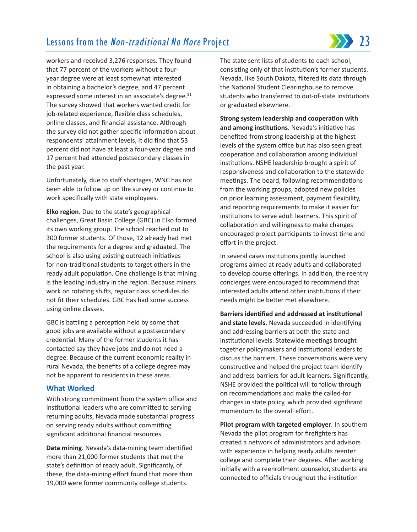workers and received 3,276 responses. They found that 77 percent of the workers without a fouryear degree were at least somewhat interested in obtaining a bachelor's degree, and 47 percent expressed some interest in an associate's degree.<sup>51</sup> The survey showed that workers wanted credit for job-related experience, flexible class schedules, online classes, and financial assistance. Although the survey did not gather specific information about respondents' attainment levels, it did find that 53 percent did not have at least a four-year degree and 17 percent had attended postsecondary classes in the past year.

Unfortunately, due to staff shortages, WNC has not been able to follow up on the survey or continue to work specifically with state employees.

**Elko region**. Due to the state's geographical challenges, Great Basin College (GBC) in Elko formed its own working group. The school reached out to 300 former students. Of those, 12 already had met the requirements for a degree and graduated. The school is also using existing outreach initiatives for non-traditional students to target others in the ready adult population. One challenge is that mining is the leading industry in the region. Because miners work on rotating shifts, regular class schedules do not fit their schedules. GBC has had some success using online classes.

GBC is battling a perception held by some that good jobs are available without a postsecondary credential. Many of the former students it has contacted say they have jobs and do not need a degree. Because of the current economic reality in rural Nevada, the benefits of a college degree may not be apparent to residents in these areas.

#### **What Worked**

With strong commitment from the system office and institutional leaders who are committed to serving returning adults, Nevada made substantial progress on serving ready adults without committing significant additional financial resources.

**Data mining**. Nevada's data-mining team identified more than 21,000 former students that met the state's definition of ready adult. Significantly, of these, the data-mining effort found that more than 19,000 were former community college students.

The state sent lists of students to each school, consisting only of that institution's former students. Nevada, like South Dakota, filtered its data through the National Student Clearinghouse to remove students who transferred to out-of-state institutions or graduated elsewhere.

**Strong system leadership and cooperation with and among institutions**. Nevada's initiative has benefited from strong leadership at the highest levels of the system office but has also seen great cooperation and collaboration among individual institutions. NSHE leadership brought a spirit of responsiveness and collaboration to the statewide meetings. The board, following recommendations from the working groups, adopted new policies on prior learning assessment, payment flexibility, and reporting requirements to make it easier for institutions to serve adult learners. This spirit of collaboration and willingness to make changes encouraged project participants to invest time and effort in the project.

In several cases institutions jointly launched programs aimed at ready adults and collaborated to develop course offerings. In addition, the reentry concierges were encouraged to recommend that interested adults attend other institutions if their needs might be better met elsewhere.

**Barriers identified and addressed at institutional and state levels**. Nevada succeeded in identifying and addressing barriers at both the state and institutional levels. Statewide meetings brought together policymakers and institutional leaders to discuss the barriers. These conversations were very constructive and helped the project team identify and address barriers for adult learners. Significantly, NSHE provided the political will to follow through on recommendations and make the called-for changes in state policy, which provided significant momentum to the overall effort.

**Pilot program with targeted employer**. In southern Nevada the pilot program for firefighters has created a network of administrators and advisors with experience in helping ready adults reenter college and complete their degrees. After working initially with a reenrollment counselor, students are connected to officials throughout the institution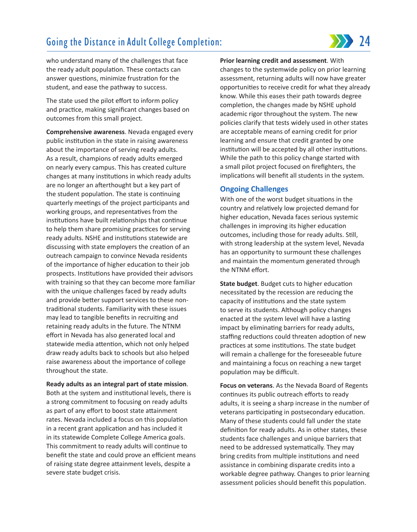# Going the Distance in Adult College Completion: 24 24

who understand many of the challenges that face the ready adult population. These contacts can answer questions, minimize frustration for the student, and ease the pathway to success.

The state used the pilot effort to inform policy and practice, making significant changes based on outcomes from this small project.

**Comprehensive awareness**. Nevada engaged every public institution in the state in raising awareness about the importance of serving ready adults. As a result, champions of ready adults emerged on nearly every campus. This has created culture changes at many institutions in which ready adults are no longer an afterthought but a key part of the student population. The state is continuing quarterly meetings of the project participants and working groups, and representatives from the institutions have built relationships that continue to help them share promising practices for serving ready adults. NSHE and institutions statewide are discussing with state employers the creation of an outreach campaign to convince Nevada residents of the importance of higher education to their job prospects. Institutions have provided their advisors with training so that they can become more familiar with the unique challenges faced by ready adults and provide better support services to these nontraditional students. Familiarity with these issues may lead to tangible benefits in recruiting and retaining ready adults in the future. The NTNM effort in Nevada has also generated local and statewide media attention, which not only helped draw ready adults back to schools but also helped raise awareness about the importance of college throughout the state.

**Ready adults as an integral part of state mission**. Both at the system and institutional levels, there is a strong commitment to focusing on ready adults as part of any effort to boost state attainment rates. Nevada included a focus on this population in a recent grant application and has included it in its statewide Complete College America goals. This commitment to ready adults will continue to benefit the state and could prove an efficient means of raising state degree attainment levels, despite a severe state budget crisis.

**Prior learning credit and assessment**. With changes to the systemwide policy on prior learning assessment, returning adults will now have greater opportunities to receive credit for what they already know. While this eases their path towards degree completion, the changes made by NSHE uphold academic rigor throughout the system. The new policies clarify that tests widely used in other states are acceptable means of earning credit for prior learning and ensure that credit granted by one institution will be accepted by all other institutions. While the path to this policy change started with a small pilot project focused on firefighters, the implications will benefit all students in the system.

### **Ongoing Challenges**

With one of the worst budget situations in the country and relatively low projected demand for higher education, Nevada faces serious systemic challenges in improving its higher education outcomes, including those for ready adults. Still, with strong leadership at the system level, Nevada has an opportunity to surmount these challenges and maintain the momentum generated through the NTNM effort.

**State budget**. Budget cuts to higher education necessitated by the recession are reducing the capacity of institutions and the state system to serve its students. Although policy changes enacted at the system level will have a lasting impact by eliminating barriers for ready adults, staffing reductions could threaten adoption of new practices at some institutions. The state budget will remain a challenge for the foreseeable future and maintaining a focus on reaching a new target population may be difficult.

**Focus on veterans**. As the Nevada Board of Regents continues its public outreach efforts to ready adults, it is seeing a sharp increase in the number of veterans participating in postsecondary education. Many of these students could fall under the state definition for ready adults. As in other states, these students face challenges and unique barriers that need to be addressed systematically. They may bring credits from multiple institutions and need assistance in combining disparate credits into a workable degree pathway. Changes to prior learning assessment policies should benefit this population.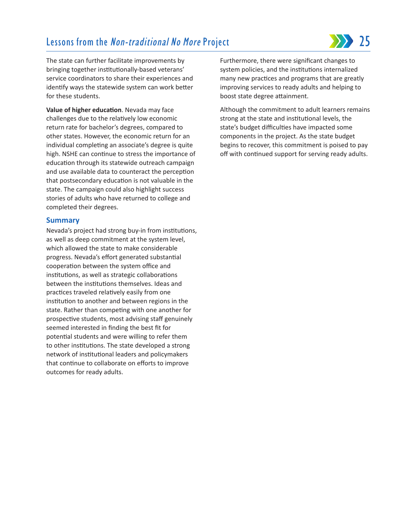## Lessons from the *Non-traditional No More* Project 25 25

The state can further facilitate improvements by bringing together institutionally-based veterans' service coordinators to share their experiences and identify ways the statewide system can work better for these students.

**Value of higher education**. Nevada may face challenges due to the relatively low economic return rate for bachelor's degrees, compared to other states. However, the economic return for an individual completing an associate's degree is quite high. NSHE can continue to stress the importance of education through its statewide outreach campaign and use available data to counteract the perception that postsecondary education is not valuable in the state. The campaign could also highlight success stories of adults who have returned to college and completed their degrees.

### **Summary**

Nevada's project had strong buy-in from institutions, as well as deep commitment at the system level, which allowed the state to make considerable progress. Nevada's effort generated substantial cooperation between the system office and institutions, as well as strategic collaborations between the institutions themselves. Ideas and practices traveled relatively easily from one institution to another and between regions in the state. Rather than competing with one another for prospective students, most advising staff genuinely seemed interested in finding the best fit for potential students and were willing to refer them to other institutions. The state developed a strong network of institutional leaders and policymakers that continue to collaborate on efforts to improve outcomes for ready adults.

Furthermore, there were significant changes to system policies, and the institutions internalized many new practices and programs that are greatly improving services to ready adults and helping to boost state degree attainment.

Although the commitment to adult learners remains strong at the state and institutional levels, the state's budget difficulties have impacted some components in the project. As the state budget begins to recover, this commitment is poised to pay off with continued support for serving ready adults.

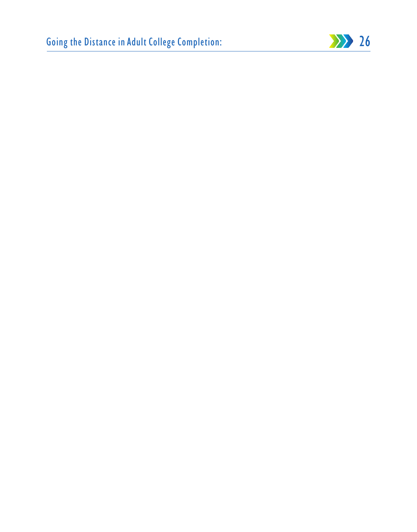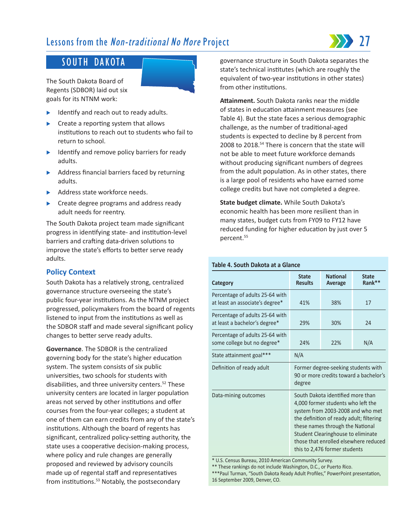## SOUTH DAKOTA

The South Dakota Board of Regents (SDBOR) laid out six goals for its NTNM work:

- Identify and reach out to ready adults.
- $\triangleright$  Create a reporting system that allows institutions to reach out to students who fail to return to school.
- Identify and remove policy barriers for ready adults.
- $\blacktriangleright$  Address financial barriers faced by returning adults.
- Address state workforce needs.
- $\triangleright$  Create degree programs and address ready adult needs for reentry.

The South Dakota project team made significant progress in identifying state- and institution-level barriers and crafting data-driven solutions to improve the state's efforts to better serve ready adults.

## **Policy Context**

South Dakota has a relatively strong, centralized governance structure overseeing the state's public four-year institutions. As the NTNM project progressed, policymakers from the board of regents listened to input from the institutions as well as the SDBOR staff and made several significant policy changes to better serve ready adults.

**Governance**. The SDBOR is the centralized governing body for the state's higher education system. The system consists of six public universities, two schools for students with disabilities, and three university centers.<sup>52</sup> These university centers are located in larger population areas not served by other institutions and offer courses from the four-year colleges; a student at one of them can earn credits from any of the state's institutions. Although the board of regents has significant, centralized policy-setting authority, the state uses a cooperative decision-making process, where policy and rule changes are generally proposed and reviewed by advisory councils made up of regental staff and representatives from institutions.<sup>53</sup> Notably, the postsecondary

governance structure in South Dakota separates the state's technical institutes (which are roughly the equivalent of two-year institutions in other states) from other institutions.

**Attainment.** South Dakota ranks near the middle of states in education attainment measures (see Table 4). But the state faces a serious demographic challenge, as the number of traditional-aged students is expected to decline by 8 percent from 2008 to 2018.<sup>54</sup> There is concern that the state will not be able to meet future workforce demands without producing significant numbers of degrees from the adult population. As in other states, there is a large pool of residents who have earned some college credits but have not completed a degree.

**State budget climate.** While South Dakota's economic health has been more resilient than in many states, budget cuts from FY09 to FY12 have reduced funding for higher education by just over 5 percent.55

#### **Table 4. South Dakota at a Glance**

| Category                                                           | <b>State</b><br><b>Results</b>                                                                                                                                                                                                                                                                               | <b>National</b><br>Average | <b>State</b><br>Rank** |
|--------------------------------------------------------------------|--------------------------------------------------------------------------------------------------------------------------------------------------------------------------------------------------------------------------------------------------------------------------------------------------------------|----------------------------|------------------------|
| Percentage of adults 25-64 with<br>at least an associate's degree* | 41%                                                                                                                                                                                                                                                                                                          | 38%                        | 17                     |
| Percentage of adults 25-64 with<br>at least a bachelor's degree*   | 29%                                                                                                                                                                                                                                                                                                          | 30%                        | 24                     |
| Percentage of adults 25-64 with<br>some college but no degree*     | 24%                                                                                                                                                                                                                                                                                                          | 22%                        | N/A                    |
| State attainment goal***                                           | N/A                                                                                                                                                                                                                                                                                                          |                            |                        |
| Definition of ready adult                                          | Former degree-seeking students with<br>90 or more credits toward a bachelor's<br>degree                                                                                                                                                                                                                      |                            |                        |
| Data-mining outcomes                                               | South Dakota identified more than<br>4,000 former students who left the<br>system from 2003-2008 and who met<br>the definition of ready adult; filtering<br>these names through the National<br>Student Clearinghouse to eliminate<br>those that enrolled elsewhere reduced<br>this to 2,476 former students |                            |                        |

\* U.S. Census Bureau, 2010 American Community Survey.



<sup>\*\*</sup> These rankings do not include Washington, D.C., or Puerto Rico.

<sup>\*\*\*</sup>Paul Turman, "South Dakota Ready Adult Profiles," PowerPoint presentation, 16 September 2009, Denver, CO.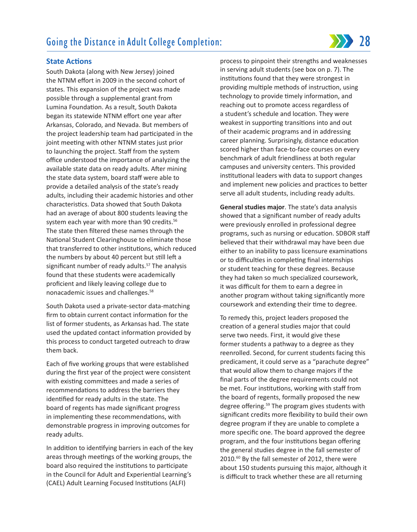## **State Actions**

South Dakota (along with New Jersey) joined the NTNM effort in 2009 in the second cohort of states. This expansion of the project was made possible through a supplemental grant from Lumina Foundation. As a result, South Dakota began its statewide NTNM effort one year after Arkansas, Colorado, and Nevada. But members of the project leadership team had participated in the joint meeting with other NTNM states just prior to launching the project. Staff from the system office understood the importance of analyzing the available state data on ready adults. After mining the state data system, board staff were able to provide a detailed analysis of the state's ready adults, including their academic histories and other characteristics. Data showed that South Dakota had an average of about 800 students leaving the system each year with more than 90 credits.<sup>56</sup> The state then filtered these names through the National Student Clearinghouse to eliminate those that transferred to other institutions, which reduced the numbers by about 40 percent but still left a significant number of ready adults.<sup>57</sup> The analysis found that these students were academically proficient and likely leaving college due to nonacademic issues and challenges.58

South Dakota used a private-sector data-matching firm to obtain current contact information for the list of former students, as Arkansas had. The state used the updated contact information provided by this process to conduct targeted outreach to draw them back.

Each of five working groups that were established during the first year of the project were consistent with existing committees and made a series of recommendations to address the barriers they identified for ready adults in the state. The board of regents has made significant progress in implementing these recommendations, with demonstrable progress in improving outcomes for ready adults.

In addition to identifying barriers in each of the key areas through meetings of the working groups, the board also required the institutions to participate in the Council for Adult and Experiential Learning's (CAEL) Adult Learning Focused Institutions (ALFI)

process to pinpoint their strengths and weaknesses in serving adult students (see box on p. 7). The institutions found that they were strongest in providing multiple methods of instruction, using technology to provide timely information, and reaching out to promote access regardless of a student's schedule and location. They were weakest in supporting transitions into and out of their academic programs and in addressing career planning. Surprisingly, distance education scored higher than face-to-face courses on every benchmark of adult friendliness at both regular campuses and university centers. This provided institutional leaders with data to support changes and implement new policies and practices to better serve all adult students, including ready adults.

**General studies major**. The state's data analysis showed that a significant number of ready adults were previously enrolled in professional degree programs, such as nursing or education. SDBOR staff believed that their withdrawal may have been due either to an inability to pass licensure examinations or to difficulties in completing final internships or student teaching for these degrees. Because they had taken so much specialized coursework, it was difficult for them to earn a degree in another program without taking significantly more coursework and extending their time to degree.

To remedy this, project leaders proposed the creation of a general studies major that could serve two needs. First, it would give these former students a pathway to a degree as they reenrolled. Second, for current students facing this predicament, it could serve as a "parachute degree" that would allow them to change majors if the final parts of the degree requirements could not be met. Four institutions, working with staff from the board of regents, formally proposed the new degree offering.59 The program gives students with significant credits more flexibility to build their own degree program if they are unable to complete a more specific one. The board approved the degree program, and the four institutions began offering the general studies degree in the fall semester of 2010.<sup>60</sup> By the fall semester of 2012, there were about 150 students pursuing this major, although it is difficult to track whether these are all returning

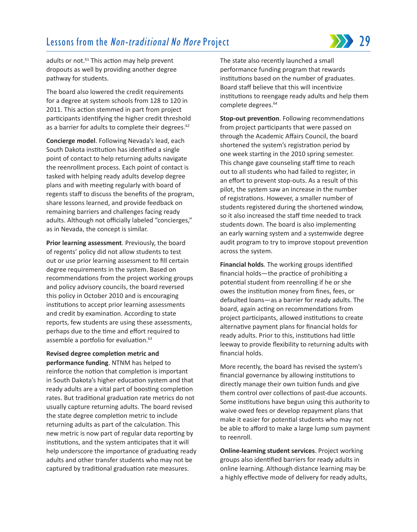adults or not.<sup>61</sup> This action may help prevent dropouts as well by providing another degree pathway for students.

The board also lowered the credit requirements for a degree at system schools from 128 to 120 in 2011. This action stemmed in part from project participants identifying the higher credit threshold as a barrier for adults to complete their degrees.<sup>62</sup>

**Concierge model**. Following Nevada's lead, each South Dakota institution has identified a single point of contact to help returning adults navigate the reenrollment process. Each point of contact is tasked with helping ready adults develop degree plans and with meeting regularly with board of regents staff to discuss the benefits of the program, share lessons learned, and provide feedback on remaining barriers and challenges facing ready adults. Although not officially labeled "concierges," as in Nevada, the concept is similar.

**Prior learning assessment**. Previously, the board of regents' policy did not allow students to test out or use prior learning assessment to fill certain degree requirements in the system. Based on recommendations from the project working groups and policy advisory councils, the board reversed this policy in October 2010 and is encouraging institutions to accept prior learning assessments and credit by examination. According to state reports, few students are using these assessments, perhaps due to the time and effort required to assemble a portfolio for evaluation.<sup>63</sup>

**Revised degree completion metric and performance funding**. NTNM has helped to reinforce the notion that completion is important in South Dakota's higher education system and that ready adults are a vital part of boosting completion rates. But traditional graduation rate metrics do not usually capture returning adults. The board revised the state degree completion metric to include returning adults as part of the calculation. This new metric is now part of regular data reporting by institutions, and the system anticipates that it will help underscore the importance of graduating ready adults and other transfer students who may not be captured by traditional graduation rate measures.

The state also recently launched a small performance funding program that rewards institutions based on the number of graduates. Board staff believe that this will incentivize institutions to reengage ready adults and help them complete degrees.<sup>64</sup>

**Stop-out prevention**. Following recommendations from project participants that were passed on through the Academic Affairs Council, the board shortened the system's registration period by one week starting in the 2010 spring semester. This change gave counseling staff time to reach out to all students who had failed to register, in an effort to prevent stop-outs. As a result of this pilot, the system saw an increase in the number of registrations. However, a smaller number of students registered during the shortened window, so it also increased the staff time needed to track students down. The board is also implementing an early warning system and a systemwide degree audit program to try to improve stopout prevention across the system.

**Financial holds**. The working groups identified financial holds—the practice of prohibiting a potential student from reenrolling if he or she owes the institution money from fines, fees, or defaulted loans—as a barrier for ready adults. The board, again acting on recommendations from project participants, allowed institutions to create alternative payment plans for financial holds for ready adults. Prior to this, institutions had little leeway to provide flexibility to returning adults with financial holds.

More recently, the board has revised the system's financial governance by allowing institutions to directly manage their own tuition funds and give them control over collections of past-due accounts. Some institutions have begun using this authority to waive owed fees or develop repayment plans that make it easier for potential students who may not be able to afford to make a large lump sum payment to reenroll.

**Online-learning student services**. Project working groups also identified barriers for ready adults in online learning. Although distance learning may be a highly effective mode of delivery for ready adults,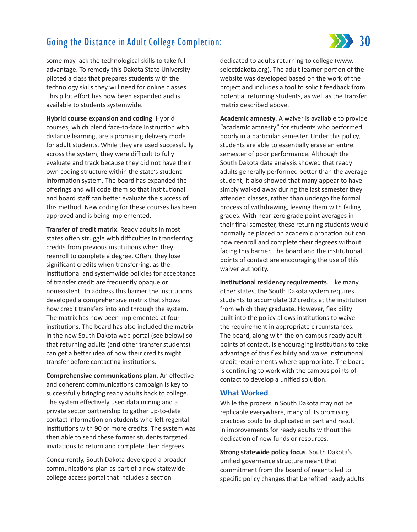# Going the Distance in Adult College Completion: 30

some may lack the technological skills to take full advantage. To remedy this Dakota State University piloted a class that prepares students with the technology skills they will need for online classes. This pilot effort has now been expanded and is available to students systemwide.

**Hybrid course expansion and coding**. Hybrid courses, which blend face-to-face instruction with distance learning, are a promising delivery mode for adult students. While they are used successfully across the system, they were difficult to fully evaluate and track because they did not have their own coding structure within the state's student information system. The board has expanded the offerings and will code them so that institutional and board staff can better evaluate the success of this method. New coding for these courses has been approved and is being implemented.

**Transfer of credit matrix**. Ready adults in most states often struggle with difficulties in transferring credits from previous institutions when they reenroll to complete a degree. Often, they lose significant credits when transferring, as the institutional and systemwide policies for acceptance of transfer credit are frequently opaque or nonexistent. To address this barrier the institutions developed a comprehensive matrix that shows how credit transfers into and through the system. The matrix has now been implemented at four institutions. The board has also included the matrix in the new South Dakota web portal (see below) so that returning adults (and other transfer students) can get a better idea of how their credits might transfer before contacting institutions.

**Comprehensive communications plan**. An effective and coherent communications campaign is key to successfully bringing ready adults back to college. The system effectively used data mining and a private sector partnership to gather up-to-date contact information on students who left regental institutions with 90 or more credits. The system was then able to send these former students targeted invitations to return and complete their degrees.

Concurrently, South Dakota developed a broader communications plan as part of a new statewide college access portal that includes a section

dedicated to adults returning to college (www. selectdakota.org). The adult learner portion of the website was developed based on the work of the project and includes a tool to solicit feedback from potential returning students, as well as the transfer matrix described above.

**Academic amnesty**. A waiver is available to provide "academic amnesty" for students who performed poorly in a particular semester. Under this policy, students are able to essentially erase an entire semester of poor performance. Although the South Dakota data analysis showed that ready adults generally performed better than the average student, it also showed that many appear to have simply walked away during the last semester they attended classes, rather than undergo the formal process of withdrawing, leaving them with failing grades. With near-zero grade point averages in their final semester, these returning students would normally be placed on academic probation but can now reenroll and complete their degrees without facing this barrier. The board and the institutional points of contact are encouraging the use of this waiver authority.

**Institutional residency requirements**. Like many other states, the South Dakota system requires students to accumulate 32 credits at the institution from which they graduate. However, flexibility built into the policy allows institutions to waive the requirement in appropriate circumstances. The board, along with the on-campus ready adult points of contact, is encouraging institutions to take advantage of this flexibility and waive institutional credit requirements where appropriate. The board is continuing to work with the campus points of contact to develop a unified solution.

#### **What Worked**

While the process in South Dakota may not be replicable everywhere, many of its promising practices could be duplicated in part and result in improvements for ready adults without the dedication of new funds or resources.

**Strong statewide policy focus**. South Dakota's unified governance structure meant that commitment from the board of regents led to specific policy changes that benefited ready adults

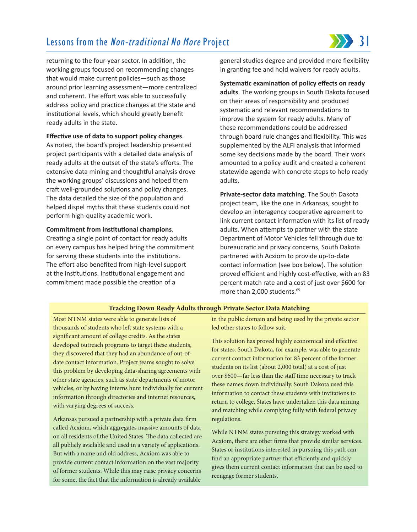returning to the four-year sector. In addition, the working groups focused on recommending changes that would make current policies—such as those around prior learning assessment—more centralized and coherent. The effort was able to successfully address policy and practice changes at the state and institutional levels, which should greatly benefit ready adults in the state.

#### **Effective use of data to support policy changes**.

As noted, the board's project leadership presented project participants with a detailed data analysis of ready adults at the outset of the state's efforts. The extensive data mining and thoughtful analysis drove the working groups' discussions and helped them craft well-grounded solutions and policy changes. The data detailed the size of the population and helped dispel myths that these students could not perform high-quality academic work.

#### **Commitment from institutional champions**.

Creating a single point of contact for ready adults on every campus has helped bring the commitment for serving these students into the institutions. The effort also benefited from high-level support at the institutions. Institutional engagement and commitment made possible the creation of a

general studies degree and provided more flexibility in granting fee and hold waivers for ready adults.

### **Systematic examination of policy effects on ready**

**adults**. The working groups in South Dakota focused on their areas of responsibility and produced systematic and relevant recommendations to improve the system for ready adults. Many of these recommendations could be addressed through board rule changes and flexibility. This was supplemented by the ALFI analysis that informed some key decisions made by the board. Their work amounted to a policy audit and created a coherent statewide agenda with concrete steps to help ready adults.

**Private-sector data matching**. The South Dakota project team, like the one in Arkansas, sought to develop an interagency cooperative agreement to link current contact information with its list of ready adults. When attempts to partner with the state Department of Motor Vehicles fell through due to bureaucratic and privacy concerns, South Dakota partnered with Acxiom to provide up-to-date contact information (see box below). The solution proved efficient and highly cost-effective, with an 83 percent match rate and a cost of just over \$600 for more than 2,000 students.<sup>65</sup>

#### **Tracking Down Ready Adults through Private Sector Data Matching**

Most NTNM states were able to generate lists of thousands of students who left state systems with a significant amount of college credits. As the states developed outreach programs to target these students, they discovered that they had an abundance of out-ofdate contact information. Project teams sought to solve this problem by developing data-sharing agreements with other state agencies, such as state departments of motor vehicles, or by having interns hunt individually for current information through directories and internet resources, with varying degrees of success.

Arkansas pursued a partnership with a private data firm called Acxiom, which aggregates massive amounts of data on all residents of the United States. The data collected are all publicly available and used in a variety of applications. But with a name and old address, Acxiom was able to provide current contact information on the vast majority of former students. While this may raise privacy concerns for some, the fact that the information is already available

in the public domain and being used by the private sector led other states to follow suit.

This solution has proved highly economical and effective for states. South Dakota, for example, was able to generate current contact information for 83 percent of the former students on its list (about 2,000 total) at a cost of just over \$600—far less than the staff time necessary to track these names down individually. South Dakota used this information to contact these students with invitations to return to college. States have undertaken this data mining and matching while complying fully with federal privacy regulations.

While NTNM states pursuing this strategy worked with Acxiom, there are other firms that provide similar services. States or institutions interested in pursuing this path can find an appropriate partner that efficiently and quickly gives them current contact information that can be used to reengage former students.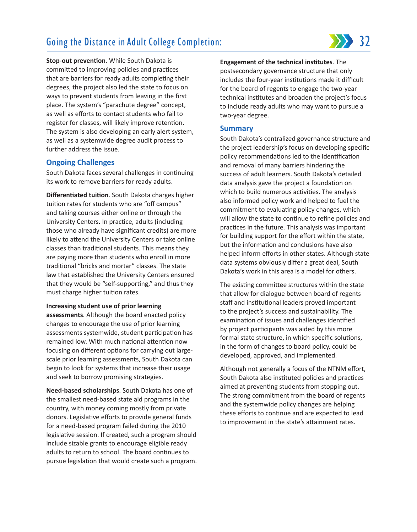# Going the Distance in Adult College Completion: 32

**Stop-out prevention**. While South Dakota is committed to improving policies and practices that are barriers for ready adults completing their degrees, the project also led the state to focus on ways to prevent students from leaving in the first place. The system's "parachute degree" concept, as well as efforts to contact students who fail to register for classes, will likely improve retention. The system is also developing an early alert system, as well as a systemwide degree audit process to further address the issue.

## **Ongoing Challenges**

South Dakota faces several challenges in continuing its work to remove barriers for ready adults.

**Differentiated tuition**. South Dakota charges higher tuition rates for students who are "off campus" and taking courses either online or through the University Centers. In practice, adults (including those who already have significant credits) are more likely to attend the University Centers or take online classes than traditional students. This means they are paying more than students who enroll in more traditional "bricks and mortar" classes. The state law that established the University Centers ensured that they would be "self-supporting," and thus they must charge higher tuition rates.

#### **Increasing student use of prior learning**

**assessments**. Although the board enacted policy changes to encourage the use of prior learning assessments systemwide, student participation has remained low. With much national attention now focusing on different options for carrying out largescale prior learning assessments, South Dakota can begin to look for systems that increase their usage and seek to borrow promising strategies.

**Need-based scholarships**. South Dakota has one of the smallest need-based state aid programs in the country, with money coming mostly from private donors. Legislative efforts to provide general funds for a need-based program failed during the 2010 legislative session. If created, such a program should include sizable grants to encourage eligible ready adults to return to school. The board continues to pursue legislation that would create such a program.

**Engagement of the technical institutes**. The postsecondary governance structure that only includes the four-year institutions made it difficult for the board of regents to engage the two-year technical institutes and broaden the project's focus to include ready adults who may want to pursue a two-year degree.

### **Summary**

South Dakota's centralized governance structure and the project leadership's focus on developing specific policy recommendations led to the identification and removal of many barriers hindering the success of adult learners. South Dakota's detailed data analysis gave the project a foundation on which to build numerous activities. The analysis also informed policy work and helped to fuel the commitment to evaluating policy changes, which will allow the state to continue to refine policies and practices in the future. This analysis was important for building support for the effort within the state, but the information and conclusions have also helped inform efforts in other states. Although state data systems obviously differ a great deal, South Dakota's work in this area is a model for others.

The existing committee structures within the state that allow for dialogue between board of regents staff and institutional leaders proved important to the project's success and sustainability. The examination of issues and challenges identified by project participants was aided by this more formal state structure, in which specific solutions, in the form of changes to board policy, could be developed, approved, and implemented.

Although not generally a focus of the NTNM effort, South Dakota also instituted policies and practices aimed at preventing students from stopping out. The strong commitment from the board of regents and the systemwide policy changes are helping these efforts to continue and are expected to lead to improvement in the state's attainment rates.

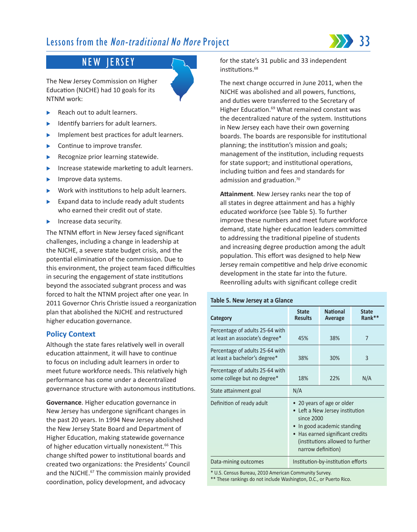## Lessons from the *Non-traditional No More* Project 233



The New Jersey Commission on Higher Education (NJCHE) had 10 goals for its NTNM work:



- Reach out to adult learners.
- Identify barriers for adult learners.
- Implement best practices for adult learners.
- $\triangleright$  Continue to improve transfer.
- Recognize prior learning statewide.
- Increase statewide marketing to adult learners.
- Improve data systems.
- Work with institutions to help adult learners.
- Expand data to include ready adult students who earned their credit out of state.
- Increase data security.

The NTNM effort in New Jersey faced significant challenges, including a change in leadership at the NJCHE, a severe state budget crisis, and the potential elimination of the commission. Due to this environment, the project team faced difficulties in securing the engagement of state institutions beyond the associated subgrant process and was forced to halt the NTNM project after one year. In 2011 Governor Chris Christie issued a reorganization plan that abolished the NJCHE and restructured higher education governance.

## **Policy Context**

Although the state fares relatively well in overall education attainment, it will have to continue to focus on including adult learners in order to meet future workforce needs. This relatively high performance has come under a decentralized governance structure with autonomous institutions.

**Governance**. Higher education governance in New Jersey has undergone significant changes in the past 20 years. In 1994 New Jersey abolished the New Jersey State Board and Department of Higher Education, making statewide governance of higher education virtually nonexistent.<sup>66</sup> This change shifted power to institutional boards and created two organizations: the Presidents' Council and the NJCHE.<sup>67</sup> The commission mainly provided coordination, policy development, and advocacy

for the state's 31 public and 33 independent institutions.<sup>68</sup>

The next change occurred in June 2011, when the NJCHE was abolished and all powers, functions, and duties were transferred to the Secretary of Higher Education.<sup>69</sup> What remained constant was the decentralized nature of the system. Institutions in New Jersey each have their own governing boards. The boards are responsible for institutional planning; the institution's mission and goals; management of the institution, including requests for state support; and institutional operations, including tuition and fees and standards for admission and graduation.70

**Attainment**. New Jersey ranks near the top of all states in degree attainment and has a highly educated workforce (see Table 5). To further improve these numbers and meet future workforce demand, state higher education leaders committed to addressing the traditional pipeline of students and increasing degree production among the adult population. This effort was designed to help New Jersey remain competitive and help drive economic development in the state far into the future. Reenrolling adults with significant college credit

#### **Table 5. New Jersey at a Glance**

| Category                                                           | <b>State</b><br><b>Results</b>                                                                                                                                                                       | <b>National</b><br>Average | <b>State</b><br>Rank <sup>**</sup> |
|--------------------------------------------------------------------|------------------------------------------------------------------------------------------------------------------------------------------------------------------------------------------------------|----------------------------|------------------------------------|
| Percentage of adults 25-64 with<br>at least an associate's degree* | 45%                                                                                                                                                                                                  | 38%                        | 7                                  |
| Percentage of adults 25-64 with<br>at least a bachelor's degree*   | 38%                                                                                                                                                                                                  | 30%                        | 3                                  |
| Percentage of adults 25-64 with<br>some college but no degree*     | 18%                                                                                                                                                                                                  | 22%                        | N/A                                |
| State attainment goal                                              | N/A                                                                                                                                                                                                  |                            |                                    |
| Definition of ready adult                                          | • 20 years of age or older<br>• Left a New Jersey institution<br>since 2000<br>In good academic standing<br>Has earned significant credits<br>(institutions allowed to further<br>narrow definition) |                            |                                    |
| Data-mining outcomes                                               | Institution-by-institution efforts                                                                                                                                                                   |                            |                                    |

\* U.S. Census Bureau, 2010 American Community Survey.

\*\* These rankings do not include Washington, D.C., or Puerto Rico.

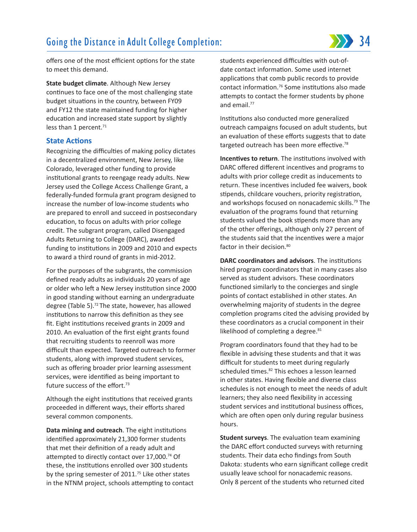offers one of the most efficient options for the state to meet this demand.

**State budget climate**. Although New Jersey continues to face one of the most challenging state budget situations in the country, between FY09 and FY12 the state maintained funding for higher education and increased state support by slightly less than 1 percent.<sup>71</sup>

### **State Actions**

Recognizing the difficulties of making policy dictates in a decentralized environment, New Jersey, like Colorado, leveraged other funding to provide institutional grants to reengage ready adults. New Jersey used the College Access Challenge Grant, a federally-funded formula grant program designed to increase the number of low-income students who are prepared to enroll and succeed in postsecondary education, to focus on adults with prior college credit. The subgrant program, called Disengaged Adults Returning to College (DARC), awarded funding to institutions in 2009 and 2010 and expects to award a third round of grants in mid-2012.

For the purposes of the subgrants, the commission defined ready adults as individuals 20 years of age or older who left a New Jersey institution since 2000 in good standing without earning an undergraduate degree (Table 5).<sup>72</sup> The state, however, has allowed institutions to narrow this definition as they see fit. Eight institutions received grants in 2009 and 2010. An evaluation of the first eight grants found that recruiting students to reenroll was more difficult than expected. Targeted outreach to former students, along with improved student services, such as offering broader prior learning assessment services, were identified as being important to future success of the effort.<sup>73</sup>

Although the eight institutions that received grants proceeded in different ways, their efforts shared several common components.

**Data mining and outreach**. The eight institutions identified approximately 21,300 former students that met their definition of a ready adult and attempted to directly contact over 17,000.<sup>74</sup> Of these, the institutions enrolled over 300 students by the spring semester of 2011.<sup>75</sup> Like other states in the NTNM project, schools attempting to contact

students experienced difficulties with out-ofdate contact information. Some used internet applications that comb public records to provide contact information.76 Some institutions also made attempts to contact the former students by phone and email.<sup>77</sup>

Institutions also conducted more generalized outreach campaigns focused on adult students, but an evaluation of these efforts suggests that to date targeted outreach has been more effective.<sup>78</sup>

**Incentives to return**. The institutions involved with DARC offered different incentives and programs to adults with prior college credit as inducements to return. These incentives included fee waivers, book stipends, childcare vouchers, priority registration, and workshops focused on nonacademic skills.<sup>79</sup> The evaluation of the programs found that returning students valued the book stipends more than any of the other offerings, although only 27 percent of the students said that the incentives were a major factor in their decision.<sup>80</sup>

**DARC coordinators and advisors**. The institutions hired program coordinators that in many cases also served as student advisors. These coordinators functioned similarly to the concierges and single points of contact established in other states. An overwhelming majority of students in the degree completion programs cited the advising provided by these coordinators as a crucial component in their likelihood of completing a degree.<sup>81</sup>

Program coordinators found that they had to be flexible in advising these students and that it was difficult for students to meet during regularly scheduled times.<sup>82</sup> This echoes a lesson learned in other states. Having flexible and diverse class schedules is not enough to meet the needs of adult learners; they also need flexibility in accessing student services and institutional business offices, which are often open only during regular business hours.

**Student surveys**. The evaluation team examining the DARC effort conducted surveys with returning students. Their data echo findings from South Dakota: students who earn significant college credit usually leave school for nonacademic reasons. Only 8 percent of the students who returned cited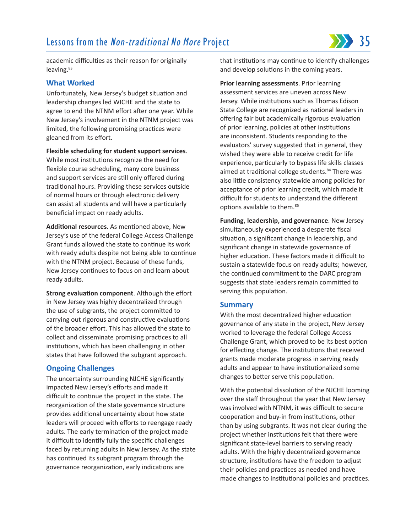academic difficulties as their reason for originally leaving.<sup>83</sup>

### **What Worked**

Unfortunately, New Jersey's budget situation and leadership changes led WICHE and the state to agree to end the NTNM effort after one year. While New Jersey's involvement in the NTNM project was limited, the following promising practices were gleaned from its effort.

#### **Flexible scheduling for student support services**.

While most institutions recognize the need for flexible course scheduling, many core business and support services are still only offered during traditional hours. Providing these services outside of normal hours or through electronic delivery can assist all students and will have a particularly beneficial impact on ready adults.

**Additional resources**. As mentioned above, New Jersey's use of the federal College Access Challenge Grant funds allowed the state to continue its work with ready adults despite not being able to continue with the NTNM project. Because of these funds, New Jersey continues to focus on and learn about ready adults.

**Strong evaluation component**. Although the effort in New Jersey was highly decentralized through the use of subgrants, the project committed to carrying out rigorous and constructive evaluations of the broader effort. This has allowed the state to collect and disseminate promising practices to all institutions, which has been challenging in other states that have followed the subgrant approach.

## **Ongoing Challenges**

The uncertainty surrounding NJCHE significantly impacted New Jersey's efforts and made it difficult to continue the project in the state. The reorganization of the state governance structure provides additional uncertainty about how state leaders will proceed with efforts to reengage ready adults. The early termination of the project made it difficult to identify fully the specific challenges faced by returning adults in New Jersey. As the state has continued its subgrant program through the governance reorganization, early indications are

that institutions may continue to identify challenges and develop solutions in the coming years.

**Prior learning assessments**. Prior learning assessment services are uneven across New Jersey. While institutions such as Thomas Edison State College are recognized as national leaders in offering fair but academically rigorous evaluation of prior learning, policies at other institutions are inconsistent. Students responding to the evaluators' survey suggested that in general, they wished they were able to receive credit for life experience, particularly to bypass life skills classes aimed at traditional college students.<sup>84</sup> There was also little consistency statewide among policies for acceptance of prior learning credit, which made it difficult for students to understand the different options available to them.<sup>85</sup>

**Funding, leadership, and governance**. New Jersey simultaneously experienced a desperate fiscal situation, a significant change in leadership, and significant change in statewide governance of higher education. These factors made it difficult to sustain a statewide focus on ready adults; however, the continued commitment to the DARC program suggests that state leaders remain committed to serving this population.

#### **Summary**

With the most decentralized higher education governance of any state in the project, New Jersey worked to leverage the federal College Access Challenge Grant, which proved to be its best option for effecting change. The institutions that received grants made moderate progress in serving ready adults and appear to have institutionalized some changes to better serve this population.

With the potential dissolution of the NJCHE looming over the staff throughout the year that New Jersey was involved with NTNM, it was difficult to secure cooperation and buy-in from institutions, other than by using subgrants. It was not clear during the project whether institutions felt that there were significant state-level barriers to serving ready adults. With the highly decentralized governance structure, institutions have the freedom to adjust their policies and practices as needed and have made changes to institutional policies and practices.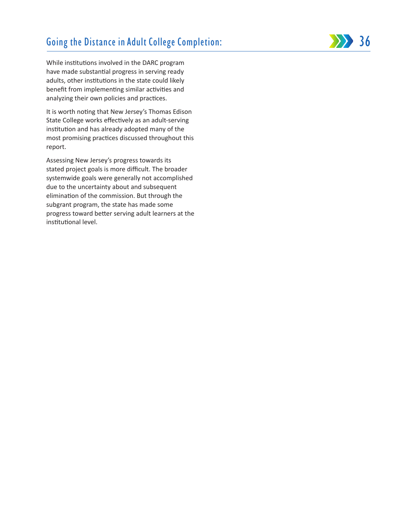# Going the Distance in Adult College Completion: 36

While institutions involved in the DARC program have made substantial progress in serving ready adults, other institutions in the state could likely benefit from implementing similar activities and analyzing their own policies and practices.

It is worth noting that New Jersey's Thomas Edison State College works effectively as an adult-serving institution and has already adopted many of the most promising practices discussed throughout this report.

Assessing New Jersey's progress towards its stated project goals is more difficult. The broader systemwide goals were generally not accomplished due to the uncertainty about and subsequent elimination of the commission. But through the subgrant program, the state has made some progress toward better serving adult learners at the institutional level.

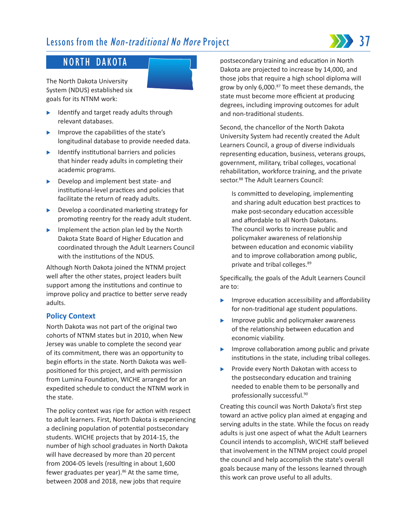## North Dakota

The North Dakota University System (NDUS) established six goals for its NTNM work:

- Identify and target ready adults through relevant databases.
- $\blacktriangleright$  Improve the capabilities of the state's longitudinal database to provide needed data.
- $\blacktriangleright$  Identify institutional barriers and policies that hinder ready adults in completing their academic programs.
- $\blacktriangleright$  Develop and implement best state- and institutional-level practices and policies that facilitate the return of ready adults.
- $\blacktriangleright$  Develop a coordinated marketing strategy for promoting reentry for the ready adult student.
- Implement the action plan led by the North Dakota State Board of Higher Education and coordinated through the Adult Learners Council with the institutions of the NDUS.

Although North Dakota joined the NTNM project well after the other states, project leaders built support among the institutions and continue to improve policy and practice to better serve ready adults.

## **Policy Context**

North Dakota was not part of the original two cohorts of NTNM states but in 2010, when New Jersey was unable to complete the second year of its commitment, there was an opportunity to begin efforts in the state. North Dakota was wellpositioned for this project, and with permission from Lumina Foundation, WICHE arranged for an expedited schedule to conduct the NTNM work in the state.

The policy context was ripe for action with respect to adult learners. First, North Dakota is experiencing a declining population of potential postsecondary students. WICHE projects that by 2014-15, the number of high school graduates in North Dakota will have decreased by more than 20 percent from 2004-05 levels (resulting in about 1,600 fewer graduates per year). $86$  At the same time, between 2008 and 2018, new jobs that require

postsecondary training and education in North Dakota are projected to increase by 14,000, and those jobs that require a high school diploma will grow by only 6,000.<sup>87</sup> To meet these demands, the state must become more efficient at producing degrees, including improving outcomes for adult and non-traditional students.

Second, the chancellor of the North Dakota University System had recently created the Adult Learners Council, a group of diverse individuals representing education, business, veterans groups, government, military, tribal colleges, vocational rehabilitation, workforce training, and the private sector.<sup>88</sup> The Adult Learners Council:

Is committed to developing, implementing and sharing adult education best practices to make post-secondary education accessible and affordable to all North Dakotans. The council works to increase public and policymaker awareness of relationship between education and economic viability and to improve collaboration among public, private and tribal colleges.<sup>89</sup>

Specifically, the goals of the Adult Learners Council are to:

- $\blacktriangleright$  Improve education accessibility and affordability for non-traditional age student populations.
- $\blacktriangleright$  Improve public and policymaker awareness of the relationship between education and economic viability.
- $\blacktriangleright$  Improve collaboration among public and private institutions in the state, including tribal colleges.
- $\blacktriangleright$  Provide every North Dakotan with access to the postsecondary education and training needed to enable them to be personally and professionally successful.90

Creating this council was North Dakota's first step toward an active policy plan aimed at engaging and serving adults in the state. While the focus on ready adults is just one aspect of what the Adult Learners Council intends to accomplish, WICHE staff believed that involvement in the NTNM project could propel the council and help accomplish the state's overall goals because many of the lessons learned through this work can prove useful to all adults.

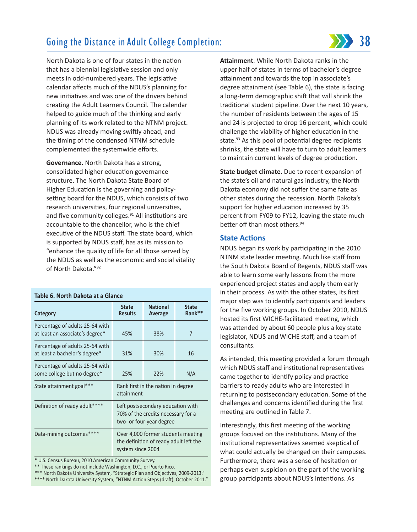## Going the Distance in Adult College Completion: 38

North Dakota is one of four states in the nation that has a biennial legislative session and only meets in odd-numbered years. The legislative calendar affects much of the NDUS's planning for new initiatives and was one of the drivers behind creating the Adult Learners Council. The calendar helped to guide much of the thinking and early planning of its work related to the NTNM project. NDUS was already moving swiftly ahead, and the timing of the condensed NTNM schedule complemented the systemwide efforts.

**Governance**. North Dakota has a strong, consolidated higher education governance structure. The North Dakota State Board of Higher Education is the governing and policysetting board for the NDUS, which consists of two research universities, four regional universities, and five community colleges.<sup>91</sup> All institutions are accountable to the chancellor, who is the chief executive of the NDUS staff. The state board, which is supported by NDUS staff, has as its mission to "enhance the quality of life for all those served by the NDUS as well as the economic and social vitality of North Dakota."92

#### **Table 6. North Dakota at a Glance**

| Category                                                           | <b>State</b><br><b>Results</b>                                                                      | <b>National</b><br>Average | <b>State</b><br>Rank <sup>**</sup> |
|--------------------------------------------------------------------|-----------------------------------------------------------------------------------------------------|----------------------------|------------------------------------|
| Percentage of adults 25-64 with<br>at least an associate's degree* | 45%                                                                                                 | 38%                        | 7                                  |
| Percentage of adults 25-64 with<br>at least a bachelor's degree*   | 31%                                                                                                 | 30%                        | 16                                 |
| Percentage of adults 25-64 with<br>some college but no degree*     | 25%                                                                                                 | 22%                        | N/A                                |
| State attainment goal***                                           | Rank first in the nation in degree<br>attainment                                                    |                            |                                    |
| Definition of ready adult****                                      | Left postsecondary education with<br>70% of the credits necessary for a<br>two- or four-year degree |                            |                                    |
| Data-mining outcomes****                                           | Over 4,000 former students meeting<br>the definition of ready adult left the<br>system since 2004   |                            |                                    |

\* U.S. Census Bureau, 2010 American Community Survey.

\*\* These rankings do not include Washington, D.C., or Puerto Rico.

\*\*\* North Dakota University System, "Strategic Plan and Objectives, 2009-2013."

\*\*\*\* North Dakota University System, "NTNM Action Steps (draft), October 2011."

**Attainment**. While North Dakota ranks in the upper half of states in terms of bachelor's degree attainment and towards the top in associate's degree attainment (see Table 6), the state is facing a long-term demographic shift that will shrink the traditional student pipeline. Over the next 10 years, the number of residents between the ages of 15 and 24 is projected to drop 16 percent, which could challenge the viability of higher education in the state.<sup>93</sup> As this pool of potential degree recipients shrinks, the state will have to turn to adult learners to maintain current levels of degree production.

**State budget climate**. Due to recent expansion of the state's oil and natural gas industry, the North Dakota economy did not suffer the same fate as other states during the recession. North Dakota's support for higher education increased by 35 percent from FY09 to FY12, leaving the state much better off than most others.<sup>94</sup>

#### **State Actions**

NDUS began its work by participating in the 2010 NTNM state leader meeting. Much like staff from the South Dakota Board of Regents, NDUS staff was able to learn some early lessons from the more experienced project states and apply them early in their process. As with the other states, its first major step was to identify participants and leaders for the five working groups. In October 2010, NDUS hosted its first WICHE-facilitated meeting, which was attended by about 60 people plus a key state legislator, NDUS and WICHE staff, and a team of consultants.

As intended, this meeting provided a forum through which NDUS staff and institutional representatives came together to identify policy and practice barriers to ready adults who are interested in returning to postsecondary education. Some of the challenges and concerns identified during the first meeting are outlined in Table 7.

Interestingly, this first meeting of the working groups focused on the institutions. Many of the institutional representatives seemed skeptical of what could actually be changed on their campuses. Furthermore, there was a sense of hesitation or perhaps even suspicion on the part of the working group participants about NDUS's intentions. As

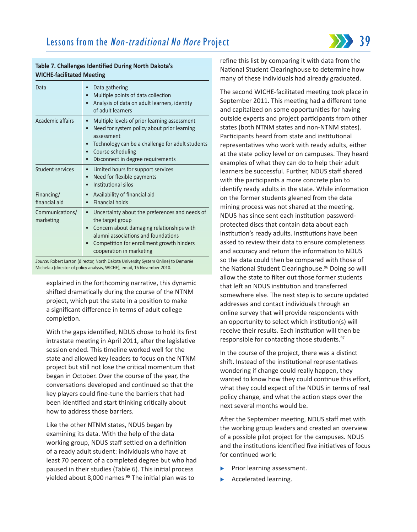

### **Table 7. Challenges Identified During North Dakota's WICHE-facilitated Meeting**

| Data                         | Data gathering<br>Multiple points of data collection<br>Analysis of data on adult learners, identity<br>of adult learners                                                                                                            |
|------------------------------|--------------------------------------------------------------------------------------------------------------------------------------------------------------------------------------------------------------------------------------|
| Academic affairs             | Multiple levels of prior learning assessment<br>Need for system policy about prior learning<br>assessment<br>Technology can be a challenge for adult students<br>Course scheduling<br>Disconnect in degree requirements<br>$\bullet$ |
| <b>Student services</b>      | Limited hours for support services<br>Need for flexible payments<br>Institutional silos                                                                                                                                              |
| Financing/<br>financial aid  | Availability of financial aid<br><b>Financial holds</b>                                                                                                                                                                              |
| Communications/<br>marketing | Uncertainty about the preferences and needs of<br>the target group<br>Concern about damaging relationships with<br>alumni associations and foundations<br>Competition for enrollment growth hinders<br>cooperation in marketing      |

*Source:* Robert Larson (director, North Dakota University System Online) to Demarée Michelau (director of policy analysis, WICHE), email, 16 November 2010.

explained in the forthcoming narrative, this dynamic shifted dramatically during the course of the NTNM project, which put the state in a position to make a significant difference in terms of adult college completion.

With the gaps identified, NDUS chose to hold its first intrastate meeting in April 2011, after the legislative session ended. This timeline worked well for the state and allowed key leaders to focus on the NTNM project but still not lose the critical momentum that began in October. Over the course of the year, the conversations developed and continued so that the key players could fine-tune the barriers that had been identified and start thinking critically about how to address those barriers.

Like the other NTNM states, NDUS began by examining its data. With the help of the data working group, NDUS staff settled on a definition of a ready adult student: individuals who have at least 70 percent of a completed degree but who had paused in their studies (Table 6). This initial process yielded about 8,000 names. $95$  The initial plan was to

refine this list by comparing it with data from the National Student Clearinghouse to determine how many of these individuals had already graduated.

The second WICHE-facilitated meeting took place in September 2011. This meeting had a different tone and capitalized on some opportunities for having outside experts and project participants from other states (both NTNM states and non-NTNM states). Participants heard from state and institutional representatives who work with ready adults, either at the state policy level or on campuses. They heard examples of what they can do to help their adult learners be successful. Further, NDUS staff shared with the participants a more concrete plan to identify ready adults in the state. While information on the former students gleaned from the data mining process was not shared at the meeting, NDUS has since sent each institution passwordprotected discs that contain data about each institution's ready adults. Institutions have been asked to review their data to ensure completeness and accuracy and return the information to NDUS so the data could then be compared with those of the National Student Clearinghouse.<sup>96</sup> Doing so will allow the state to filter out those former students that left an NDUS institution and transferred somewhere else. The next step is to secure updated addresses and contact individuals through an online survey that will provide respondents with an opportunity to select which institution(s) will receive their results. Each institution will then be responsible for contacting those students.<sup>97</sup>

In the course of the project, there was a distinct shift. Instead of the institutional representatives wondering if change could really happen, they wanted to know how they could continue this effort, what they could expect of the NDUS in terms of real policy change, and what the action steps over the next several months would be.

After the September meeting, NDUS staff met with the working group leaders and created an overview of a possible pilot project for the campuses. NDUS and the institutions identified five initiatives of focus for continued work:

- Prior learning assessment.
- Accelerated learning.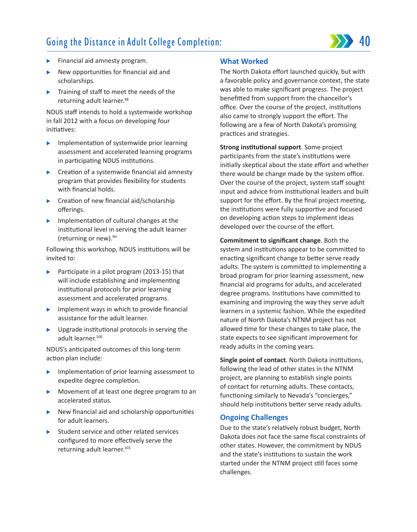## Going the Distance in Adult College Completion: 40

- Financial aid amnesty program.
- New opportunities for financial aid and scholarships.
- $\blacktriangleright$  Training of staff to meet the needs of the returning adult learner.<sup>98</sup>

NDUS staff intends to hold a systemwide workshop in fall 2012 with a focus on developing four initiatives:

- $\blacktriangleright$  Implementation of systemwide prior learning assessment and accelerated learning programs in participating NDUS institutions.
- $\triangleright$  Creation of a systemwide financial aid amnesty program that provides flexibility for students with financial holds.
- $\triangleright$  Creation of new financial aid/scholarship offerings.
- $\blacktriangleright$  Implementation of cultural changes at the institutional level in serving the adult learner (returning or new).99

Following this workshop, NDUS institutions will be invited to:

- $\blacktriangleright$  Participate in a pilot program (2013-15) that will include establishing and implementing institutional protocols for prior learning assessment and accelerated programs.
- $\blacktriangleright$  Implement ways in which to provide financial assistance for the adult learner.
- $\blacktriangleright$  Upgrade institutional protocols in serving the adult learner.100

NDUS's anticipated outcomes of this long-term action plan include:

- $\blacktriangleright$  Implementation of prior learning assessment to expedite degree completion.
- $\blacktriangleright$  Movement of at least one degree program to an accelerated status.
- $\blacktriangleright$  New financial aid and scholarship opportunities for adult learners.
- Student service and other related services configured to more effectively serve the returning adult learner.<sup>101</sup>

## **What Worked**

The North Dakota effort launched quickly, but with a favorable policy and governance context, the state was able to make significant progress. The project benefitted from support from the chancellor's office. Over the course of the project, institutions also came to strongly support the effort. The following are a few of North Dakota's promising practices and strategies.

**Strong institutional support**. Some project participants from the state's institutions were initially skeptical about the state effort and whether there would be change made by the system office. Over the course of the project, system staff sought input and advice from institutional leaders and built support for the effort. By the final project meeting, the institutions were fully supportive and focused on developing action steps to implement ideas developed over the course of the effort.

**Commitment to significant change**. Both the system and institutions appear to be committed to enacting significant change to better serve ready adults. The system is committed to implementing a broad program for prior learning assessment, new financial aid programs for adults, and accelerated degree programs. Institutions have committed to examining and improving the way they serve adult learners in a systemic fashion. While the expedited nature of North Dakota's NTNM project has not allowed time for these changes to take place, the state expects to see significant improvement for ready adults in the coming years.

**Single point of contact**. North Dakota institutions, following the lead of other states in the NTNM project, are planning to establish single points of contact for returning adults. These contacts, functioning similarly to Nevada's "concierges," should help institutions better serve ready adults.

## **Ongoing Challenges**

Due to the state's relatively robust budget, North Dakota does not face the same fiscal constraints of other states. However, the commitment by NDUS and the state's institutions to sustain the work started under the NTNM project still faces some challenges.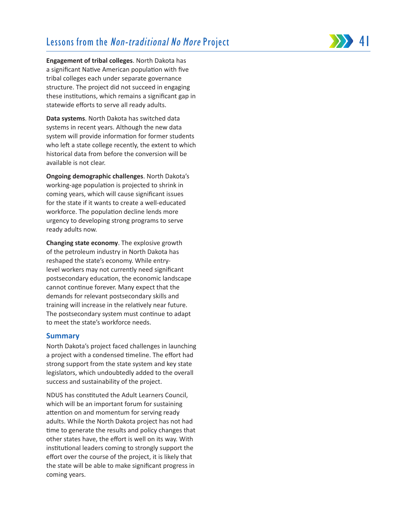**Engagement of tribal colleges**. North Dakota has a significant Native American population with five tribal colleges each under separate governance structure. The project did not succeed in engaging these institutions, which remains a significant gap in statewide efforts to serve all ready adults.

**Data systems**. North Dakota has switched data systems in recent years. Although the new data system will provide information for former students who left a state college recently, the extent to which historical data from before the conversion will be available is not clear.

**Ongoing demographic challenges**. North Dakota's working-age population is projected to shrink in coming years, which will cause significant issues for the state if it wants to create a well-educated workforce. The population decline lends more urgency to developing strong programs to serve ready adults now.

**Changing state economy**. The explosive growth of the petroleum industry in North Dakota has reshaped the state's economy. While entrylevel workers may not currently need significant postsecondary education, the economic landscape cannot continue forever. Many expect that the demands for relevant postsecondary skills and training will increase in the relatively near future. The postsecondary system must continue to adapt to meet the state's workforce needs.

#### **Summary**

North Dakota's project faced challenges in launching a project with a condensed timeline. The effort had strong support from the state system and key state legislators, which undoubtedly added to the overall success and sustainability of the project.

NDUS has constituted the Adult Learners Council, which will be an important forum for sustaining attention on and momentum for serving ready adults. While the North Dakota project has not had time to generate the results and policy changes that other states have, the effort is well on its way. With institutional leaders coming to strongly support the effort over the course of the project, it is likely that the state will be able to make significant progress in coming years.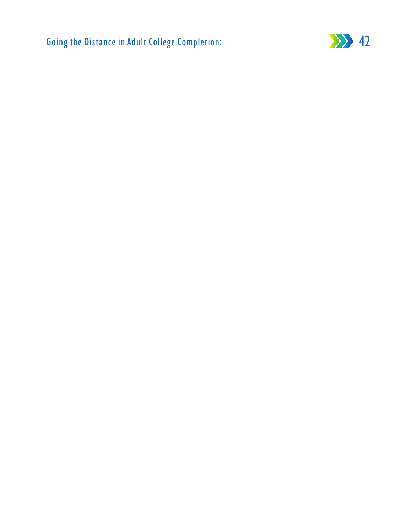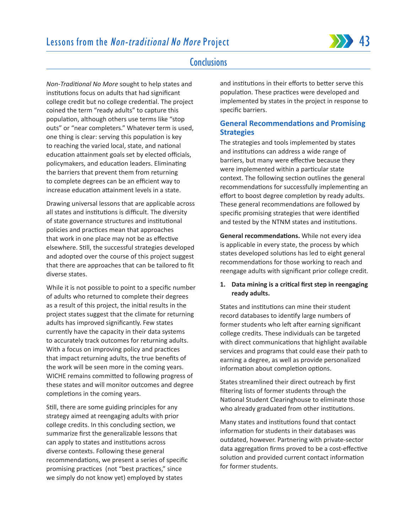

## **Conclusions**

*Non-Traditional No More* sought to help states and institutions focus on adults that had significant college credit but no college credential. The project coined the term "ready adults" to capture this population, although others use terms like "stop outs" or "near completers." Whatever term is used, one thing is clear: serving this population is key to reaching the varied local, state, and national education attainment goals set by elected officials, policymakers, and education leaders. Eliminating the barriers that prevent them from returning to complete degrees can be an efficient way to increase education attainment levels in a state.

Drawing universal lessons that are applicable across all states and institutions is difficult. The diversity of state governance structures and institutional policies and practices mean that approaches that work in one place may not be as effective elsewhere. Still, the successful strategies developed and adopted over the course of this project suggest that there are approaches that can be tailored to fit diverse states.

While it is not possible to point to a specific number of adults who returned to complete their degrees as a result of this project, the initial results in the project states suggest that the climate for returning adults has improved significantly. Few states currently have the capacity in their data systems to accurately track outcomes for returning adults. With a focus on improving policy and practices that impact returning adults, the true benefits of the work will be seen more in the coming years. WICHE remains committed to following progress of these states and will monitor outcomes and degree completions in the coming years.

Still, there are some guiding principles for any strategy aimed at reengaging adults with prior college credits. In this concluding section, we summarize first the generalizable lessons that can apply to states and institutions across diverse contexts. Following these general recommendations, we present a series of specific promising practices (not "best practices," since we simply do not know yet) employed by states

and institutions in their efforts to better serve this population. These practices were developed and implemented by states in the project in response to specific barriers.

## **General Recommendations and Promising Strategies**

The strategies and tools implemented by states and institutions can address a wide range of barriers, but many were effective because they were implemented within a particular state context. The following section outlines the general recommendations for successfully implementing an effort to boost degree completion by ready adults. These general recommendations are followed by specific promising strategies that were identified and tested by the NTNM states and institutions.

**General recommendations.** While not every idea is applicable in every state, the process by which states developed solutions has led to eight general recommendations for those working to reach and reengage adults with significant prior college credit.

### **1. Data mining is a critical first step in reengaging ready adults.**

States and institutions can mine their student record databases to identify large numbers of former students who left after earning significant college credits. These individuals can be targeted with direct communications that highlight available services and programs that could ease their path to earning a degree, as well as provide personalized information about completion options.

States streamlined their direct outreach by first filtering lists of former students through the National Student Clearinghouse to eliminate those who already graduated from other institutions.

Many states and institutions found that contact information for students in their databases was outdated, however. Partnering with private-sector data aggregation firms proved to be a cost-effective solution and provided current contact information for former students.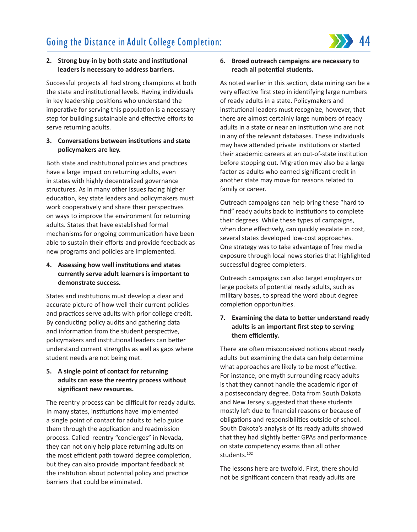## **2. Strong buy-in by both state and institutional leaders is necessary to address barriers.**

Successful projects all had strong champions at both the state and institutional levels. Having individuals in key leadership positions who understand the imperative for serving this population is a necessary step for building sustainable and effective efforts to serve returning adults.

## **3. Conversations between institutions and state policymakers are key.**

Both state and institutional policies and practices have a large impact on returning adults, even in states with highly decentralized governance structures. As in many other issues facing higher education, key state leaders and policymakers must work cooperatively and share their perspectives on ways to improve the environment for returning adults. States that have established formal mechanisms for ongoing communication have been able to sustain their efforts and provide feedback as new programs and policies are implemented.

## **4. Assessing how well institutions and states currently serve adult learners is important to demonstrate success.**

States and institutions must develop a clear and accurate picture of how well their current policies and practices serve adults with prior college credit. By conducting policy audits and gathering data and information from the student perspective, policymakers and institutional leaders can better understand current strengths as well as gaps where student needs are not being met.

## **5. A single point of contact for returning adults can ease the reentry process without significant new resources.**

The reentry process can be difficult for ready adults. In many states, institutions have implemented a single point of contact for adults to help guide them through the application and readmission process. Called reentry "concierges" in Nevada, they can not only help place returning adults on the most efficient path toward degree completion, but they can also provide important feedback at the institution about potential policy and practice barriers that could be eliminated.

## **6. Broad outreach campaigns are necessary to reach all potential students.**

As noted earlier in this section, data mining can be a very effective first step in identifying large numbers of ready adults in a state. Policymakers and institutional leaders must recognize, however, that there are almost certainly large numbers of ready adults in a state or near an institution who are not in any of the relevant databases. These individuals may have attended private institutions or started their academic careers at an out-of-state institution before stopping out. Migration may also be a large factor as adults who earned significant credit in another state may move for reasons related to family or career.

Outreach campaigns can help bring these "hard to find" ready adults back to institutions to complete their degrees. While these types of campaigns, when done effectively, can quickly escalate in cost, several states developed low-cost approaches. One strategy was to take advantage of free media exposure through local news stories that highlighted successful degree completers.

Outreach campaigns can also target employers or large pockets of potential ready adults, such as military bases, to spread the word about degree completion opportunities.

## **7. Examining the data to better understand ready adults is an important first step to serving them efficiently.**

There are often misconceived notions about ready adults but examining the data can help determine what approaches are likely to be most effective. For instance, one myth surrounding ready adults is that they cannot handle the academic rigor of a postsecondary degree. Data from South Dakota and New Jersey suggested that these students mostly left due to financial reasons or because of obligations and responsibilities outside of school. South Dakota's analysis of its ready adults showed that they had slightly better GPAs and performance on state competency exams than all other students.102

The lessons here are twofold. First, there should not be significant concern that ready adults are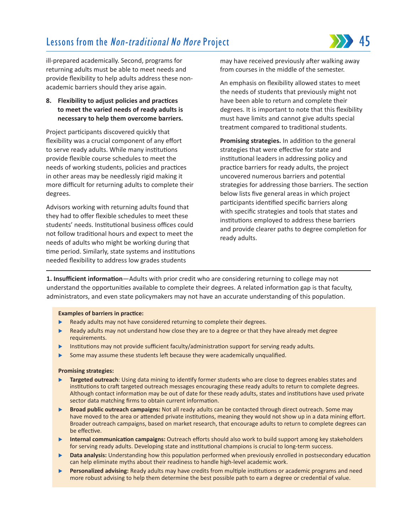ill-prepared academically. Second, programs for returning adults must be able to meet needs and provide flexibility to help adults address these nonacademic barriers should they arise again.

**8. Flexibility to adjust policies and practices to meet the varied needs of ready adults is necessary to help them overcome barriers.**

Project participants discovered quickly that flexibility was a crucial component of any effort to serve ready adults. While many institutions provide flexible course schedules to meet the needs of working students, policies and practices in other areas may be needlessly rigid making it more difficult for returning adults to complete their degrees.

Advisors working with returning adults found that they had to offer flexible schedules to meet these students' needs. Institutional business offices could not follow traditional hours and expect to meet the needs of adults who might be working during that time period. Similarly, state systems and institutions needed flexibility to address low grades students

may have received previously after walking away from courses in the middle of the semester.

An emphasis on flexibility allowed states to meet the needs of students that previously might not have been able to return and complete their degrees. It is important to note that this flexibility must have limits and cannot give adults special treatment compared to traditional students.

**Promising strategies.** In addition to the general strategies that were effective for state and institutional leaders in addressing policy and practice barriers for ready adults, the project uncovered numerous barriers and potential strategies for addressing those barriers. The section below lists five general areas in which project participants identified specific barriers along with specific strategies and tools that states and institutions employed to address these barriers and provide clearer paths to degree completion for ready adults.

**1. Insufficient information**—Adults with prior credit who are considering returning to college may not understand the opportunities available to complete their degrees. A related information gap is that faculty, administrators, and even state policymakers may not have an accurate understanding of this population.

#### **Examples of barriers in practice:**

- $\blacktriangleright$  Ready adults may not have considered returning to complete their degrees.
- Ready adults may not understand how close they are to a degree or that they have already met degree requirements.
- Institutions may not provide sufficient faculty/administration support for serving ready adults.
- Some may assume these students left because they were academically unqualified.

#### **Promising strategies:**

- Targeted outreach: Using data mining to identify former students who are close to degrees enables states and institutions to craft targeted outreach messages encouraging these ready adults to return to complete degrees. Although contact information may be out of date for these ready adults, states and institutions have used private sector data matching firms to obtain current information.
- **Broad public outreach campaigns:** Not all ready adults can be contacted through direct outreach. Some may have moved to the area or attended private institutions, meaning they would not show up in a data mining effort. Broader outreach campaigns, based on market research, that encourage adults to return to complete degrees can be effective.
- **Internal communication campaigns:** Outreach efforts should also work to build support among key stakeholders for serving ready adults. Developing state and institutional champions is crucial to long-term success.
- Data analysis: Understanding how this population performed when previously enrolled in postsecondary education can help eliminate myths about their readiness to handle high-level academic work.
- Personalized advising: Ready adults may have credits from multiple institutions or academic programs and need more robust advising to help them determine the best possible path to earn a degree or credential of value.

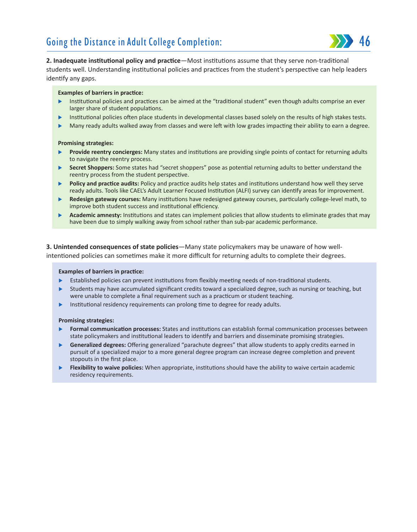

**2. Inadequate institutional policy and practice**—Most institutions assume that they serve non-traditional students well. Understanding institutional policies and practices from the student's perspective can help leaders identify any gaps.

#### **Examples of barriers in practice:**

- $\triangleright$  Institutional policies and practices can be aimed at the "traditional student" even though adults comprise an ever larger share of student populations.
- Institutional policies often place students in developmental classes based solely on the results of high stakes tests.
- Many ready adults walked away from classes and were left with low grades impacting their ability to earn a degree.

#### **Promising strategies:**

- Provide reentry concierges: Many states and institutions are providing single points of contact for returning adults to navigate the reentry process.
- Secret Shoppers: Some states had "secret shoppers" pose as potential returning adults to better understand the reentry process from the student perspective.
- Policy and practice audits: Policy and practice audits help states and institutions understand how well they serve ready adults. Tools like CAEL's Adult Learner Focused Institution (ALFI) survey can identify areas for improvement.
- Redesign gateway courses: Many institutions have redesigned gateway courses, particularly college-level math, to improve both student success and institutional efficiency.
- Academic amnesty: Institutions and states can implement policies that allow students to eliminate grades that may have been due to simply walking away from school rather than sub-par academic performance.

**3. Unintended consequences of state policies**—Many state policymakers may be unaware of how wellintentioned policies can sometimes make it more difficult for returning adults to complete their degrees.

#### **Examples of barriers in practice:**

- $\triangleright$  Established policies can prevent institutions from flexibly meeting needs of non-traditional students.
- $\triangleright$  Students may have accumulated significant credits toward a specialized degree, such as nursing or teaching, but were unable to complete a final requirement such as a practicum or student teaching.
- $\blacktriangleright$  Institutional residency requirements can prolong time to degree for ready adults.

#### **Promising strategies:**

- Formal communication processes: States and institutions can establish formal communication processes between state policymakers and institutional leaders to identify and barriers and disseminate promising strategies.
- Generalized degrees: Offering generalized "parachute degrees" that allow students to apply credits earned in pursuit of a specialized major to a more general degree program can increase degree completion and prevent stopouts in the first place.
- Flexibility to waive policies: When appropriate, institutions should have the ability to waive certain academic residency requirements.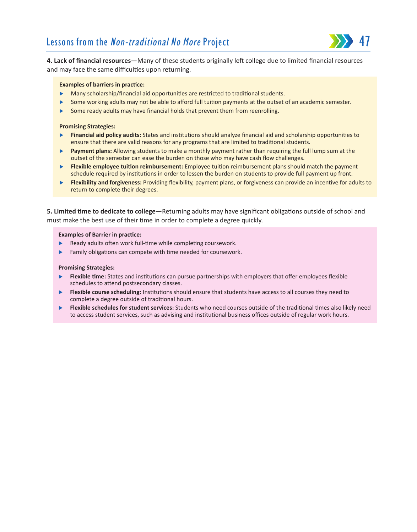

**4. Lack of financial resources**—Many of these students originally left college due to limited financial resources and may face the same difficulties upon returning.

#### **Examples of barriers in practice:**

- $\triangleright$  Many scholarship/financial aid opportunities are restricted to traditional students.
- Some working adults may not be able to afford full tuition payments at the outset of an academic semester.
- $\triangleright$  Some ready adults may have financial holds that prevent them from reenrolling.

#### **Promising Strategies:**

- Financial aid policy audits: States and institutions should analyze financial aid and scholarship opportunities to ensure that there are valid reasons for any programs that are limited to traditional students.
- **Payment plans:** Allowing students to make a monthly payment rather than requiring the full lump sum at the outset of the semester can ease the burden on those who may have cash flow challenges.
- **Flexible employee tuition reimbursement:** Employee tuition reimbursement plans should match the payment schedule required by institutions in order to lessen the burden on students to provide full payment up front.
- **Flexibility and forgiveness:** Providing flexibility, payment plans, or forgiveness can provide an incentive for adults to return to complete their degrees.

**5. Limited time to dedicate to college**—Returning adults may have significant obligations outside of school and must make the best use of their time in order to complete a degree quickly.

#### **Examples of Barrier in practice:**

- $\blacktriangleright$  Ready adults often work full-time while completing coursework.
- $\blacktriangleright$  Family obligations can compete with time needed for coursework.

#### **Promising Strategies:**

- Flexible time: States and institutions can pursue partnerships with employers that offer employees flexible schedules to attend postsecondary classes.
- Flexible course scheduling: Institutions should ensure that students have access to all courses they need to complete a degree outside of traditional hours.
- Flexible schedules for student services: Students who need courses outside of the traditional times also likely need to access student services, such as advising and institutional business offices outside of regular work hours.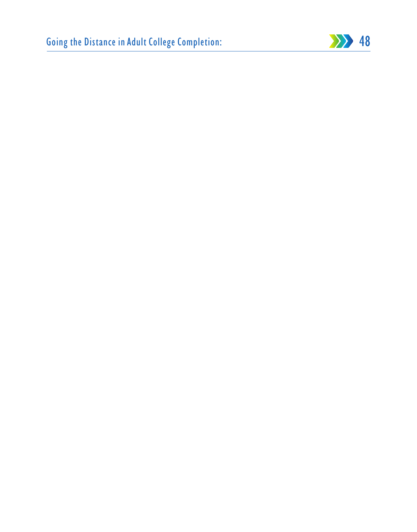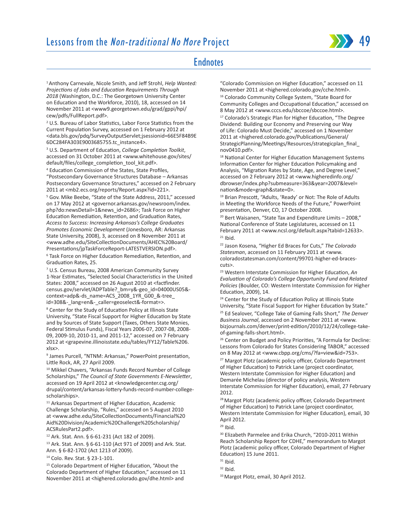

## **Endnotes**

1 Anthony Carnevale, Nicole Smith, and Jeff Strohl, *Help Wanted: Projections of Jobs and Education Requirements Through 2018* (Washington, D.C.: The Georgetown University Center on Education and the Workforce, 2010), 18, accessed on 14 November 2011 at <www9.georgetown.edu/grad/gppi/hpi/ cew/pdfs/FullReport.pdf>.

2 U.S. Bureau of Labor Statistics, Labor Force Statistics from the Current Population Survey, accessed on 1 February 2012 at <data.bls.gov/pdq/SurveyOutputServlet;jsessionid=66E5F84B9E 6DC284FA303E9003685755.tc\_instance4>.

3 U.S. Department of Education, *College Completion Toolkit*, accessed on 31 October 2011 at <www.whitehouse.gov/sites/ default/files/college\_completion\_tool\_kit.pdf>.

4 Education Commission of the States, State Profiles, "Postsecondary Governance Structures Database – Arkansas Postsecondary Governance Structures," accessed on 2 February 2011 at <mb2.ecs.org/reports/Report.aspx?id=221>.

5 Gov. Mike Beebe, "State of the State Address, 2011," accessed on 17 May 2012 at <governor.arkansas.gov/newsroom/index. php?do:newsDetail=1&news\_id=2686>; Task Force on Higher Education Remediation, Retention, and Graduation Rates, *Access to Success: Increasing Arkansas's College Graduates Promotes Economic Development* (Jonesboro, AR: Arkansas State University, 2008), 3, accessed on 8 November 2011 at <www.adhe.edu/SiteCollectionDocuments/AHEC%20Board/ Presentations/jpTaskForceReport-LATESTVERSION.pdf>.

6 Task Force on Higher Education Remediation, Retention, and Graduation Rates, 25.

7 U.S. Census Bureau, 2008 American Community Survey 1-Year Estimates, "Selected Social Characteristics in the United States: 2008," accessed on 26 August 2010 at <factfinder. census.gov/servlet/ADPTable?\_bm=y&-geo\_id=04000US05& context=adp&-ds\_name=ACS\_2008\_1YR\_G00\_&-tree\_ id=308&- lang=en&- caller=geoselect&-format=>.

<sup>8</sup> Center for the Study of Education Policy at Illinois State University, "State Fiscal Support for Higher Education by State and by Sources of State Support (Taxes, Others State Monies, Federal Stimulus Funds), Fiscal Years 2006-07, 2007-08, 2008- 09, 2009-10, 2010-11, and 2011-12," accessed on 7 February 2012 at <grapevine.illinoisstate.edu/tables/FY12/Table%206. xlsx>.

9 James Purcell, "NTNM: Arkansas," PowerPoint presentation, Little Rock, AR, 27 April 2009.

10 Mikkel Chavers, "Arkansas Funds Record Number of College Scholarships," *The Council of State Governments E-Newsletter*, accessed on 19 April 2012 at <knowledgecenter.csg.org/ drupal/content/arkansas-lottery-funds-record-number-collegescholarships>.

<sup>11</sup> Arkansas Department of Higher Education, Academic Challenge Scholarship, "Rules," accessed on 5 August 2010 at <www.adhe.edu/SiteCollectionDocuments/Financial%20 Aid%20Division/Academic%20Challenge%20Scholarship/ ACSRulesPart2.pdf>.

12 Ark. Stat. Ann. § 6-61-231 (Act 182 of 2009).

13 Ark. Stat. Ann. § 6-61-110 (Act 971 of 2009) and Ark. Stat. Ann. § 6-82-1702 (Act 1213 of 2009).

14 Colo. Rev. Stat. § 23-1-101.

15 Colorado Department of Higher Education, "About the Colorado Department of Higher Education," accessed on 11 November 2011 at <highered.colorado.gov/dhe.html> and

"Colorado Commission on Higher Education," accessed on 11 November 2011 at <highered.colorado.gov/cche.html>. 16 Colorado Community College System, "State Board for

Community Colleges and Occupational Education," accessed on 8 May 2012 at <www.cccs.edu/sbccoe/sbccoe.html>.

<sup>17</sup> Colorado's Strategic Plan for Higher Education, "The Degree Dividend: Building our Economy and Preserving our Way of Life: Colorado Must Decide," accessed on 1 November 2011 at <highered.colorado.gov/Publications/General/ StrategicPlanning/Meetings/Resources/strategicplan\_final\_ nov0410.pdf>.

<sup>18</sup> National Center for Higher Education Management Systems Information Center for Higher Education Policymaking and Analysis, "Migration Rates by State, Age, and Degree Level," accessed on 2 February 2012 at <www.higheredinfo.org/ dbrowser/index.php?submeasure=363&year=2007&level= nation&mode=graph&state=0>.

<sup>19</sup> Brian Prescott, "Adults, 'Ready' or Not: The Role of Adults in Meeting the Workforce Needs of the Future," PowerPoint presentation, Denver, CO, 17 October 2008.

20 Bert Waisanen, "State Tax and Expenditure Limits – 2008," National Conference of State Legislatures, accessed on 11 February 2011 at <www.ncsl.org/default.aspx?tabid=12633>.  $21$  Ibid.

22 Jason Kosena, "Higher Ed Braces for Cuts," *The Colorado Statesman*, accessed on 11 February 2011 at <www. coloradostatesman.com/content/99701-higher-ed-bracescuts>.

23 Western Interstate Commission for Higher Education, *An Evaluation of Colorado's College Opportunity Fund and Related Policies* (Boulder, CO: Western Interstate Commission for Higher Education, 2009), 14.

<sup>24</sup> Center for the Study of Education Policy at Illinois State University, "State Fiscal Support for Higher Education by State." 25 Ed Sealover, "College Take of Gaming Falls Short," *The Denver Business Journal*, accessed on 2 November 2011 at <www. bizjournals.com/denver/print-edition/2010/12/24/college-takeof-gaming-falls-short.html>.

<sup>26</sup> Center on Budget and Policy Priorities, "A Formula for Decline: Lessons from Colorado for States Considering TABOR," accessed on 8 May 2012 at <www.cbpp.org/cms/?fa=view&id=753>.

<sup>27</sup> Margot Plotz (academic policy officer, Colorado Department of Higher Education) to Patrick Lane (project coordinator, Western Interstate Commission for Higher Education) and Demarée Michelau (director of policy analysis, Western Interstate Commission for Higher Education), email, 27 February 2012.

<sup>28</sup> Margot Plotz (academic policy officer, Colorado Department of Higher Education) to Patrick Lane (project coordinator, Western Interstate Commission for Higher Education), email, 30 April 2012.

 $29$  Ibid.

<sup>30</sup> Elizabeth Parmelee and Erika Church, "2010-2011 Within Reach Scholarship Report for CDHE," memorandum to Margot Plotz (academic policy officer, Colorado Department of Higher Education) 15 June 2011.

<sup>33</sup> Margot Plotz, email, 30 April 2012.

 $31$  Ibid.

 $32$  Ibid.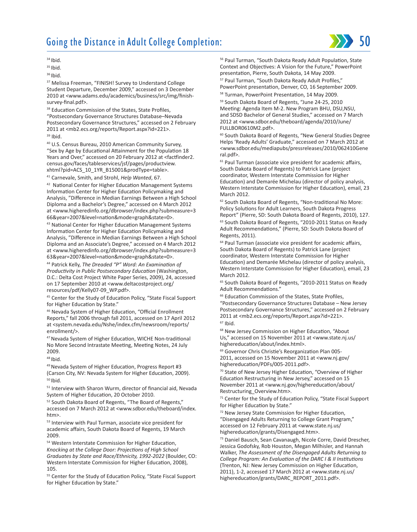

34 Ibid.

 $35$  Ibid.

 $36$  Ibid.

<sup>37</sup> Melissa Freeman, "FINISH! Survey to Understand College Student Departure, December 2009," accessed on 3 December 2010 at <www.adams.edu/academics/business/src/img/finishsurvey-final.pdf>.

<sup>38</sup> Education Commission of the States, State Profiles, "Postsecondary Governance Structures Database–Nevada Postsecondary Governance Structures," accessed on 2 February 2011 at <mb2.ecs.org/reports/Report.aspx?id=221>. 39 Ibid.

40 U.S. Census Bureau, 2010 American Community Survey, "Sex by Age by Educational Attainment for the Population 18 Years and Over," accessed on 20 February 2012 at <factfinder2. census.gov/faces/tableservices/jsf/pages/productview. xhtml?pid=ACS\_10\_1YR\_B15001&prodType=table>.

<sup>41</sup> Carnevale, Smith, and Strohl, *Help Wanted*, 67.<br><sup>42</sup> National Center for Higher Education Management Systems Information Center for Higher Education Policymaking and Analysis, "Difference in Median Earnings Between a High School Diploma and a Bachelor's Degree," accessed on 4 March 2012 at <www.higheredinfo.org/dbrowser/index.php?submeasure=3 66&year=2007&level=nation&mode=graph&state=0>.

<sup>43</sup> National Center for Higher Education Management Systems Information Center for Higher Education Policymaking and Analysis, "Difference in Median Earnings Between a High School Diploma and an Associate's Degree," accessed on 4 March 2012 at <www.higheredinfo.org/dbrowser/index.php?submeasure=3 63&year=2007&level=nation&mode=graph&state=0>.

44 Patrick Kelly, *The Dreaded "P" Word: An Examination of Productivity in Public Postsecondary Education* (Washington, D.C.: Delta Cost Project White Paper Series, 2009), 24, accessed on 17 September 2010 at <www.deltacostproject.org/ resources/pdf/Kelly07-09\_WP.pdf>.

45 Center for the Study of Education Policy, "State Fiscal Support for Higher Education by State."

46 Nevada System of Higher Education, "Official Enrollment Reports," fall 2006 through fall 2011, accessed on 17 April 2012 at <system.nevada.edu/Nshe/index.cfm/newsroom/reports/ enrollment/>.

47 Nevada System of Higher Education, WICHE Non-traditional No More Second Intrastate Meeting, Meeting Notes, 24 July 2009.

48 Ibid.

49 Nevada System of Higher Education, Progress Report #3 (Carson City, NV: Nevada System for Higher Education, 2009).  $50$  Ibid.

51 Interview with Sharon Wurm, director of financial aid, Nevada System of Higher Education, 20 October 2010.

52 South Dakota Board of Regents, "The Board of Regents," accessed on 7 March 2012 at <www.sdbor.edu/theboard/index. htm>.

53 Interview with Paul Turman, associate vice president for academic affairs, South Dakota Board of Regents, 19 March 2009.

54 Western Interstate Commission for Higher Education, *Knocking at the College Door: Projections of High School Graduates by State and Race/Ethnicity, 1992-2022* (Boulder, CO: Western Interstate Commission for Higher Education, 2008), 105.

<sup>55</sup> Center for the Study of Education Policy, "State Fiscal Support for Higher Education by State."

56 Paul Turman, "South Dakota Ready Adult Population, State Context and Objectives: A Vision for the Future," PowerPoint presentation, Pierre, South Dakota, 14 May 2009. 57 Paul Turman, "South Dakota Ready Adult Profiles," PowerPoint presentation, Denver, CO, 16 September 2009.

58 Turman, PowerPoint Presentation, 14 May 2009.

59 South Dakota Board of Regents, "June 24-25, 2010 Meeting: Agenda Item M-2. New Program BHU, DSU,NSU, and SDSD Bachelor of General Studies," accessed on 7 March 2012 at <www.sdbor.edu/theboard/agenda/2010/June/ FULLBOR0610M2.pdf>.

<sup>60</sup> South Dakota Board of Regents, "New General Studies Degree Helps 'Ready Adults' Graduate," accessed on 7 March 2012 at <www.sdbor.edu/mediapubs/pressreleases/2010/062410Gene ral.pdf>.

<sup>61</sup> Paul Turman (associate vice president for academic affairs, South Dakota Board of Regents) to Patrick Lane (project coordinator, Western Interstate Commission for Higher Education) and Demarée Michelau (director of policy analysis, Western Interstate Commission for Higher Education), email, 23 March 2012.

<sup>62</sup> South Dakota Board of Regents, "Non-traditional No More: Policy Solutions for Adult Learners, South Dakota Progress Report" (Pierre, SD: South Dakota Board of Regents, 2010), 127. <sup>63</sup> South Dakota Board of Regents, "2010-2011 Status on Ready Adult Recommendations," (Pierre, SD: South Dakota Board of Regents, 2011).

<sup>64</sup> Paul Turman (associate vice president for academic affairs, South Dakota Board of Regents) to Patrick Lane (project coordinator, Western Interstate Commission for Higher Education) and Demarée Michelau (director of policy analysis, Western Interstate Commission for Higher Education), email, 23 March 2012.

65 South Dakota Board of Regents, "2010-2011 Status on Ready Adult Recommendations."

<sup>66</sup> Education Commission of the States, State Profiles, "Postsecondary Governance Structures Database – New Jersey Postsecondary Governance Structures," accessed on 2 February 2011 at <mb2.ecs.org/reports/Report.aspx?id=221>.  $67$  Ibid.

<sup>68</sup> New Jersey Commission on Higher Education, "About Us," accessed on 15 November 2011 at <www.state.nj.us/ highereducation/about/index.html>.

<sup>69</sup> Governor Chris Christie's Reorganization Plan 005-2011, accessed on 15 November 2011 at <www.nj.gov/ highereducation/PDFs/005-2011.pdf>.

<sup>70</sup> State of New Jersey Higher Education, "Overview of Higher Education Restructuring in New Jersey," accessed on 15 November 2011 at <www.nj.gov/highereducation/about/ Restructuring\_Overview.htm>.

71 Center for the Study of Education Policy, "State Fiscal Support for Higher Education by State."

<sup>72</sup> New Jersey State Commission for Higher Education, "Disengaged Adults Returning to College Grant Program," accessed on 12 February 2011 at <www.state.nj.us/ highereducation/grants/Disengaged.htm>.

<sup>73</sup> Daniel Bausch, Sean Cavanaugh, Nicole Corre, David Drescher, Jessica Godofsky, Rob Houston, Megan Milhisler, and Hannah Walker, *The Assessment of the Disengaged Adults Returning to College Program: An Evaluation of the DARC I & II Institutions*  (Trenton, NJ: New Jersey Commission on Higher Education, 2011), 1-2, accessed 17 March 2012 at <www.state.nj.us/ highereducation/grants/DARC\_REPORT\_2011.pdf>.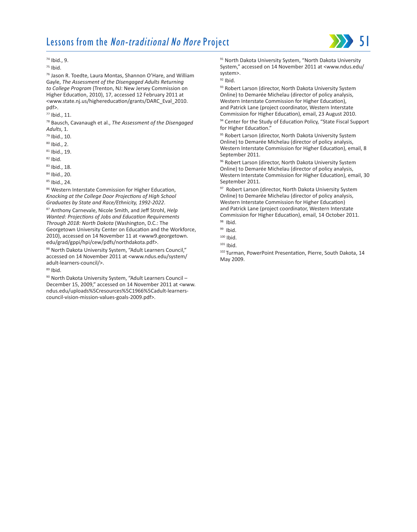

74 Ibid., 9.

 $75$  Ibid.

76 Jason R. Toedte, Laura Montas, Shannon O'Hare, and William Gayle, *The Assessment of the Disengaged Adults Returning to College Program* (Trenton, NJ: New Jersey Commission on Higher Education, 2010), 17, accessed 12 February 2011 at <www.state.nj.us/highereducation/grants/DARC\_Eval\_2010. pdf>.

77 Ibid., 11.

78 Bausch, Cavanaugh et al., *The Assessment of the Disengaged Adults*, 1.

79 Ibid., 10.

 $80$  Ibid., 2.

81 Ibid., 19.

 $82$  Ibid.

83 Ibid., 18.

84 Ibid., 20.

85 Ibid., 24.

86 Western Interstate Commission for Higher Education, *Knocking at the College Door Projections of High School Graduates by State and Race/Ethnicity, 1992-2022*.

87 Anthony Carnevale, Nicole Smith, and Jeff Strohl, *Help Wanted: Projections of Jobs and Education Requirements Through 2018: North Dakota* (Washington, D.C.: The Georgetown University Center on Education and the Workforce, 2010), accessed on 14 November 11 at <www9.georgetown. edu/grad/gppi/hpi/cew/pdfs/northdakota.pdf>.

88 North Dakota University System, "Adult Learners Council," accessed on 14 November 2011 at <www.ndus.edu/system/ adult-learners-council/>.

 $89$  Ibid.

90 North Dakota University System, "Adult Learners Council – December 15, 2009," accessed on 14 November 2011 at <www. ndus.edu/uploads%5Cresources%5C1966%5Cadult-learnerscouncil-vision-mission-values-goals-2009.pdf>.

91 North Dakota University System, "North Dakota University System," accessed on 14 November 2011 at <www.ndus.edu/ system>.

 $92$  lhid

93 Robert Larson (director, North Dakota University System Online) to Demarée Michelau (director of policy analysis, Western Interstate Commission for Higher Education), and Patrick Lane (project coordinator, Western Interstate Commission for Higher Education), email, 23 August 2010.

94 Center for the Study of Education Policy, "State Fiscal Support for Higher Education."

95 Robert Larson (director, North Dakota University System Online) to Demarée Michelau (director of policy analysis, Western Interstate Commission for Higher Education), email, 8 September 2011.

96 Robert Larson (director, North Dakota University System Online) to Demarée Michelau (director of policy analysis, Western Interstate Commission for Higher Education), email, 30 September 2011.

97 Robert Larson (director, North Dakota University System Online) to Demarée Michelau (director of policy analysis, Western Interstate Commission for Higher Education) and Patrick Lane (project coordinator, Western Interstate Commission for Higher Education), email, 14 October 2011. 98 Ibid.

99 Ibid.

102 Turman, PowerPoint Presentation, Pierre, South Dakota, 14 May 2009.

 $100$  Ibid.

 $101$  Ibid.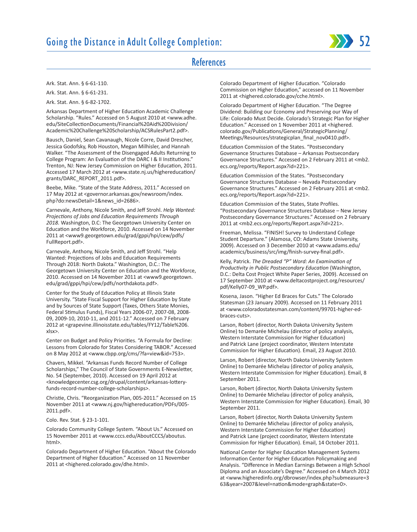

## **References**

Ark. Stat. Ann. § 6-61-110.

Ark. Stat. Ann. § 6-61-231.

Ark. Stat. Ann. § 6-82-1702.

Arkansas Department of Higher Education Academic Challenge Scholarship. "Rules." Accessed on 5 August 2010 at <www.adhe. edu/SiteCollectionDocuments/Financial%20Aid%20Division/ Academic%20Challenge%20Scholarship/ACSRulesPart2.pdf>.

Bausch, Daniel, Sean Cavanaugh, Nicole Corre, David Drescher, Jessica Godofsky, Rob Houston, Megan Milhisler, and Hannah Walker. "The Assessment of the Disengaged Adults Returning to College Program: An Evaluation of the DARC I & II Institutions." Trenton, NJ: New Jersey Commission on Higher Education, 2011. Accessed 17 March 2012 at <www.state.nj.us/highereducation/ grants/DARC\_REPORT\_2011.pdf>.

Beebe, Mike. "State of the State Address, 2011." Accessed on 17 May 2012 at <governor.arkansas.gov/newsroom/index. php?do:newsDetail=1&news\_id=2686>.

Carnevale, Anthony, Nicole Smith, and Jeff Strohl. *Help Wanted: Projections of Jobs and Education Requirements Through 2018.* Washington, D.C: The Georgetown University Center on Education and the Workforce, 2010. Accessed on 14 November 2011 at <www9.georgetown.edu/grad/gppi/hpi/cew/pdfs/ FullReport.pdf>.

Carnevale, Anthony, Nicole Smith, and Jeff Strohl. "Help Wanted: Projections of Jobs and Education Requirements Through 2018: North Dakota." Washington, D.C.: The Georgetown University Center on Education and the Workforce, 2010. Accessed on 14 November 2011 at <www9.georgetown. edu/grad/gppi/hpi/cew/pdfs/northdakota.pdf>.

Center for the Study of Education Policy at Illinois State University. "State Fiscal Support for Higher Education by State and by Sources of State Support (Taxes, Others State Monies, Federal Stimulus Funds), Fiscal Years 2006-07, 2007-08, 2008- 09, 2009-10, 2010-11, and 2011-12." Accessed on 7 February 2012 at <grapevine.illinoisstate.edu/tables/FY12/Table%206. xlsx>.

Center on Budget and Policy Priorities. "A Formula for Decline: Lessons from Colorado for States Considering TABOR." Accessed on 8 May 2012 at <www.cbpp.org/cms/?fa=view&id=753>.

Chavers, Mikkel. "Arkansas Funds Record Number of College Scholarships," The Council of State Governments E-Newsletter, No. 54 (September, 2010). Accessed on 19 April 2012 at <knowledgecenter.csg.org/drupal/content/arkansas-lotteryfunds-record-number-college-scholarships>.

Christie, Chris. "Reorganization Plan, 005-2011." Accessed on 15 November 2011 at <www.nj.gov/highereducation/PDFs/005- 2011.pdf>.

Colo. Rev. Stat. § 23-1-101.

Colorado Community College System. "About Us." Accessed on 15 November 2011 at <www.cccs.edu/AboutCCCS/aboutus. html>.

Colorado Department of Higher Education. "About the Colorado Department of Higher Education." Accessed on 11 November 2011 at <highered.colorado.gov/dhe.html>.

Colorado Department of Higher Education. "Colorado Commission on Higher Education," accessed on 11 November 2011 at <highered.colorado.gov/cche.html>.

Colorado Department of Higher Education. "The Degree Dividend: Building our Economy and Preserving our Way of Life: Colorado Must Decide. Colorado's Strategic Plan for Higher Education." Accessed on 1 November 2011 at <highered. colorado.gov/Publications/General/StrategicPlanning/ Meetings/Resources/strategicplan\_final\_nov0410.pdf>.

Education Commission of the States. "Postsecondary Governance Structures Database – Arkansas Postsecondary Governance Structures." Accessed on 2 February 2011 at <mb2. ecs.org/reports/Report.aspx?id=221>.

Education Commission of the States. "Postsecondary Governance Structures Database – Nevada Postsecondary Governance Structures." Accessed on 2 February 2011 at <mb2. ecs.org/reports/Report.aspx?id=221>.

Education Commission of the States, State Profiles. "Postsecondary Governance Structures Database – New Jersey Postsecondary Governance Structures." Accessed on 2 February 2011 at <mb2.ecs.org/reports/Report.aspx?id=221>.

Freeman, Melissa. "FINISH! Survey to Understand College Student Departure." (Alamosa, CO: Adams State University, 2009). Accessed on 3 December 2010 at <www.adams.edu/ academics/business/src/img/finish-survey-final.pdf>.

Kelly, Patrick. *The Dreaded "P" Word: An Examination of Productivity in Public Postsecondary Education* (Washington, D.C.: Delta Cost Project White Paper Series, 2009). Accessed on 17 September 2010 at <www.deltacostproject.org/resources/ pdf/Kelly07-09\_WP.pdf>.

Kosena, Jason. "Higher Ed Braces for Cuts." The Colorado Statesman (23 January 2009). Accessed on 11 February 2011 at <www.coloradostatesman.com/content/99701-higher-edbraces-cuts>.

Larson, Robert (director, North Dakota University System Online) to Demarée Michelau (director of policy analysis, Western Interstate Commission for Higher Education) and Patrick Lane (project coordinator, Western Interstate Commission for Higher Education). Email, 23 August 2010.

Larson, Robert (director, North Dakota University System Online) to Demarée Michelau (director of policy analysis, Western Interstate Commission for Higher Education). Email, 8 September 2011.

Larson, Robert (director, North Dakota University System Online) to Demarée Michelau (director of policy analysis, Western Interstate Commission for Higher Education). Email, 30 September 2011.

Larson, Robert (director, North Dakota University System Online) to Demarée Michelau (director of policy analysis, Western Interstate Commission for Higher Education) and Patrick Lane (project coordinator, Western Interstate Commission for Higher Education). Email, 14 October 2011.

National Center for Higher Education Management Systems Information Center for Higher Education Policymaking and Analysis. "Difference in Median Earnings Between a High School Diploma and an Associate's Degree." Accessed on 4 March 2012 at <www.higheredinfo.org/dbrowser/index.php?submeasure=3 63&year=2007&level=nation&mode=graph&state=0>.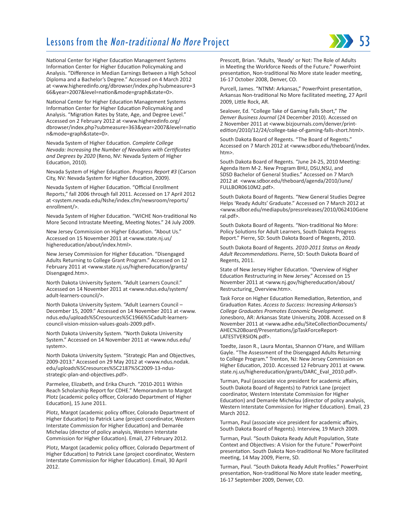Lessons from the *Non-traditional No More* Project 53

National Center for Higher Education Management Systems Information Center for Higher Education Policymaking and Analysis. "Difference in Median Earnings Between a High School Diploma and a Bachelor's Degree." Accessed on 4 March 2012 at <www.higheredinfo.org/dbrowser/index.php?submeasure=3 66&year=2007&level=nation&mode=graph&state=0>.

National Center for Higher Education Management Systems Information Center for Higher Education Policymaking and Analysis. "Migration Rates by State, Age, and Degree Level." Accessed on 2 February 2012 at <www.higheredinfo.org/ dbrowser/index.php?submeasure=363&year=2007&level=natio n&mode=graph&state=0>.

Nevada System of Higher Education. *Complete College Nevada: Increasing the Number of Nevadans with Certificates and Degrees by 2020* (Reno, NV: Nevada System of Higher Education, 2010).

Nevada System of Higher Education. *Progress Report #3* (Carson City, NV: Nevada System for Higher Education, 2009).

Nevada System of Higher Education. "Official Enrollment Reports," fall 2006 through fall 2011. Accessed on 17 April 2012 at <system.nevada.edu/Nshe/index.cfm/newsroom/reports/ enrollment/>.

Nevada System of Higher Education. "WICHE Non-traditional No More Second Intrastate Meeting, Meeting Notes." 24 July 2009.

New Jersey Commission on Higher Education. "About Us." Accessed on 15 November 2011 at <www.state.nj.us/ highereducation/about/index.html>.

New Jersey Commission for Higher Education. "Disengaged Adults Returning to College Grant Program." Accessed on 12 February 2011 at <www.state.nj.us/highereducation/grants/ Disengaged.htm>.

North Dakota University System. "Adult Learners Council." Accessed on 14 November 2011 at <www.ndus.edu/system/ adult-learners-council/>.

North Dakota University System. "Adult Learners Council – December 15, 2009." Accessed on 14 November 2011 at <www. ndus.edu/uploads%5Cresources%5C1966%5Cadult-learnerscouncil-vision-mission-values-goals-2009.pdf>.

North Dakota University System. "North Dakota University System." Accessed on 14 November 2011 at <www.ndus.edu/ system>.

North Dakota University System. "Strategic Plan and Objectives, 2009-2013." Accessed on 29 May 2012 at <www.ndus.nodak. edu/uploads%5Cresources%5C2187%5C2009-13-ndusstrategic-plan-and-objectives.pdf>.

Parmelee, Elizabeth, and Erika Church. "2010-2011 Within Reach Scholarship Report for CDHE." Memorandum to Margot Plotz (academic policy officer, Colorado Department of Higher Education), 15 June 2011.

Plotz, Margot (academic policy officer, Colorado Department of Higher Education) to Patrick Lane (project coordinator, Western Interstate Commission for Higher Education) and Demarée Michelau (director of policy analysis, Western Interstate Commission for Higher Education). Email, 27 February 2012.

Plotz, Margot (academic policy officer, Colorado Department of Higher Education) to Patrick Lane (project coordinator, Western Interstate Commission for Higher Education). Email, 30 April 2012.

Prescott, Brian. "Adults, 'Ready' or Not: The Role of Adults in Meeting the Workforce Needs of the Future." PowerPoint presentation, Non-traditional No More state leader meeting, 16-17 October 2008, Denver, CO.

Purcell, James. "NTNM: Arkansas," PowerPoint presentation, Arkansas Non-traditional No More facilitated meeting, 27 April 2009, Little Rock, AR.

Sealover, Ed. "College Take of Gaming Falls Short," *The Denver Business Journal* (24 December 2010). Accessed on 2 November 2011 at <www.bizjournals.com/denver/printedition/2010/12/24/college-take-of-gaming-falls-short.html>.

South Dakota Board of Regents. "The Board of Regents." Accessed on 7 March 2012 at <www.sdbor.edu/theboard/index. htm>.

South Dakota Board of Regents. "June 24-25, 2010 Meeting: Agenda Item M-2. New Program BHU, DSU,NSU, and SDSD Bachelor of General Studies." Accessed on 7 March 2012 at <www.sdbor.edu/theboard/agenda/2010/June/ FULLBOR0610M2.pdf>.

South Dakota Board of Regents. "New General Studies Degree Helps 'Ready Adults' Graduate." Accessed on 7 March 2012 at <www.sdbor.edu/mediapubs/pressreleases/2010/062410Gene ral.pdf>.

South Dakota Board of Regents. "Non-traditional No More: Policy Solutions for Adult Learners, South Dakota Progress Report." Pierre, SD: South Dakota Board of Regents, 2010.

South Dakota Board of Regents. *2010-2011 Status on Ready Adult Recommendations*. Pierre, SD: South Dakota Board of Regents, 2011.

State of New Jersey Higher Education. "Overview of Higher Education Restructuring in New Jersey." Accessed on 15 November 2011 at <www.nj.gov/highereducation/about/ Restructuring\_Overview.htm>.

Task Force on Higher Education Remediation, Retention, and Graduation Rates. *Access to Success: Increasing Arkansas's College Graduates Promotes Economic Development.* Jonesboro, AR: Arkansas State University, 2008. Accessed on 8 November 2011 at <www.adhe.edu/SiteCollectionDocuments/ AHEC%20Board/Presentations/jpTaskForceReport-LATESTVERSION.pdf>.

Toedte, Jason R., Laura Montas, Shannon O'Hare, and William Gayle. "The Assessment of the Disengaged Adults Returning to College Program." Trenton, NJ: New Jersey Commission on Higher Education, 2010. Accessed 12 February 2011 at <www. state.nj.us/highereducation/grants/DARC\_Eval\_2010.pdf>.

Turman, Paul (associate vice president for academic affairs, South Dakota Board of Regents) to Patrick Lane (project coordinator, Western Interstate Commission for Higher Education) and Demarée Michelau (director of policy analysis, Western Interstate Commission for Higher Education). Email, 23 March 2012.

Turman, Paul (associate vice president for academic affairs, South Dakota Board of Regents). Interview, 19 March 2009.

Turman, Paul. "South Dakota Ready Adult Population, State Context and Objectives: A Vision for the Future." PowerPoint presentation. South Dakota Non-traditional No More facilitated meeting, 14 May 2009, Pierre, SD.

Turman, Paul. "South Dakota Ready Adult Profiles." PowerPoint presentation, Non-traditional No More state leader meeting, 16-17 September 2009, Denver, CO.

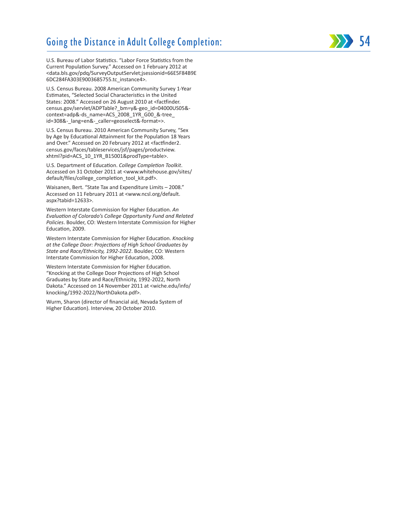## Going the Distance in Adult College Completion: 54

U.S. Bureau of Labor Statistics. "Labor Force Statistics from the Current Population Survey." Accessed on 1 February 2012 at <data.bls.gov/pdq/SurveyOutputServlet;jsessionid=66E5F84B9E 6DC284FA303E9003685755.tc\_instance4>.

U.S. Census Bureau. 2008 American Community Survey 1-Year Estimates, "Selected Social Characteristics in the United States: 2008." Accessed on 26 August 2010 at <factfinder. census.gov/servlet/ADPTable?\_bm=y&-geo\_id=04000US05& context=adp&-ds\_name=ACS\_2008\_1YR\_G00\_&-tree\_ id=308&-\_lang=en&-\_caller=geoselect&-format=>.

U.S. Census Bureau. 2010 American Community Survey, "Sex by Age by Educational Attainment for the Population 18 Years and Over." Accessed on 20 February 2012 at <factfinder2. census.gov/faces/tableservices/jsf/pages/productview. xhtml?pid=ACS\_10\_1YR\_B15001&prodType=table>.

U.S. Department of Education. *College Completion Toolkit*. Accessed on 31 October 2011 at <www.whitehouse.gov/sites/ default/files/college\_completion\_tool\_kit.pdf>.

Waisanen, Bert. "State Tax and Expenditure Limits – 2008." Accessed on 11 February 2011 at <www.ncsl.org/default. aspx?tabid=12633>.

Western Interstate Commission for Higher Education. *An Evaluation of Colorado's College Opportunity Fund and Related Policies*. Boulder, CO: Western Interstate Commission for Higher Education, 2009.

Western Interstate Commission for Higher Education. *Knocking at the College Door: Projections of High School Graduates by State and Race/Ethnicity, 1992-2022*. Boulder, CO: Western Interstate Commission for Higher Education, 2008.

Western Interstate Commission for Higher Education. "Knocking at the College Door Projections of High School Graduates by State and Race/Ethnicity, 1992-2022, North Dakota." Accessed on 14 November 2011 at <wiche.edu/info/ knocking/1992-2022/NorthDakota.pdf>.

Wurm, Sharon (director of financial aid, Nevada System of Higher Education). Interview, 20 October 2010.